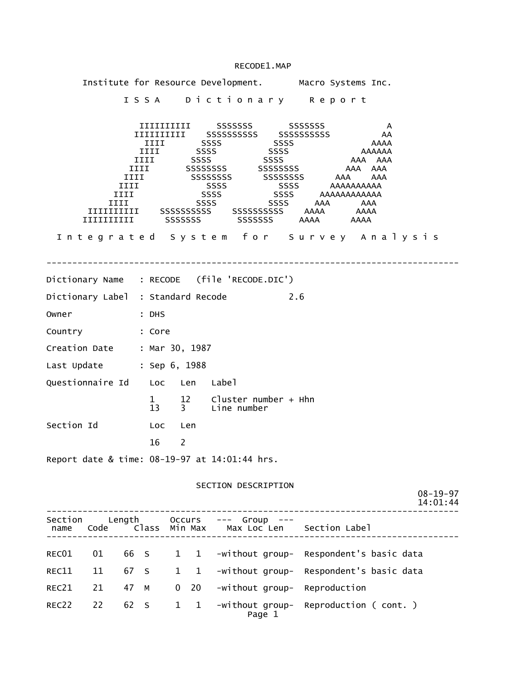|                                               | Institute for Resource Development. Macro Systems Inc. |                                     |      |                                                                                                                                                                                                                                                                                                             |              |                     |                                          |                           |     |     |                                  |               |                 |  |                            |
|-----------------------------------------------|--------------------------------------------------------|-------------------------------------|------|-------------------------------------------------------------------------------------------------------------------------------------------------------------------------------------------------------------------------------------------------------------------------------------------------------------|--------------|---------------------|------------------------------------------|---------------------------|-----|-----|----------------------------------|---------------|-----------------|--|----------------------------|
|                                               |                                                        |                                     |      | ISSA Dictionary Report                                                                                                                                                                                                                                                                                      |              |                     |                                          |                           |     |     |                                  |               |                 |  |                            |
|                                               | $\begin{array}{c} \textbf{IIIIIIIII} \end{array}$      | <b>IIII</b><br>IIII<br>IIII<br>IIII | IIII | $\begin{tabular}{l c c c c} \hline \texttt{IIIIIIIIIIII} & SSSSSSSS5 & SSSSSSSS5 \\ \hline \texttt{IIIIIIIIIIII} & SSSSSSSSSSS5 & SSSSSSSSSSS \\ \hline \texttt{IIII} & SSSS & SSSS \\ \hline \end{tabular}$<br>دددد IIII<br>IIII SSSS SSSS<br>TIII SSSS SSSS<br>IIII SSSS SSSS<br>IIII SSSSSSSSS SSSSSSSSS |              | SSSS<br><b>SSSS</b> | SSSSSSSSS SSSSSSSSS<br>SSSS SSSS AAA AAA | SSSS<br>SSSS AAAAAAAAAAAA |     | AAA | AAA AAA<br>AAA AAA<br>AAAAAAAAAA | AAAAAA<br>AAA | A<br>AA<br>AAAA |  |                            |
|                                               | Integrated System for Survey Analysis                  |                                     |      |                                                                                                                                                                                                                                                                                                             |              |                     |                                          |                           |     |     |                                  |               |                 |  |                            |
|                                               |                                                        |                                     |      |                                                                                                                                                                                                                                                                                                             |              |                     |                                          |                           |     |     |                                  |               |                 |  |                            |
| Dictionary Name : RECODE (file 'RECODE.DIC')  |                                                        |                                     |      |                                                                                                                                                                                                                                                                                                             |              |                     |                                          |                           |     |     |                                  |               |                 |  |                            |
| Dictionary Label : Standard Recode            |                                                        |                                     |      |                                                                                                                                                                                                                                                                                                             |              |                     |                                          |                           | 2.6 |     |                                  |               |                 |  |                            |
| Owner                                         | <b>Example:</b> DHS                                    |                                     |      |                                                                                                                                                                                                                                                                                                             |              |                     |                                          |                           |     |     |                                  |               |                 |  |                            |
| Country : Core                                |                                                        |                                     |      |                                                                                                                                                                                                                                                                                                             |              |                     |                                          |                           |     |     |                                  |               |                 |  |                            |
| Creation Date : Mar 30, 1987                  |                                                        |                                     |      |                                                                                                                                                                                                                                                                                                             |              |                     |                                          |                           |     |     |                                  |               |                 |  |                            |
| Last Update : Sep 6, 1988                     |                                                        |                                     |      |                                                                                                                                                                                                                                                                                                             |              |                     |                                          |                           |     |     |                                  |               |                 |  |                            |
| Questionnaire Id Loc Len Label                |                                                        |                                     |      |                                                                                                                                                                                                                                                                                                             |              |                     |                                          |                           |     |     |                                  |               |                 |  |                            |
|                                               |                                                        |                                     |      | 1 12 Cluster number + Hhn<br>13 3 Line number                                                                                                                                                                                                                                                               |              |                     |                                          |                           |     |     |                                  |               |                 |  |                            |
| Section Id                                    |                                                        |                                     |      | <b>Example 1</b> Loc Len                                                                                                                                                                                                                                                                                    |              |                     |                                          |                           |     |     |                                  |               |                 |  |                            |
|                                               |                                                        |                                     | 16   | $\overline{\phantom{a}}$                                                                                                                                                                                                                                                                                    |              |                     |                                          |                           |     |     |                                  |               |                 |  |                            |
| Report date & time: 08-19-97 at 14:01:44 hrs. |                                                        |                                     |      |                                                                                                                                                                                                                                                                                                             |              |                     |                                          |                           |     |     |                                  |               |                 |  |                            |
|                                               |                                                        |                                     |      |                                                                                                                                                                                                                                                                                                             |              |                     |                                          |                           |     |     |                                  |               |                 |  |                            |
|                                               |                                                        |                                     |      |                                                                                                                                                                                                                                                                                                             |              |                     | SECTION DESCRIPTION                      |                           |     |     |                                  |               |                 |  | $08 - 19 - 97$<br>14:01:44 |
| Section Length Occurs --- Group ---<br>name   | Code Class Min Max Max Loc Len Section Label           |                                     |      |                                                                                                                                                                                                                                                                                                             |              |                     |                                          |                           |     |     |                                  |               |                 |  |                            |
| REC01                                         | 01                                                     | 66 S                                |      |                                                                                                                                                                                                                                                                                                             | $1 \quad 1$  |                     | -without group- Respondent's basic data  |                           |     |     |                                  |               |                 |  |                            |
| REC11                                         | 11                                                     |                                     |      | 67 S 1 1                                                                                                                                                                                                                                                                                                    |              |                     | -without group- Respondent's basic data  |                           |     |     |                                  |               |                 |  |                            |
| REC21                                         | 21                                                     | 47 M                                |      | $\mathbf 0$                                                                                                                                                                                                                                                                                                 | 20           |                     | -without group- Reproduction             |                           |     |     |                                  |               |                 |  |                            |
| REC22                                         | 22                                                     | 62 S                                |      | $\mathbf{1}$                                                                                                                                                                                                                                                                                                | $\mathbf{1}$ |                     | -without group- Reproduction (cont.)     | Page 1                    |     |     |                                  |               |                 |  |                            |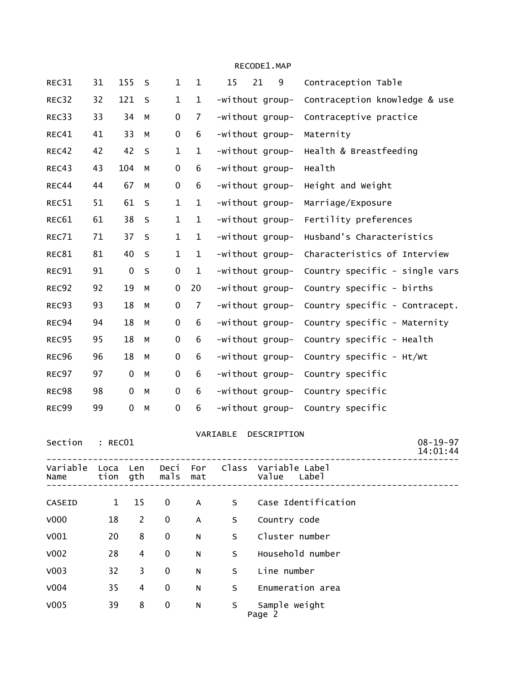| REC31            | 31           | 155         | S              | $\mathbf{1}$     | $\mathbf 1$    | 15              | 21<br>9                 | Contraception Table            |
|------------------|--------------|-------------|----------------|------------------|----------------|-----------------|-------------------------|--------------------------------|
| REC32            | 32           | 121         | S              | $\mathbf{1}$     | $\mathbf{1}$   | -without group- |                         | Contraception knowledge & use  |
| REC33            | 33           | 34          | М              | $\pmb{0}$        | 7              | -without group- |                         | Contraceptive practice         |
| REC41            | 41           | 33          | М              | $\boldsymbol{0}$ | 6              | -without group- |                         | Maternity                      |
| REC42            | 42           | 42          | $\sf S$        | $\mathbf{1}$     | $\mathbf{1}$   | -without group- |                         | Health & Breastfeeding         |
| REC43            | 43           | 104         | М              | $\pmb{0}$        | 6              | -without group- |                         | Health                         |
| REC44            | 44           | 67          | M              | $\boldsymbol{0}$ | 6              | -without group- |                         | Height and Weight              |
| REC51            | 51           | 61          | S              | $\mathbf{1}$     | $\mathbf{1}$   | -without group- |                         | Marriage/Exposure              |
| REC61            | 61           | 38          | $\sf S$        | $\mathbf{1}$     | $\mathbf{1}$   | -without group- |                         | Fertility preferences          |
| REC71            | 71           | 37          | S              | $\mathbf{1}$     | $\mathbf{1}$   | -without group- |                         | Husband's Characteristics      |
| REC81            | 81           | 40          | S              | $\mathbf 1$      | $\mathbf{1}$   | -without group- |                         | Characteristics of Interview   |
| REC91            | 91           | $\pmb{0}$   | $\sf S$        | $\pmb{0}$        | $\mathbf{1}$   | -without group- |                         | Country specific - single vars |
| REC92            | 92           | 19          | M              | $\boldsymbol{0}$ | 20             | -without group- |                         | Country specific - births      |
| REC93            | 93           | 18          | М              | $\pmb{0}$        | $\overline{7}$ | -without group- |                         | Country specific - Contracept. |
| REC94            | 94           | 18          | М              | $\pmb{0}$        | 6              | -without group- |                         | Country specific - Maternity   |
| REC95            | 95           | 18          | М              | $\mathbf 0$      | 6              | -without group- |                         | Country specific - Health      |
| REC96            | 96           | 18          | M              | 0                | 6              | -without group- |                         | Country specific - Ht/Wt       |
| REC97            | 97           | $\pmb{0}$   | M              | $\pmb{0}$        | 6              | -without group- |                         | Country specific               |
| REC98            | 98           | $\mathbf 0$ | M              | $\mathbf 0$      | 6              | -without group- |                         | Country specific               |
| REC99            | 99           | $\pmb{0}$   | M              | $\pmb{0}$        | 6              | -without group- |                         | Country specific               |
|                  |              |             |                |                  |                | VARIABLE        | DESCRIPTION             |                                |
| Section          | : REC01      |             |                |                  |                |                 |                         | $08 - 19 - 97$<br>14:01:44     |
| Variable<br>Name | Loca<br>tion | Len<br>gth  |                | Deci<br>mals     | For<br>mat     | Class           | Variable Label<br>Value | Labe]                          |
| CASEID           | 1            | 15          |                | 0                | A              | S               |                         | Case Identification            |
| V000             | 18           |             | $\overline{c}$ | 0                | A              | S               | Country code            |                                |
| V001             | 20           |             | 8              | 0                | N              | S               | Cluster number          |                                |
| V <sub>002</sub> | 28           |             | 4              | 0                | N              | S               |                         | Household number               |
| V <sub>003</sub> | 32           |             | 3              | 0                | N              | S               | Line number             |                                |
| V004             | 35           |             | 4              | 0                | N              | S               |                         | Enumeration area               |
| V005             | 39           |             | 8              | 0                | N              | S               | Sample weight           |                                |
|                  |              |             |                |                  |                |                 | Page 2                  |                                |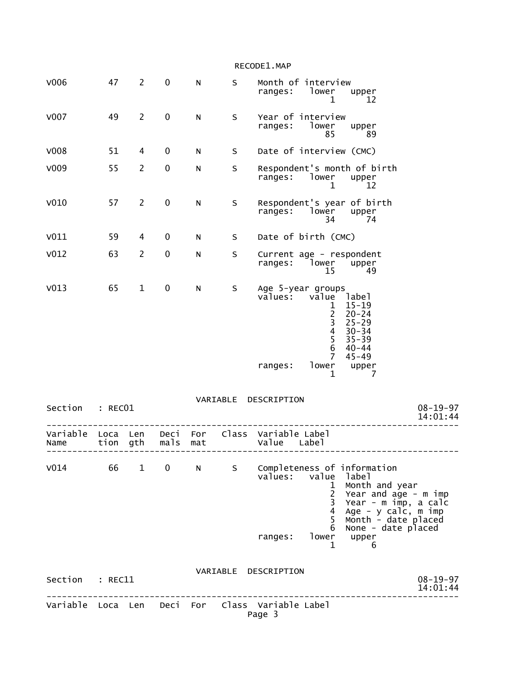|                  |              |                |              |            |          | RECODE1.MAP                                                                                                                                                                                                                                                                 |
|------------------|--------------|----------------|--------------|------------|----------|-----------------------------------------------------------------------------------------------------------------------------------------------------------------------------------------------------------------------------------------------------------------------------|
| V006             | 47           | $\overline{2}$ | $\pmb{0}$    | ${\sf N}$  | S        | Month of interview<br>lower<br>ranges:<br>upper<br>1<br>12                                                                                                                                                                                                                  |
| V007             | 49           | $\overline{2}$ | $\pmb{0}$    | ${\sf N}$  | S        | Year of interview<br>ranges:<br>lower<br>upper<br>85<br>89                                                                                                                                                                                                                  |
| V008             | 51           | 4              | 0            | N          | S        | Date of interview (CMC)                                                                                                                                                                                                                                                     |
| V009             | 55           | $\overline{2}$ | $\pmb{0}$    | N          | S        | Respondent's month of birth<br>ranges:<br>lower<br>upper<br>1<br>12                                                                                                                                                                                                         |
| V010             | 57           | $\overline{2}$ | 0            | N          | S        | Respondent's year of birth<br>ranges:<br>lower<br>upper<br>- 74<br>34                                                                                                                                                                                                       |
| V011             | 59           | 4              | 0            | N          | S        | Date of birth (CMC)                                                                                                                                                                                                                                                         |
| V <sub>012</sub> | 63           | $\overline{2}$ | 0            | N          | S        | Current age - respondent<br>lower<br>ranges:<br>upper<br>15<br>49                                                                                                                                                                                                           |
| V <sub>013</sub> | 65           | $\mathbf{1}$   | 0            | ${\sf N}$  | S        | Age 5-year groups<br>value<br>values:<br>label<br>$15 - 19$<br>1<br>$\begin{array}{c} 2 \\ 3 \\ 4 \end{array}$<br>$20 - 24$<br>$25 - 29$<br>$30 - 34$<br>5<br>$35 - 39$<br>6<br>$40 - 44$<br>7<br>$45 - 49$<br>lower<br>ranges:<br>upper<br>1<br>7                          |
| Section          | : RECO1      |                |              |            | VARIABLE | DESCRIPTION<br>$08 - 19 - 97$<br>14:01:44                                                                                                                                                                                                                                   |
| Variable<br>Name | Loca<br>tion | Len<br>gth     | Deci<br>mals | For<br>mat | Class    | Variable Label<br>Value<br>Label                                                                                                                                                                                                                                            |
| V014             | 66           |                | $1 \qquad 0$ | N          | S        | Completeness of information<br>values: value label<br>Month and year<br>$\mathbf 1$<br>$2^{\circ}$<br>Year and age - m imp<br>3<br>Year - m imp, a calc<br>4<br>Age - $y$ calc, $m$ imp<br>5<br>Month - date placed<br>None - date placed<br>6<br>lower<br>ranges:<br>upper |
|                  |              |                |              |            |          | $\mathbf{1}$<br>$\sim$ 6                                                                                                                                                                                                                                                    |
| Section : REC11  |              |                |              |            |          | VARIABLE DESCRIPTION<br>$08 - 19 - 97$<br>14:01:44                                                                                                                                                                                                                          |
|                  |              |                |              |            |          | Variable Loca Len Deci For Class Variable Label<br>Page 3                                                                                                                                                                                                                   |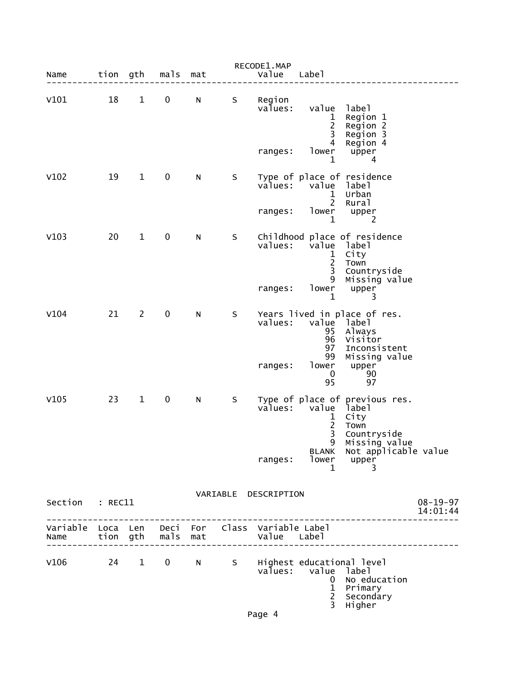| Name                      | tion gth |                        | mals             | mat            |         | RECODE1.MAP<br>Value                | Labe <sub>1</sub>                                              |                                                                                                       |                            |
|---------------------------|----------|------------------------|------------------|----------------|---------|-------------------------------------|----------------------------------------------------------------|-------------------------------------------------------------------------------------------------------|----------------------------|
| V101                      | 18       | $\mathbf{1}$           | $\mathbf 0$      | N              | S       | Region<br>values:                   | value label<br>$\mathbf{1}$<br>$\overline{2}$<br>3             | Region 1<br>Region 2                                                                                  |                            |
|                           |          |                        |                  |                |         | ranges:                             | 4<br>lower<br>$\mathbf{1}$                                     | Region 3<br>Region 4<br>upper<br>4                                                                    |                            |
| V102                      | 19       | $\mathbf{1}$           | $\pmb{0}$        | N              | S       | values:                             | value label<br>$\mathbf{1}$<br>$2^{\circ}$                     | Type of place of residence<br>Urban                                                                   |                            |
|                           |          |                        |                  |                |         | ranges:                             | $\mathbf{1}$                                                   | Rural<br>lower upper<br>2                                                                             |                            |
| V103                      | 20       | $\mathbf{1}$           | $\pmb{0}$        | N              | $\sf S$ | values:                             | value label<br>$\begin{array}{c} 1 \\ 2 \\ 3 \end{array}$<br>9 | Childhood place of residence<br>City<br>Town<br>Countryside<br>Missing value                          |                            |
|                           |          |                        |                  |                |         | ranges:                             | lower<br>1                                                     | upper<br>3                                                                                            |                            |
| V104                      | 21       | $2^{\circ}$            | $\pmb{0}$        | N              | S       | values:                             | value label<br>95<br>96<br>97<br>99                            | Years lived in place of res.<br>Always<br>Visitor<br>Inconsistent<br>Missing value                    |                            |
|                           |          |                        |                  |                |         | ranges:                             | lower<br>$\mathbf 0$<br>95                                     | upper<br>90<br>97                                                                                     |                            |
| V105                      | 23       | $\mathbf{1}$           | $\mathbf 0$      | N              | S       |                                     | $\frac{1}{2}$<br>9                                             | Type of place of previous res.<br>values: value label<br>City<br>Town<br>Countryside<br>Missing value |                            |
|                           |          |                        |                  |                |         | ranges:                             | lower<br>1                                                     | BLANK Not applicable value<br>upper<br>3                                                              |                            |
| Section                   | : REC11  |                        |                  |                |         | VARIABLE DESCRIPTION                |                                                                |                                                                                                       | $08 - 19 - 97$<br>14:01:44 |
| Variable Loca Len<br>Name | tion gth |                        | Deci For<br>mals | mat            |         | Class Variable Label<br>Value Label |                                                                |                                                                                                       |                            |
| V106                      | 24       | $1 \quad \blacksquare$ | $\mathbf 0$      | N <sub>1</sub> | S       | val̃ues:                            | value<br>0<br>$\mathbf{1}$<br>$\frac{2}{3}$                    | Highest educational level<br>label<br>No education<br>Primary<br>Secondary<br>Higher                  |                            |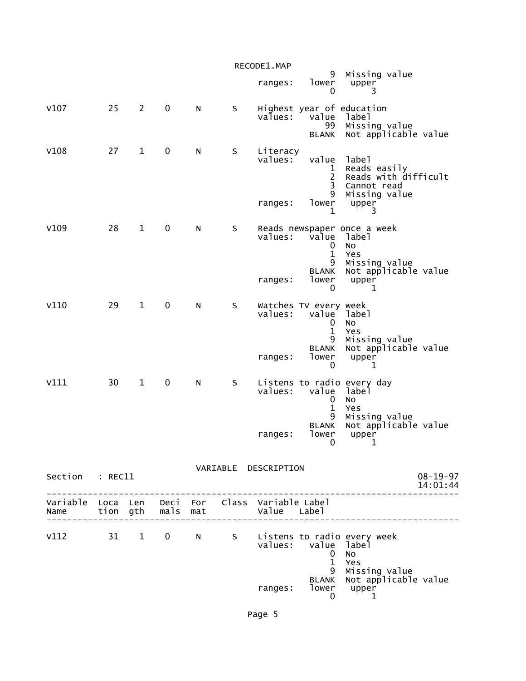|                 |    |                |             |   |         | RECODE1.MAP                                                                               |                                                          |                                                                               |                            |
|-----------------|----|----------------|-------------|---|---------|-------------------------------------------------------------------------------------------|----------------------------------------------------------|-------------------------------------------------------------------------------|----------------------------|
|                 |    |                |             |   |         | ranges:                                                                                   | 9<br>lower<br>0                                          | Missing value<br>upper<br>3                                                   |                            |
| V107            | 25 | $\overline{2}$ | $\mathbf 0$ | N | $\sf S$ | values:                                                                                   | value<br>99<br><b>BLANK</b>                              | Highest year of education<br>label<br>Missing value<br>Not applicable value   |                            |
| V108            | 27 | $\mathbf{1}$   | $\pmb{0}$   | N | S       | Literacy<br>values:                                                                       | value<br>1<br>$\overline{c}$<br>3<br>9                   | label<br>Reads easily<br>Reads with difficult<br>Cannot read<br>Missing value |                            |
|                 |    |                |             |   |         | ranges:                                                                                   | lower<br>1                                               | upper<br>3                                                                    |                            |
| V109            | 28 | $\mathbf{1}$   | $\mathbf 0$ | N | S       | values:                                                                                   | value<br>0<br>$\mathbf{1}$<br>9                          | Reads newspaper once a week<br>label<br>No<br>Yes<br>Missing value            |                            |
|                 |    |                |             |   |         | ranges:                                                                                   | <b>BLANK</b><br>lower<br>$\mathbf{0}$                    | Not applicable value<br>upper<br>$\mathbf{1}$                                 |                            |
| V110            | 29 | $\mathbf{1}$   | $\pmb{0}$   | N | S       | values:                                                                                   | Watches TV every week<br>value<br>0<br>$\mathbf{1}$<br>9 | label<br>No<br>Yes<br>Missing value                                           |                            |
|                 |    |                |             |   |         | ranges:                                                                                   | <b>BLANK</b><br>lower<br>0                               | Not applicable value<br>upper<br>1                                            |                            |
| V111            | 30 | $\mathbf{1}$   | $\pmb{0}$   | N | S       | values:                                                                                   | value<br>0<br>$\mathbf{1}$                               | Listens to radio every day<br>label<br>No<br>Yes                              |                            |
|                 |    |                |             |   |         | ranges:                                                                                   | 9<br><b>BLANK</b><br>lower<br>$\overline{0}$             | Missing value<br>Not applicable value<br>upper<br>-1                          |                            |
|                 |    |                |             |   |         | VARIABLE DESCRIPTION                                                                      |                                                          |                                                                               |                            |
| Section : REC11 |    |                |             |   |         |                                                                                           |                                                          | ----------------                                                              | $08 - 19 - 97$<br>14:01:44 |
|                 |    |                |             |   |         | Variable Loca Len Deci For Class Variable-Label<br>Name tion gth mals mat and Value Label |                                                          |                                                                               |                            |
| V112 31 1 0 N   |    |                |             |   |         |                                                                                           | values: value label<br>$\mathbf{0}$<br>$\mathbf{1}$      | S Listens to radio every week<br>No<br>Yes                                    |                            |
|                 |    |                |             |   |         | ranges:                                                                                   | 9<br>0                                                   | Missing value<br>BLANK Not applicable value<br>lower upper<br>1               |                            |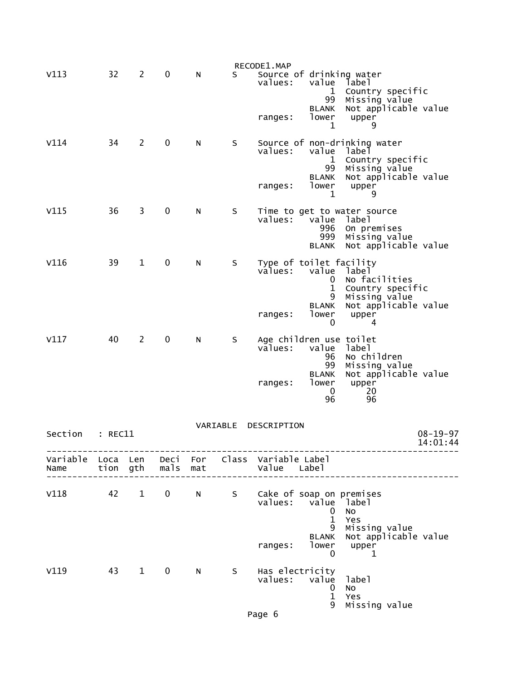| V113                      | 32       | 2              | $\mathbf 0$  | N   | S.       | RECODE1.MAP<br>Source of drinking water<br>values:<br>value<br>label<br>Country specific<br>$\mathbf{1}$<br>Missing value<br>99                                   |  |
|---------------------------|----------|----------------|--------------|-----|----------|-------------------------------------------------------------------------------------------------------------------------------------------------------------------|--|
|                           |          |                |              |     |          | Not applicable value<br><b>BLANK</b><br>lower<br>upper<br>ranges:<br>1<br>9                                                                                       |  |
| V114                      | 34       | $\overline{2}$ | 0            | N   | S        | Source of non-drinking water<br>values:<br>value<br>label<br>$\mathbf 1$<br>Country specific<br>99<br>Missing value<br>Not applicable value<br><b>BLANK</b>       |  |
|                           |          |                |              |     |          | lower<br>upper<br>ranges:<br>1<br>9                                                                                                                               |  |
| V115                      | 36       | 3              | 0            | N   | S        | Time to get to water source<br>values:<br>value<br>label<br>996<br>On premises<br>999<br>Missing value<br>Not applicable value<br><b>BLANK</b>                    |  |
| V116                      | 39       | 1              | 0            | N   | S        | Type of toilet facility<br>values:<br>value<br>label<br>No facilities<br>0<br>Country specific<br>1<br>9<br>Missing value<br>Not applicable value<br><b>BLANK</b> |  |
|                           |          |                |              |     |          | lower<br>upper<br>ranges:<br>0<br>4                                                                                                                               |  |
| V117                      | 40       | $\overline{2}$ | 0            | N   | S        | Age children use toilet<br>values:<br>value<br>label<br>96<br>No children<br>99<br>Missing value<br>Not applicable value<br><b>BLANK</b>                          |  |
|                           |          |                |              |     |          | lower<br>upper<br>ranges:<br>20<br>0<br>96<br>96                                                                                                                  |  |
| Section                   | : REC11  |                |              |     | VARIABLE | DESCRIPTION<br>$08 - 19 - 97$                                                                                                                                     |  |
|                           |          |                |              |     |          | 14:01:44                                                                                                                                                          |  |
| Variable Loca Len<br>Name | tion gth |                | mals         | mat |          | Deci For Class Variable Label<br>Value Label                                                                                                                      |  |
| V118                      | 42       | $\mathbf{1}$   | $\mathbf{0}$ | N,  |          | S Cake of soap on premises<br>values:<br>value label<br>0<br><b>NO</b><br>$\mathbf 1$<br>Yes<br>9<br>Missing value<br>BLANK Not applicable value                  |  |

 ranges: lower upper  $\sim$  0  $\sim$  1 V119 43 1 0 N S values: value label (1999) values: value label (1999) value label (1999) value label (1999) value  $\sim$  0 No 1 Yes 9 Missing value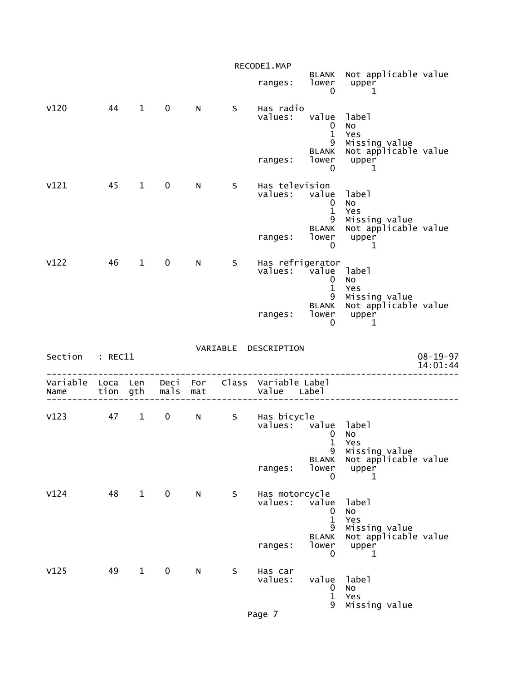|                 |    |              |                   |              |     | RECODE1.MAP                                                    |                                             |                                                                 |                            |
|-----------------|----|--------------|-------------------|--------------|-----|----------------------------------------------------------------|---------------------------------------------|-----------------------------------------------------------------|----------------------------|
|                 |    |              |                   |              |     | ranges:                                                        | lower<br>$\mathbf 0$                        | BLANK Not applicable value<br>upper<br>1                        |                            |
| V120            | 44 | $\mathbf{1}$ | $\mathbf 0$       | N            | S   | Has radio<br>values:                                           | value label<br>$\mathbf{0}$<br>$\mathbf{1}$ | No<br>Yes                                                       |                            |
|                 |    |              |                   |              |     | ranges:                                                        | 9<br>lower<br>$\mathbf{0}$                  | Missing value<br>BLANK Not applicable value<br>upper<br>1       |                            |
| V121            | 45 | $\mathbf{1}$ | $\mathbf 0$       | N            | S.  | Has television<br>values: value                                | $\mathbf 0$<br>$\mathbf{1}$<br>9            | label<br>No<br>Yes<br>Missing value                             |                            |
|                 |    |              |                   |              |     | ranges:                                                        | <b>BLANK</b><br>lower<br>0                  | Not applicable value<br>upper<br>1                              |                            |
| V122            | 46 | $\mathbf{1}$ | 0                 | N            | S – | Has refrigerator<br>values: value label                        | $\mathbf{0}$<br>$\mathbf{1}$                | No<br>Yes                                                       |                            |
|                 |    |              |                   |              |     | ranges:                                                        | 9<br>0                                      | Missing value<br>BLANK Not applicable value<br>lower upper<br>1 |                            |
| Section : REC11 |    |              |                   |              |     | VARIABLE DESCRIPTION                                           |                                             |                                                                 | $08 - 19 - 97$<br>14:01:44 |
| Name            |    |              |                   |              |     |                                                                |                                             |                                                                 |                            |
|                 |    |              | tion gth mals mat |              |     | Variable Loca Len Deci For Class Variable Label<br>Value Label |                                             |                                                                 |                            |
| V123            |    |              | 47 1 0 N          |              |     | s – Has bicycle<br>values: value label                         | 0<br>$\mathbf{1}$                           | No<br>Yes                                                       |                            |
|                 |    |              |                   |              |     | ranges:                                                        | 9<br><b>BLANK</b><br>lower<br>0             | Missing value<br>Not applicable value<br>upper<br>1             |                            |
| V124            | 48 | $\mathbf{1}$ | $\mathbf 0$       | $\mathsf{N}$ | S   | Has motorcycle<br>values:                                      | value<br>0<br>$\mathbf{1}$                  | label<br>No<br>Yes                                              |                            |
|                 |    |              |                   |              |     | ranges:                                                        | 9<br><b>BLANK</b><br>lower<br>$\mathbf{0}$  | Missing value<br>Not applicable value<br>upper<br>1             |                            |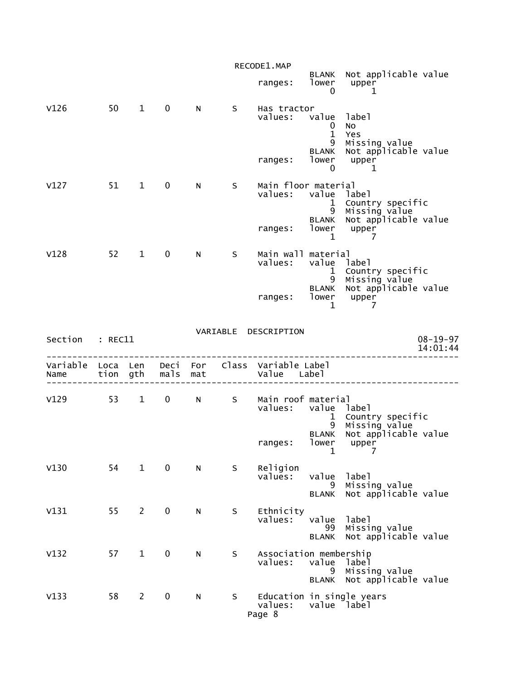|                           |          |                |                  |     |   | RECODE1.MAP                               |                                  |                                                                 |  |
|---------------------------|----------|----------------|------------------|-----|---|-------------------------------------------|----------------------------------|-----------------------------------------------------------------|--|
|                           |          |                |                  |     |   | ranges:                                   | 0                                | BLANK Not applicable value<br>lower upper<br>1                  |  |
| V126                      | 50       | $\overline{1}$ | $\mathbf 0$      | N   | S | Has tractor<br>values:                    | value label<br>0<br>$\mathbf{1}$ | No<br>Yes                                                       |  |
|                           |          |                |                  |     |   | ranges:                                   | 9<br>0                           | Missing value<br>BLANK Not applicable value<br>lower upper<br>1 |  |
| V127                      | 51       | $1 \quad$      | $\mathbf 0$      | N   | S | Main floor material<br>values:            | value label<br>9                 | 1 Country specific<br>Missing value                             |  |
|                           |          |                |                  |     |   | ranges:                                   | <b>BLANK</b><br>$\mathbf{1}$     | Not applicable value<br>lower upper<br>7                        |  |
| V128                      | 52       | $1 \quad$      | $\mathbf 0$      | N   | S | Main wall material<br>values:             | value label                      | 1 Country specific<br>9 Missing value                           |  |
|                           |          |                |                  |     |   | ranges:                                   | $\mathbf{1}$                     | BLANK Not applicable value<br>lower upper<br>- 7                |  |
|                           |          |                |                  |     |   |                                           |                                  |                                                                 |  |
| Section                   | : REC11  |                |                  |     |   | VARIABLE DESCRIPTION                      |                                  | $08 - 19 - 97$<br>14:01:44                                      |  |
| Variable Loca Len<br>Name | tion gth |                | Deci<br>mals mat |     |   | For Class Variable Label<br>Value Label   |                                  |                                                                 |  |
| $V129$ 53                 |          | $1 \quad$      |                  | 0 N | S | Main roof material<br>values: value label | 9                                | 1 Country specific<br>Missing value                             |  |
|                           |          |                |                  |     |   | ranges:                                   | 1                                | BLANK Not applicable value<br>lower upper<br>7                  |  |
| V130                      | 54       | $\mathbf{1}$   | $\mathbf 0$      | N   | S | Religion<br>values:                       | value<br>9<br>BLANK              | label<br>Missing value<br>Not applicable value                  |  |
| V131                      | 55       | $2^{\circ}$    | $\mathbf 0$      | N   | S | Ethnicity<br>values:                      | value<br>99<br><b>BLANK</b>      | label<br>Missing value<br>Not applicable value                  |  |
| V132                      | 57       | $\mathbf{1}$   | $\mathbf 0$      | N   | S | Association membership<br>values:         | value label<br>9<br>BLANK        | Missing value<br>Not applicable value                           |  |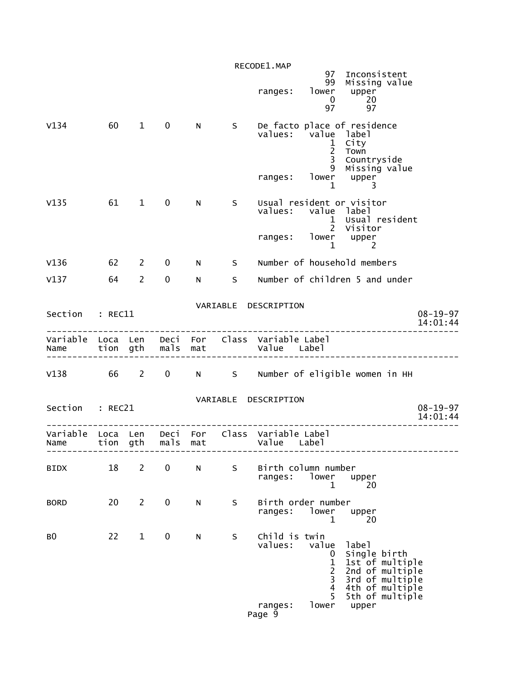|                 |               |                |             |              |                | RECODE1.MAP                                                                                                                                                                                                                                                                 |
|-----------------|---------------|----------------|-------------|--------------|----------------|-----------------------------------------------------------------------------------------------------------------------------------------------------------------------------------------------------------------------------------------------------------------------------|
|                 |               |                |             |              |                | 97 Inconsistent<br>99 Missing value<br>ranges: lower upper<br>0 20<br>97 97                                                                                                                                                                                                 |
| V134            | 60 1          |                | $\mathbf 0$ |              |                | N S De facto place of residence<br>values: value label<br>1 City<br>2 <sup>1</sup><br>Town<br>$\overline{3}$<br>Countryside<br>9 Missing value<br>ranges: lower upper                                                                                                       |
| V135            | 61 1          |                | $\mathbf 0$ | N            | S              | Usual resident or visitor<br>values: value label<br>1 Usual resident<br>2 Visitor<br>ranges: lower upper<br>$1 \qquad \qquad 2$                                                                                                                                             |
| V136            | $62 \qquad 2$ |                | $\mathbf 0$ |              | N <sub>S</sub> | Number of household members                                                                                                                                                                                                                                                 |
| $V137$ 64 2     |               |                | $\mathbf 0$ | $N \sim$     |                | S Number of children 5 and under                                                                                                                                                                                                                                            |
| Section : REC11 |               |                |             |              |                | VARIABLE DESCRIPTION<br>$08 - 19 - 97$<br>14:01:44                                                                                                                                                                                                                          |
|                 |               |                |             |              |                | Variable Loca Len Deci For Class Variable Label<br>Name tion gth mals mat value Label                                                                                                                                                                                       |
|                 |               |                |             |              |                | V138 66 2 0 N S Number of eligible women in HH                                                                                                                                                                                                                              |
| Section : REC21 |               |                |             |              |                | VARIABLE DESCRIPTION<br>$08 - 19 - 97$<br>14:01:44                                                                                                                                                                                                                          |
|                 |               |                |             |              |                | Variable Loca Len Deci For Class Variable Label<br>Name tion gth mals mat Value Label                                                                                                                                                                                       |
| BIDX            | 18            | $\overline{2}$ | $\mathbf 0$ | $\mathsf{N}$ | S              | Birth column number<br>ranges: lower<br>upper<br>20<br>1                                                                                                                                                                                                                    |
| <b>BORD</b>     | 20            | $\overline{2}$ | $\mathbf 0$ | N            | S              | Birth order number<br>ranges: lower<br>upper<br>1<br>20                                                                                                                                                                                                                     |
| BO.             | 22            | $\mathbf{1}$   | 0           | N            | S              | Child is twin<br>value<br>values:<br>label<br>Single birth<br>0<br>$\mathbf 1$<br>1st of multiple<br>$\overline{2}$<br>2nd of multiple<br>$\overline{\mathbf{3}}$<br>3rd of multiple<br>$\overline{4}$<br>4th of multiple<br>5th of multiple<br>5<br>lower upper<br>ranges: |
|                 |               |                |             |              |                | Page 9                                                                                                                                                                                                                                                                      |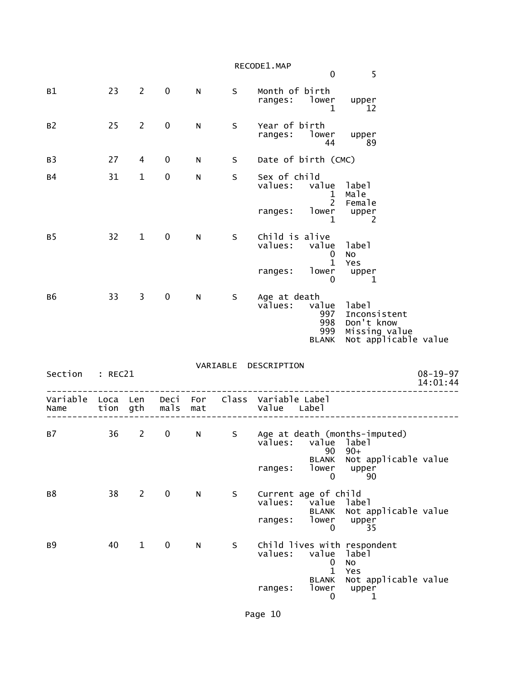|                  |          |                |             |                 |          | RECODE1.MAP                            | 0                                          | 5                                                                            |                            |
|------------------|----------|----------------|-------------|-----------------|----------|----------------------------------------|--------------------------------------------|------------------------------------------------------------------------------|----------------------------|
| B1               | 23       | $\overline{2}$ | $\mathbf 0$ | N               | S        | Month of birth<br>ranges: lower        | 1                                          | upper<br>12                                                                  |                            |
| B <sub>2</sub>   | 25       | $\overline{2}$ | $\mathbf 0$ | N               | $\sf S$  | Year of birth<br>ranges:               | lower<br>44                                | upper<br>89                                                                  |                            |
| B <sub>3</sub>   | 27       | 4              | 0           | N               | S        | Date of birth (CMC)                    |                                            |                                                                              |                            |
| <b>B4</b>        | 31       | $\mathbf{1}$   | 0           | N               | $\sf S$  | Sex of child<br>values:                | value label<br>$\mathbf{1}$<br>$2^{\circ}$ | Male<br>Female                                                               |                            |
|                  |          |                |             |                 |          | ranges:                                | lower<br>$\mathbf{1}$                      | upper<br>2                                                                   |                            |
| B <sub>5</sub>   | 32       | $\mathbf{1}$   | $\mathbf 0$ | N               | S        | Child is alive<br>values:              | value<br>0                                 | label<br>NO                                                                  |                            |
|                  |          |                |             |                 |          | ranges:                                | $\mathbf{1}$<br>lower<br>0                 | Yes<br>upper<br>1                                                            |                            |
| B <sub>6</sub>   | 33       | 3              | 0           | N               | S        | Age at death<br>values:                | value<br>997<br>998<br>999<br><b>BLANK</b> | label<br>Inconsistent<br>Don't know<br>Missing value<br>Not applicable value |                            |
| Section          | : REC21  |                |             |                 | VARIABLE | DESCRIPTION                            |                                            |                                                                              | $08 - 19 - 97$<br>14:01:44 |
| Variable<br>Name | Loca Len | tion gth       | mals        | Deci For<br>mat |          | Class Variable Label<br>Value Label    |                                            |                                                                              |                            |
| B7               | 36       | 2              | $\mathbf 0$ | N               | S        | values: value label<br>ranges:         | 90<br><b>BLANK</b><br>lower                | Age at death (months-imputed)<br>$90+$<br>Not applicable value<br>upper      |                            |
| B <sup>8</sup>   | 38       | $2^{\sim}$     | $\mathbf 0$ | $\mathsf{N}$    | S        | Current age of child                   | 0                                          | 90                                                                           |                            |
|                  |          |                |             |                 |          | values:<br>ranges:                     | ́value<br><b>BLANK</b><br>lower<br>0       | label<br>Not applicable value<br>upper<br>35                                 |                            |
| B <sub>9</sub>   | 40       | $\mathbf{1}$   | $\mathbf 0$ | $\mathsf{N}$    | S        | Child lives with respondent<br>values: | value<br>0<br>$\mathbf{1}$                 | label<br>No                                                                  |                            |
|                  |          |                |             |                 |          | ranges:                                | <b>BLANK</b><br>lower<br>$\mathbf{0}$      | Yes<br>Not applicable value<br>upper<br>1                                    |                            |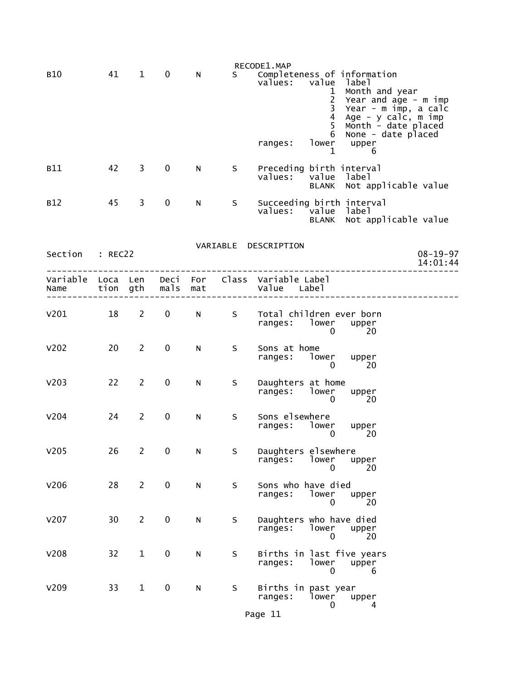|                 |    |                |             |              |   | RECODE1.MAP                                                                                                                                                                                                                                      |
|-----------------|----|----------------|-------------|--------------|---|--------------------------------------------------------------------------------------------------------------------------------------------------------------------------------------------------------------------------------------------------|
| <b>B10</b>      | 41 | $\mathbf{1}$   | $\mathbf 0$ | N            |   | S Completeness of information<br>value<br>label<br>values:<br>1 Month and year<br>2 Year and age - m imp<br>$\mathbf{3}$<br>Year - m imp, a calc<br>$\overline{4}$<br>Age - y calc, m imp<br>Month - date placed<br>None - date placed<br>5<br>6 |
|                 |    |                |             |              |   | lower upper<br>ranges:<br>1<br>6                                                                                                                                                                                                                 |
| <b>B11</b>      | 42 | $\mathbf{3}$   | $\mathbf 0$ | N            | S | Preceding birth interval<br>values: value label<br>BLANK Not applicable value                                                                                                                                                                    |
| <b>B12</b>      | 45 | 3              | $\mathbf 0$ | N.           | S | Succeeding birth interval<br>values: value label<br>BLANK Not applicable value                                                                                                                                                                   |
|                 |    |                |             |              |   | VARIABLE DESCRIPTION                                                                                                                                                                                                                             |
| Section : REC22 |    |                |             |              |   | $08 - 19 - 97$<br>14:01:44                                                                                                                                                                                                                       |
|                 |    |                |             |              |   | Variable Loca Len Deci For Class Variable Label<br>Name tion gth mals mat Value Label                                                                                                                                                            |
| V201 18 2 0     |    |                |             |              |   | N S Total children ever born<br>ranges: lower upper<br>0<br>$\overline{20}$                                                                                                                                                                      |
| V202            | 20 | $2^{\circ}$    | $\mathbf 0$ | $\mathsf{N}$ | S | Sons at home<br>ranges: lower upper<br>$\overline{0}$<br>20                                                                                                                                                                                      |
| V203            | 22 | $\mathbf{2}$   | $\mathbf 0$ | N            | S | Daughters at home<br>ranges: lower upper<br>$\Omega$<br>-20                                                                                                                                                                                      |
| V204            | 24 | $2^{\circ}$    | $\mathbf 0$ | N.           | S | Sons elsewhere<br>ranges: lower upper<br>20<br>0                                                                                                                                                                                                 |
| V205            | 26 | $\overline{2}$ | 0           | N            | S | Daughters elsewhere<br>lower<br>ranges:<br>upper<br>0<br>20                                                                                                                                                                                      |
| V206            | 28 | $\overline{2}$ | $\pmb{0}$   | N            | S | Sons who have died<br>lower<br>ranges:<br>upper<br>0<br>20                                                                                                                                                                                       |
| v207            | 30 | $\overline{2}$ | $\pmb{0}$   | N            | S | Daughters who have died<br>lower<br>ranges:<br>upper<br>20<br>0                                                                                                                                                                                  |
| <b>V208</b>     | 32 | $\mathbf{1}$   | $\pmb{0}$   | N            | S | Births in last five years<br>ranges:<br>lower<br>upper<br>0<br>6                                                                                                                                                                                 |
| V209            | 33 | $\mathbf{1}$   | 0           | N            | S | Births in past year<br>lower<br>ranges:<br>upper<br>0<br>4                                                                                                                                                                                       |
|                 |    |                |             |              |   | Page 11                                                                                                                                                                                                                                          |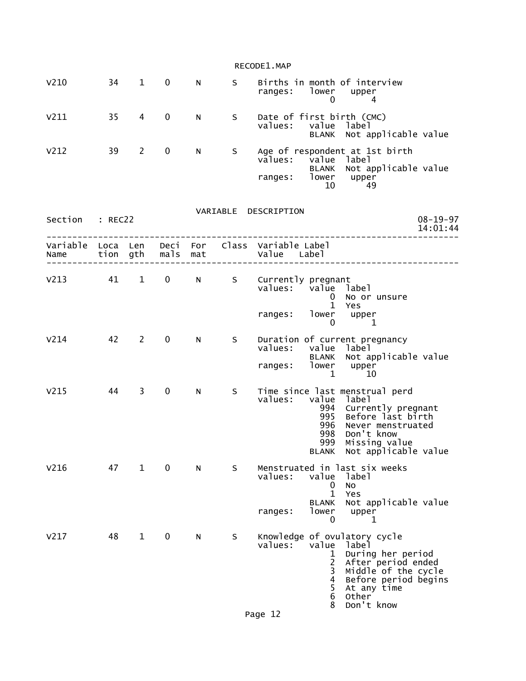|                  |    |                |                   |             |    | RECODE1.MAP                                                                                                                                                                                                                                        |
|------------------|----|----------------|-------------------|-------------|----|----------------------------------------------------------------------------------------------------------------------------------------------------------------------------------------------------------------------------------------------------|
| V <sub>210</sub> | 34 | $\mathbf{1}$   | 0                 | N           | S  | Births in month of interview<br>ranges:<br>lower upper<br>0<br>4                                                                                                                                                                                   |
| V211             | 35 | $\overline{4}$ | $\mathbf 0$       | N           | S. | Date of first birth (CMC)<br>values: value label<br>BLANK Not applicable value                                                                                                                                                                     |
| V <sub>212</sub> | 39 | $\overline{2}$ | 0                 | N           | S  | Age of respondent at 1st birth<br>vālues:<br>value<br>label<br>BLANK Not applicable value<br>ranges: lower upper<br>10<br>49                                                                                                                       |
| Section : REC22  |    |                |                   |             |    | VARIABLE DESCRIPTION<br>$08 - 19 - 97$<br>14:01:44                                                                                                                                                                                                 |
| Name             |    |                | tion gth mals     | mat         |    | Variable Loca Len Deci For Class Variable Label<br>Value Label                                                                                                                                                                                     |
| $V213$ 41        |    | $1 \quad$      | $0 \qquad \qquad$ | $N$ and $N$ |    | S Currently pregnant<br>values: value label<br>No or unsure<br>$\mathbf{0}$<br>$\mathbf{1}$<br>Yes                                                                                                                                                 |
|                  |    |                |                   |             |    | ranges: lower<br>upper<br>$\Omega$<br>-1                                                                                                                                                                                                           |
| V <sub>214</sub> | 42 | $\overline{2}$ | 0                 | N           | S. | Duration of current pregnancy<br>values:<br>value label<br>Not applicable value<br><b>BLANK</b><br>lower<br>ranges:<br>upper<br>$\mathbf{1}$<br>10                                                                                                 |
| V <sub>215</sub> | 44 | 3              | $\mathbf 0$       | N           | S  | Time since last menstrual perd<br>values: value<br>1abe1<br>994<br>Currently pregnant<br>Before last birth<br>995<br>996<br>Never menstruated<br>Don't know<br>998<br>Missing value<br>999<br>BLANK Not applicable value                           |
| V <sub>216</sub> | 47 | $\mathbf{1}$   | $\mathbf 0$       | N           | S  | Menstruated in last six weeks<br>value<br>values:<br>label<br>No<br>0<br>$\mathbf{1}$<br>Yes<br>Not applicable value<br><b>BLANK</b><br>lower<br>ranges:<br>upper                                                                                  |
|                  |    |                |                   |             |    | 0<br>1                                                                                                                                                                                                                                             |
| V <sub>217</sub> | 48 | $\mathbf{1}$   | 0                 | N           | S  | Knowledge of ovulatory cycle<br>values:<br>value<br>label<br>During her period<br>1<br>2<br>After period ended<br>3<br>Middle of the cycle<br>Before period begins<br>4<br>5<br>At any time<br>$\,6$<br><b>Other</b><br>Don't know<br>8<br>Page 12 |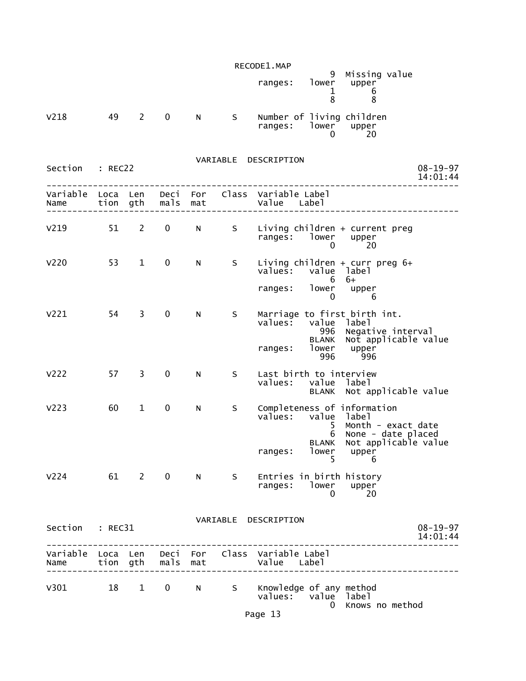|                  |    |              |               |             |     | RECODE1.MAP                                                    |                |                                                                                                         |                            |
|------------------|----|--------------|---------------|-------------|-----|----------------------------------------------------------------|----------------|---------------------------------------------------------------------------------------------------------|----------------------------|
|                  |    |              |               |             |     | ranges: lower upper                                            | 8              | 9 Missing value<br>$\frac{1}{2}$ 6<br>8                                                                 |                            |
| V218             | 49 | $2^{\sim}$   | $\mathbf 0$   | N           | S   | Number of living children<br>ranges: $10wer$ upper<br>0 20     | 0              | 20                                                                                                      |                            |
| Section : REC22  |    |              |               |             |     | VARIABLE DESCRIPTION                                           |                |                                                                                                         | $08 - 19 - 97$<br>14:01:44 |
|                  |    |              |               |             |     |                                                                |                |                                                                                                         |                            |
| v219 51 2        |    |              | $\mathbf{0}$  |             |     | ranges: lower upper                                            | $\Omega$       | N S Living children + current preg<br>20                                                                |                            |
| V <sub>220</sub> |    | 53 1         | $\mathbf 0$   | N           | S   | values: value label                                            | $6\quad 6+$    | Living children + curr preg 6+                                                                          |                            |
|                  |    |              |               |             |     | ranges: lower upper                                            |                | $0 \qquad 6$                                                                                            |                            |
| V221             |    | 54 3         | $\mathbf 0$   | N           | S   | values: value label<br>ranges: lower upper<br>996 996          |                | Marriage to first birth int.<br>996 Negative interval<br>BLANK Not applicable value                     |                            |
| V222             |    | 57 3         | $\mathbf 0$   | N.          | S   | Last birth to interview<br>values: value label                 |                | BLANK Not applicable value                                                                              |                            |
| V <sub>223</sub> | 60 | $\mathbf{1}$ | $\mathbf 0$   | N           | S   | values: value label                                            | 5 <sup>5</sup> | Completeness of information<br>Month - exact date<br>6 None - date placed<br>BLANK Not applicable value |                            |
|                  |    |              |               |             |     | ranges:                                                        | lower<br>5.    | upper<br>6                                                                                              |                            |
| V224 61 2 0      |    |              |               | $N$ and $N$ | S   | Entries in birth history<br>ranges: lower upper                | $\Omega$       | 20                                                                                                      |                            |
| Section : REC31  |    |              |               |             |     | VARIABLE DESCRIPTION                                           |                |                                                                                                         | $08 - 19 - 97$<br>14:01:44 |
| Name             |    |              | tion gth mals | mat         |     | Variable Loca Len Deci For Class Variable Label<br>Value Label |                |                                                                                                         |                            |
| V301             | 18 |              | $1 \quad 0$   | N           | S – | Knowledge of any method<br>values: value label                 |                | 0 Knows no method                                                                                       |                            |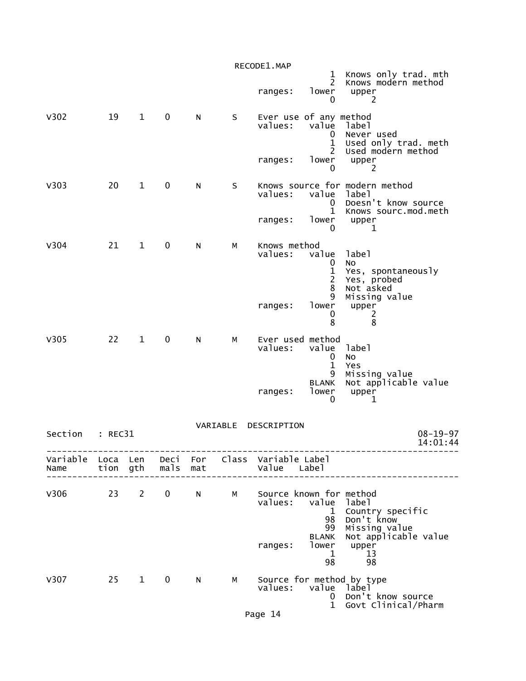|         |         |              |                     |   |          | RECODE1.MAP                                                    |                                              |                                                                                        |
|---------|---------|--------------|---------------------|---|----------|----------------------------------------------------------------|----------------------------------------------|----------------------------------------------------------------------------------------|
|         |         |              |                     |   |          | ranges:                                                        | $\mathbf{1}$<br>$\overline{c}$<br>lower<br>0 | Knows only trad. mth<br>Knows modern method<br>upper<br>2                              |
| V302    | 19      | $\mathbf{1}$ | $\mathbf 0$         | N | S        | Ever use of any method<br>values:                              | value<br>0<br>$\mathbf 1$<br>$\overline{2}$  | label<br>Never used<br>Used only trad. meth<br>Used modern method                      |
|         |         |              |                     |   |          | ranges:                                                        | lower<br>0                                   | upper<br>2                                                                             |
| V303    | 20      | $\mathbf{1}$ | 0                   | N | $\sf S$  | values:                                                        | value<br>0<br>$\mathbf{1}$                   | Knows source for modern method<br>label<br>Doesn't know source<br>Knows sourc.mod.meth |
|         |         |              |                     |   |          | ranges:                                                        | lower<br>0                                   | upper<br>1                                                                             |
| V304    | 21      | $\mathbf{1}$ | 0                   | N | М        | Knows method<br>values:                                        | value<br>0<br>1<br>2                         | label<br>No<br>Yes, spontaneously<br>Yes, probed                                       |
|         |         |              |                     |   |          | ranges:                                                        | 8<br>9<br>lower<br>0<br>8                    | Not asked<br>Missing value<br>upper<br>2<br>8                                          |
| V305    | 22      | $\mathbf{1}$ | 0                   | N | М        | Ever used method<br>values:                                    | value<br>0<br>$\mathbf{1}$<br>9              | label<br>No<br>Yes<br>Missing value                                                    |
|         |         |              |                     |   |          | ranges:                                                        | <b>BLANK</b><br>lower<br>0                   | Not applicable value<br>upper<br>1                                                     |
| Section | : REC31 |              |                     |   | VARIABLE | DESCRIPTION                                                    |                                              | $08 - 19 - 97$<br>14:01:44                                                             |
| Name    |         |              | tion gth  mals  mat |   |          | Variable Loca Len Deci For Class Variable Label<br>Value Label |                                              |                                                                                        |
| V306    |         |              |                     |   |          | 23 2 0 N M Source known for method<br>values: value label      | 98<br>99                                     | 1 Country specific<br>Don't know<br>Missing value                                      |
|         |         |              |                     |   |          | ranges:                                                        | <b>BLANK</b><br>1<br>98                      | Not applicable value<br>lower upper<br>13<br>98                                        |
| V307    |         | $25 \quad 1$ | $\mathbf 0$         | N | М        | values: value label                                            |                                              | Source for method by type<br>0 Don't know source<br>1 Govt Clinical/Pharm              |
|         |         |              |                     |   |          | Page 14                                                        |                                              |                                                                                        |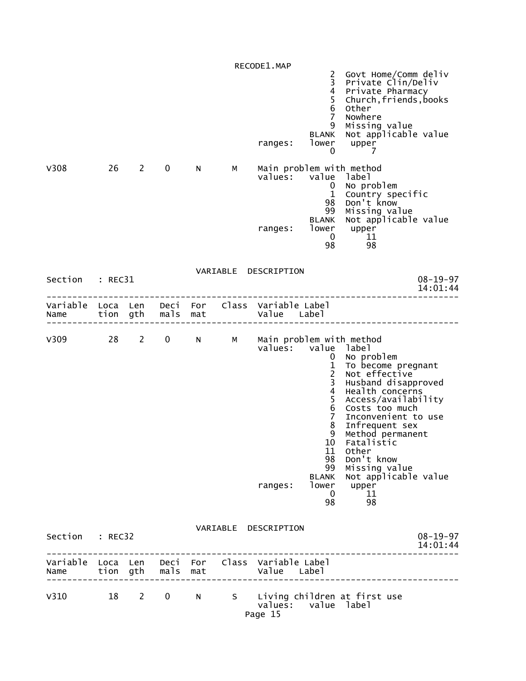RECODE1.MAP 2 Govt Home/Comm deliv 3 Private Clin/Deliv 4 Private Pharmacy 5 Church,friends,books denotes the control of the control of the control of the control of the control of the control of the control of the control of the control of the control of the control of the control of the control of the control of the 7 Nowhere 9 Missing value BLANK Not applicable value<br>ranges: lower upper  $\begin{bmatrix} 1 & 0 \\ 0 & 7 \end{bmatrix}$ <u>0 7</u> V308 26 2 0 N M Main problem with method values: value label denotes the control of the control of the control of the control of the control of the control of the control of the control of the control of the control of the control of the control of the control of the control of the 1 Country specific 98 Don't know 99 Missing value BLANK Not applicable value<br>lower upper ranges: lower upper  $\sim$  0 11 98 98 VARIABLE DESCRIPTION Section : REC31 08-19-97<br>14:01:44 08-19-97 14:01:44 -------------------------------------------------------------------------------- Variable Loca Len Deci For Class Variable Label Name tion gth mals mat Value Label -------------------------------------------------------------------------------- V309 28 2 0 N M Main problem with method values: value label (1899) values: value label (1899) value label (1899) value label (1899) value ( 0 No problem 1 To become pregnant 2 Not effective 3 Husband disapproved 4 Health concerns 5 Access/availability 6 Costs too much 7 Inconvenient to use 8 Infrequent sex 9 Method permanent 10 Fatalistic 11 Other 98 Don't know 99 Missing value BLANK Not applicable value ranges: lower upper  $\sim$  0  $\sim$  11 98 98 VARIABLE DESCRIPTION Section : REC32 08-19-97<br>14:01:44 08-19-97 14:01:44 -------------------------------------------------------------------------------- Variable Loca Len Deci For Class Variable Label Name tion gth mals mat Value Label -------------------------------------------------------------------------------- V310 18 2 0 N S Living children at first use values: value label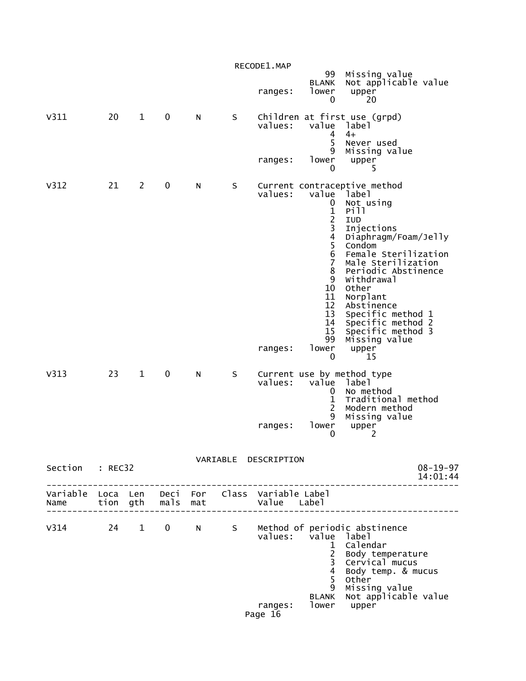|                 |    |                |             |   |   | RECODE1.MAP                               | 99                                                                                                                                                                          | Missing value                                                                                                                                                                                                                                                                                                                          |
|-----------------|----|----------------|-------------|---|---|-------------------------------------------|-----------------------------------------------------------------------------------------------------------------------------------------------------------------------------|----------------------------------------------------------------------------------------------------------------------------------------------------------------------------------------------------------------------------------------------------------------------------------------------------------------------------------------|
|                 |    |                |             |   |   | ranges:                                   | <b>BLANK</b><br>lower<br>0                                                                                                                                                  | Not applicable value<br>upper<br>20                                                                                                                                                                                                                                                                                                    |
| V311            | 20 | $\mathbf{1}$   | $\mathbf 0$ | N | S | values:<br>ranges:                        | value label<br>4<br>5<br>9<br>lower                                                                                                                                         | Children at first use (grpd)<br>$4+$<br>Never used<br>Missing value<br>upper                                                                                                                                                                                                                                                           |
|                 |    |                |             |   |   |                                           | 0                                                                                                                                                                           | 5                                                                                                                                                                                                                                                                                                                                      |
| V312            | 21 | $\overline{2}$ | 0           | N | S | values:<br>ranges:                        | value<br>0<br>$\mathbf 1$<br>$\frac{1}{3}$<br>$\overline{4}$<br>5<br>$\,6$<br>$\overline{7}$<br>8<br>9<br>10 <sup>°</sup><br>11<br>12<br>13<br>14<br>15<br>99<br>lower<br>0 | Current contraceptive method<br>Tabel<br>Not using<br>Pill<br>IUD<br>Injections<br>Diaphragm/Foam/Jelly<br>Condom<br>Female Sterilization<br>Male Sterilization<br>Periodic Abstinence<br>Withdrawal<br>Other<br>Norplant<br>Abstinence<br>Specific method 1<br>Specific method 2<br>Specific method 3<br>Missing value<br>upper<br>15 |
| V313            | 23 | $\mathbf{1}$   | 0           | N | S | values:                                   | value<br>0<br>$\mathbf{1}$<br>$\overline{2}$<br>9                                                                                                                           | Current use by method type<br>label<br>No method<br>Traditional method<br>Modern method<br>Missing value                                                                                                                                                                                                                               |
|                 |    |                |             |   |   | ranges:                                   | lower<br>$\mathbf{0}$                                                                                                                                                       | upper<br>2                                                                                                                                                                                                                                                                                                                             |
| Section : REC32 |    |                |             |   |   | VARIABLE DESCRIPTION                      |                                                                                                                                                                             | $08 - 19 - 97$<br>14:01:44                                                                                                                                                                                                                                                                                                             |
|                 |    |                |             |   |   |                                           |                                                                                                                                                                             |                                                                                                                                                                                                                                                                                                                                        |
| V314 24 1 0 N   |    |                |             |   | S | values: value label<br>ranges:<br>Page 16 | $\mathbf{1}$<br>$\frac{2}{3}$<br>$\overline{4}$<br>5<br>9<br><b>BLANK</b>                                                                                                   | Method of periodic abstinence<br>Calendar<br>Body temperature<br>Cervical mucus<br>Body temp. & mucus<br>Other<br>Missing value<br>Not applicable value<br>lower upper                                                                                                                                                                 |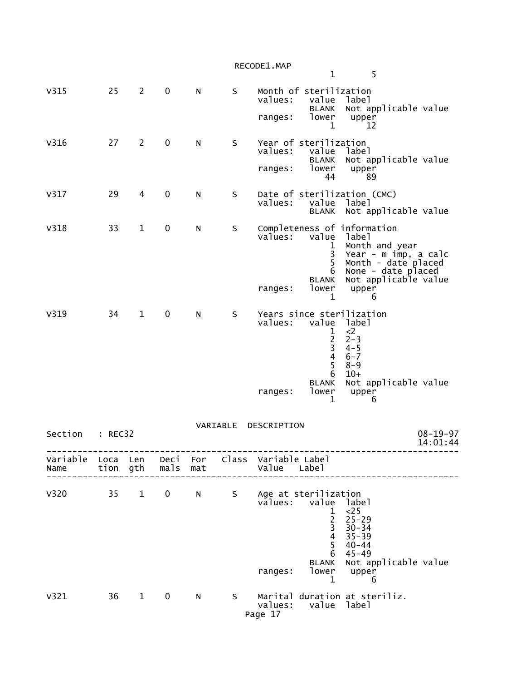| RECODE1.MAP |  |
|-------------|--|
|-------------|--|

|                           |    |              |              |     |    |                                                  | $\mathbf 1$                                                                    | 5                                                                                                                                                     |                |
|---------------------------|----|--------------|--------------|-----|----|--------------------------------------------------|--------------------------------------------------------------------------------|-------------------------------------------------------------------------------------------------------------------------------------------------------|----------------|
| V315                      | 25 | 2            | $\mathbf 0$  | N   | S  | Month of sterilization<br>values:                | value                                                                          | label<br>BLANK Not applicable value                                                                                                                   |                |
|                           |    |              |              |     |    | ranges:                                          | lower<br>1                                                                     | upper<br>12                                                                                                                                           |                |
| V316                      | 27 | $2^{\circ}$  | $\mathbf 0$  | N   | S. | Year of sterilization<br>values: value           |                                                                                | label                                                                                                                                                 |                |
|                           |    |              |              |     |    | ranges:                                          | lower<br>44                                                                    | BLANK Not applicable value<br>upper<br>89                                                                                                             |                |
| V317                      | 29 | 4            | $\mathbf{0}$ | N   | S. | values:                                          | value                                                                          | Date of sterilization (CMC)<br>label<br>BLANK Not applicable value                                                                                    |                |
| V318                      | 33 | $\mathbf 1$  | 0            | N   | S. | values:                                          | value<br>$\mathbf{1}$<br>$\mathbf{3}$<br>5 <sup>1</sup><br><b>BLANK</b>        | Completeness of information<br>label<br>Month and year<br>Year - m imp, a calc<br>Month - date placed<br>6 None - date placed<br>Not applicable value |                |
|                           |    |              |              |     |    | ranges:                                          | lower<br>1                                                                     | upper<br>6                                                                                                                                            |                |
| V319                      | 34 | $\mathbf 1$  | 0            | N   | S  | values: value label                              | 1<br>$\overline{2}$<br>$\overline{3}$<br>$\overline{4}$<br>5 <sup>1</sup><br>6 | Years since sterilization<br>$\langle 2 \rangle$<br>$2 - 3$<br>$4 - 5$<br>6-7<br>$8 - 9$<br>$10+$                                                     |                |
|                           |    |              |              |     |    | ranges:                                          | $\mathbf{1}$                                                                   | BLANK Not applicable value<br>lower upper<br>6                                                                                                        |                |
| Section : REC32           |    |              |              |     |    | VARIABLE DESCRIPTION                             |                                                                                |                                                                                                                                                       | $08 - 19 - 97$ |
|                           |    |              |              |     |    |                                                  |                                                                                |                                                                                                                                                       | 14:01:44       |
| Variable Loca Len<br>Name |    | tion gth     | Deci<br>mals | mat |    | For Class Variable Label<br>Value Label          |                                                                                |                                                                                                                                                       |                |
| <b>V320</b>               | 35 | $\mathbf{1}$ | 0            | N   | S  | Age at sterilization<br>المطول مبرادين بومبرادين |                                                                                |                                                                                                                                                       |                |

|      |    |              |   |   |   | values:<br>ranges: | value<br>3<br>4<br>6<br><b>BLANK</b><br>lower | label<br>$<$ 25<br>$25 - 29$<br>$30 - 34$<br>$35 - 39$<br>$40 - 44$<br>45-49<br>Not applicable value<br>upper |  |
|------|----|--------------|---|---|---|--------------------|-----------------------------------------------|---------------------------------------------------------------------------------------------------------------|--|
|      |    |              |   |   |   |                    |                                               |                                                                                                               |  |
| v321 | 36 | $\mathbf{1}$ | 0 | N | S | values:            | value                                         | Marital duration at steriliz.<br>label                                                                        |  |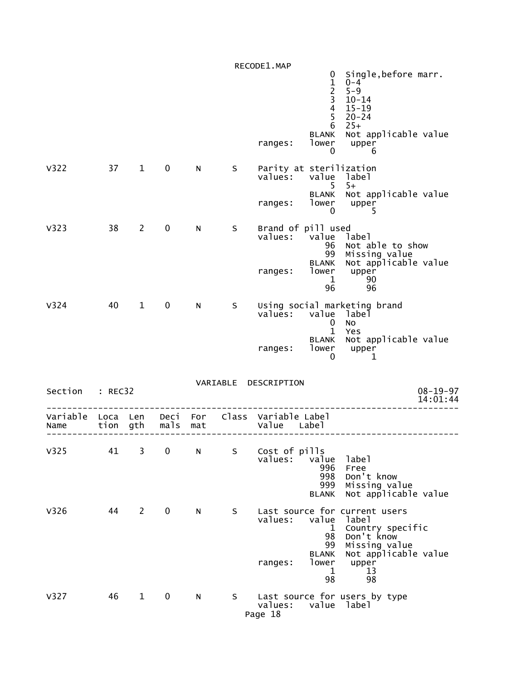|                  |                  |              |              |            |          | RECODE1.MAP                                                            | Single, before marr.<br>0                                                                                                                                                     |
|------------------|------------------|--------------|--------------|------------|----------|------------------------------------------------------------------------|-------------------------------------------------------------------------------------------------------------------------------------------------------------------------------|
|                  |                  |              |              |            |          |                                                                        | $\mathbf{1}$<br>$0 - 4$<br>$\frac{2}{3}$<br>$5 - 9$<br>$10 - 14$<br>$\overline{4}$<br>$15 - 19$<br>5<br>$20 - 24$<br>6<br>$25+$                                               |
|                  |                  |              |              |            |          | <b>BLANK</b><br>lower<br>ranges:                                       | Not applicable value<br>upper<br>0<br>6                                                                                                                                       |
| V322             | 37               | $\mathbf{1}$ | 0            | N          | S.       | Parity at sterilization<br>values:<br>value                            | label<br>$5+$<br>5.                                                                                                                                                           |
|                  |                  |              |              |            |          | <b>BLANK</b><br>lower<br>ranges:                                       | Not applicable value<br>upper<br>$\mathbf 0$<br>5                                                                                                                             |
| V323             | 38               | 2            | 0            | N          | S        | Brand of pill used<br>values:<br>value                                 | label<br>96<br>Not able to show<br>99<br>Missing value                                                                                                                        |
|                  |                  |              |              |            |          | <b>BLANK</b><br>lower<br>ranges:<br>96                                 | Not applicable value<br>upper<br>1<br>90<br>96                                                                                                                                |
| V324             | 40               | $\mathbf{1}$ | 0            | N          | S        | Using social marketing brand<br>value<br>values:                       | label<br>0<br>No<br>$\mathbf{1}$<br>Yes                                                                                                                                       |
|                  |                  |              |              |            |          | <b>BLANK</b><br>lower<br>ranges:                                       | Not applicable value<br>upper<br>0<br>1                                                                                                                                       |
| Section : REC32  |                  |              |              |            | VARIABLE | DESCRIPTION                                                            | $08 - 19 - 97$<br>14:01:44                                                                                                                                                    |
| Variable<br>Name | Loca Len<br>tion | gth          | Deci<br>mals | For<br>mat |          | Class Variable Label<br>Value<br>Labe <sub>1</sub>                     |                                                                                                                                                                               |
| V325             | 41               | 3            | 0            | N          | S        | Cost of pills<br>values:<br>value<br>996<br>998<br>999<br><b>BLANK</b> | label<br>Free<br>Don't know<br>Missing value<br>Not applicable value                                                                                                          |
| V326             | 44               | 2            | $\mathbf 0$  | N          | S        | values:<br>value<br><b>BLANK</b><br>lower<br>ranges:                   | Last source for current users<br>label<br>Country specific<br>1<br>Don't know<br>98<br>99<br>Missing value<br>Not applicable value<br>upper<br>13<br>$\mathbf{1}$<br>98<br>98 |
| V327             | 46               | $\mathbf{1}$ | 0            | N          | S –      | values:<br>value<br>Page 18                                            | Last source for users by type<br>label                                                                                                                                        |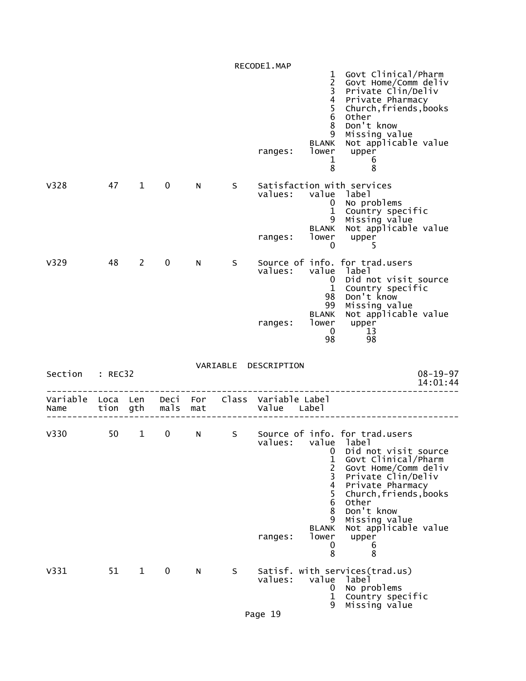|                  |              |              |              |            |   | RECODE1.MAP                   |                                                                                                                       |                                                                                                                                                                                                                                                                             |
|------------------|--------------|--------------|--------------|------------|---|-------------------------------|-----------------------------------------------------------------------------------------------------------------------|-----------------------------------------------------------------------------------------------------------------------------------------------------------------------------------------------------------------------------------------------------------------------------|
|                  |              |              |              |            |   | ranges:                       | $\mathbf{1}$<br>$\frac{2}{3}$<br>$\overline{\mathbf{4}}$<br>5<br>$\,6\,$<br>8<br>9<br><b>BLANK</b><br>lower<br>1<br>8 | Govt Clinical/Pharm<br>Govt Home/Comm deliv<br>Private Clin/Deliv<br>Private Pharmacy<br>Church, friends, books<br>Other<br>Don't know<br>Missing value<br>Not applicable value<br>upper<br>6<br>8                                                                          |
| V328             | 47           | $\mathbf{1}$ | 0            | N          | S | values:<br>ranges:            | 0<br>$\mathbf{1}$<br>9<br><b>BLANK</b><br>lower<br>$\mathbf 0$                                                        | Satisfaction with services<br>value label<br>No problems<br>Country specific<br>Missing value<br>Not applicable value<br>upper<br>5                                                                                                                                         |
| V329             | 48           | $\mathbf{2}$ | $\mathbf 0$  | N          | S | values:<br>ranges:            | value<br>0<br>$\mathbf 1$<br>98<br>99<br><b>BLANK</b><br>lower<br>$\mathbf 0$<br>98                                   | Source of info. for trad.users<br>label<br>Did not visit source<br>Country specific<br>Don't know<br>Missing value<br>Not applicable value<br>upper<br>13<br>98                                                                                                             |
| Section          | : REC32      |              |              |            |   | VARIABLE DESCRIPTION          |                                                                                                                       | $08 - 19 - 97$<br>14:01:44                                                                                                                                                                                                                                                  |
| Variable<br>Name | Loca<br>tion | Len<br>gth   | Deci<br>mals | For<br>mat |   | Class Variable Label<br>Value | Label                                                                                                                 |                                                                                                                                                                                                                                                                             |
| V <sub>330</sub> | 50           | $\mathbf{1}$ | 0            | N          | S | values:<br>ranges:            | 0<br>$\mathbf 1$<br>$\overline{c}$<br>3<br>$\overline{4}$<br>5<br>6<br>8<br>9<br><b>BLANK</b><br>lower<br>0<br>8      | Source of info. for trad.users<br>value label<br>Did not visit source<br>Govt Clinical/Pharm<br>Govt Home/Comm deliv<br>Private Clin/Deliv<br>Private Pharmacy<br>Church, friends, books<br>Other<br>Don't know<br>Missing value<br>Not applicable value<br>upper<br>b<br>8 |
| V331             | 51           | $\mathbf{1}$ | 0            | N          | S | values:                       | value<br>0<br>1<br>9                                                                                                  | Satisf. with services(trad.us)<br>label<br>No problems<br>Country specific<br>Missing value                                                                                                                                                                                 |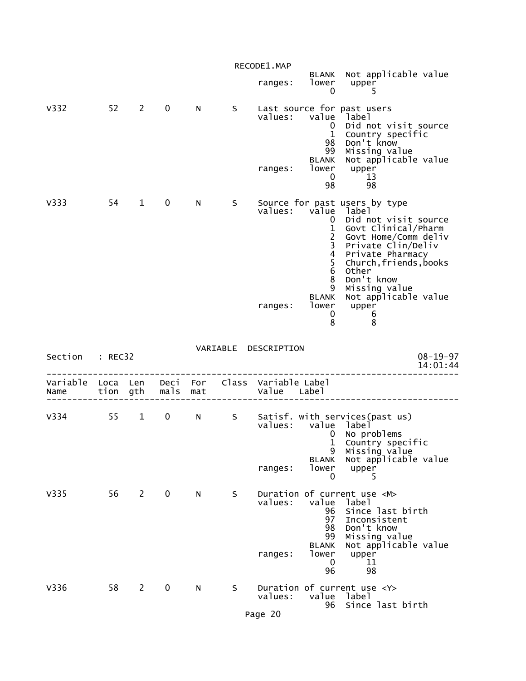|                                                         |              |              |               |     |    | RECODE1.MAP          |                                                                                                                                                                |                                                                                                                                                                                                                                                            |
|---------------------------------------------------------|--------------|--------------|---------------|-----|----|----------------------|----------------------------------------------------------------------------------------------------------------------------------------------------------------|------------------------------------------------------------------------------------------------------------------------------------------------------------------------------------------------------------------------------------------------------------|
|                                                         |              |              |               |     |    | ranges:              | lower<br>$\mathbf 0$                                                                                                                                           | BLANK Not applicable value<br>upper<br>5                                                                                                                                                                                                                   |
| V332                                                    |              | $52 \quad 2$ | $\mathbf{0}$  | N.  | S. | values:<br>ranges:   | value<br>$\mathbf{0}$<br>$\mathbf{1}$<br>98<br>99<br><b>BLANK</b><br>lower<br>$\mathbf{0}$                                                                     | Last source for past users<br>label<br>Did not visit source<br>Country specific<br>Don't know<br>Missing value<br>Not applicable value<br>upper<br>13                                                                                                      |
|                                                         |              |              |               |     |    |                      | 98                                                                                                                                                             | 98                                                                                                                                                                                                                                                         |
| V333                                                    | 54 —         | $\mathbf{1}$ | $\mathbf 0$   | N   | S. | ranges:              | values: value<br>0<br>$\mathbf{1}$<br>$\overline{2}$<br>$\overline{\mathbf{3}}$<br>$\overline{\mathbf{4}}$<br>$\frac{5}{6}$<br>8<br>9<br><b>BLANK</b><br>lower | Source for past users by type<br>label<br>Did not visit source<br>Govt Clinical/Pharm<br>Govt Home/Comm deliv<br>Private Clin/Deliv<br>Private Pharmacy<br>Church, friends, books<br>Other<br>Don't know<br>Missing value<br>Not applicable value<br>upper |
|                                                         |              |              |               |     |    |                      | 0<br>8                                                                                                                                                         | 6<br>8                                                                                                                                                                                                                                                     |
|                                                         |              |              |               |     |    |                      |                                                                                                                                                                |                                                                                                                                                                                                                                                            |
| Section : REC32                                         |              |              |               |     |    | VARIABLE DESCRIPTION |                                                                                                                                                                | $08 - 19 - 97$<br>14:01:44                                                                                                                                                                                                                                 |
| Variable Loca Len Deci For Class Variable Label<br>Name |              |              | tion gth mals | mat |    | Value Label          |                                                                                                                                                                |                                                                                                                                                                                                                                                            |
| V334                                                    | $55 \quad 1$ |              | $\mathbf{0}$  | N   | S  | ranges:              | values: value label<br>0<br>$\mathbf{1}$<br>9<br><b>BLANK</b><br>lower<br>0                                                                                    | Satisf. with services(past us)<br>No problems<br>Country specific<br>Missing value<br>Not applicable value<br>upper<br>5                                                                                                                                   |
| V335                                                    | 56           | $2^{\circ}$  | $\mathbf 0$   | N   | S. | values:<br>ranges:   | value<br>96<br>97<br>98<br>99<br><b>BLANK</b><br>lower<br>0<br>96                                                                                              | Duration of current use <m><br/>label<br/>Since last birth<br/>Inconsistent<br/>Don't know<br/>Missing value<br/>Not applicable value<br/>upper<br/>11<br/>98</m>                                                                                          |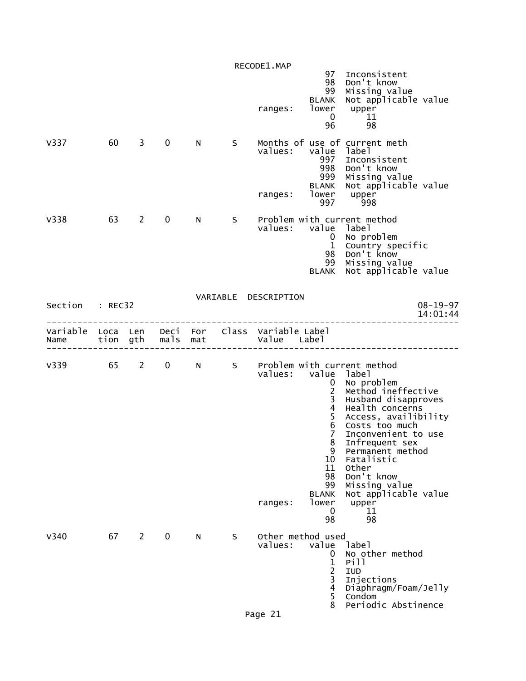|                                                         |    |             |             |   |                   | RECODE1.MAP<br>ranges: | 98<br>99<br>BLANK<br>lower<br>0<br>96                                                                                                                                                     | 97 Inconsistent<br>Don't know<br>Missing value<br>Not applicable value<br>upper<br>11<br>98                                                                                                                                                                                                                                         |
|---------------------------------------------------------|----|-------------|-------------|---|-------------------|------------------------|-------------------------------------------------------------------------------------------------------------------------------------------------------------------------------------------|-------------------------------------------------------------------------------------------------------------------------------------------------------------------------------------------------------------------------------------------------------------------------------------------------------------------------------------|
| V337                                                    | 60 | $3^{\circ}$ | $\mathbf 0$ | N | S.                | values:<br>ranges:     | value label<br>997<br>998<br>999<br><b>BLANK</b><br>lower<br>997                                                                                                                          | Months of use of current meth<br>Inconsistent<br>Don't know<br>Missing value<br>Not applicable value<br>upper<br>998                                                                                                                                                                                                                |
| V338                                                    | 63 | $2^{\circ}$ | $\mathbf 0$ | N | S –               | values:                | value label<br>$\mathbf{0}$<br>$\mathbf{1}$<br>98<br>99<br><b>BLANK</b>                                                                                                                   | Problem with current method<br>No problem<br>Country specific<br>Don't know<br>Missing value<br>Not applicable value                                                                                                                                                                                                                |
| Section : REC32                                         |    |             |             |   |                   | VARIABLE DESCRIPTION   |                                                                                                                                                                                           | $08 - 19 - 97$<br>14:01:44                                                                                                                                                                                                                                                                                                          |
| Variable Loca Len Deci For Class Variable Label<br>Name |    |             |             |   | tion gth mals mat | Value Label            |                                                                                                                                                                                           | ________________________                                                                                                                                                                                                                                                                                                            |
|                                                         |    |             |             |   |                   | values:<br>ranges:     | value label<br>$\mathbf 0$<br>$\overline{2}$<br>$\mathbf{3}$<br>$\overline{\mathbf{4}}$<br>5<br>6<br>$\overline{7}$<br>8<br>9<br>10<br>11<br>98<br>99<br><b>BLANK</b><br>lower<br>0<br>98 | V339 65 2 0 N S Problem with current method<br>No problem<br>Method ineffective<br>Husband disapproves<br>Health concerns<br>Access, availibility<br>Costs too much<br>Inconvenient to use<br>Infrequent sex<br>Permanent method<br>Fatalistic<br>Other<br>Don't know<br>Missing value<br>Not applicable value<br>upper<br>11<br>98 |
| V340                                                    | 67 | $2^{\circ}$ | 0           | N | S                 | values:<br>Page 21     | Other method used<br>value<br>0<br>$\mathbf 1$<br>$\frac{2}{3}$<br>$\overline{4}$<br>5<br>8                                                                                               | label<br>No other method<br>Pill<br>IUD<br>Injections<br>Diaphragm/Foam/Jelly<br>Condom<br>Periodic Abstinence                                                                                                                                                                                                                      |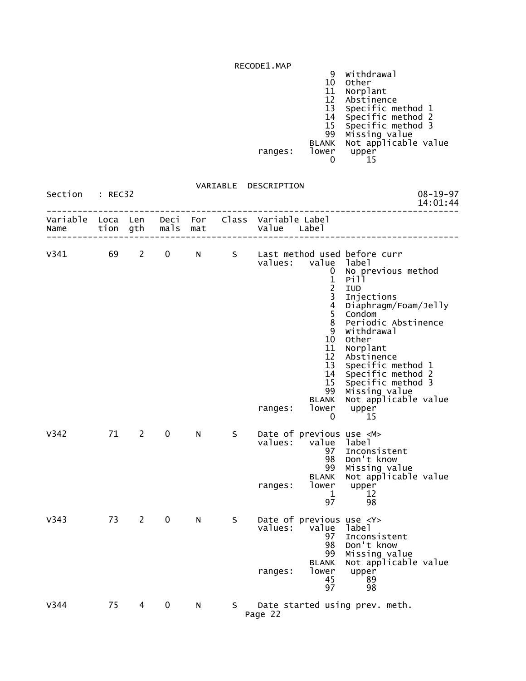| RECODEL.MAP |              |                      |
|-------------|--------------|----------------------|
|             |              | Withdrawal           |
|             | 10           | Other                |
|             |              | Norplant             |
|             |              | Abstinence           |
|             |              | Specific method 1    |
|             | 14           | Specific method 2    |
|             | 15           | Specific method 3    |
|             | 99           | Missing value        |
|             | <b>BLANK</b> | Not applicable value |
| ranges:     | lower        | upper                |
|             |              |                      |
|             |              |                      |

| Section          | : REC32          |             |                  |     | VARIABLE | DESCRIPTION                                                                                                                                                                                                                                                                                                                                                                                                                                                                                                             | $08 - 19 - 97$<br>14:01:44 |
|------------------|------------------|-------------|------------------|-----|----------|-------------------------------------------------------------------------------------------------------------------------------------------------------------------------------------------------------------------------------------------------------------------------------------------------------------------------------------------------------------------------------------------------------------------------------------------------------------------------------------------------------------------------|----------------------------|
| Variable<br>Name | Loca Len<br>tion | gth         | Deci For<br>mals | mat |          | Class Variable Label<br>Value Label                                                                                                                                                                                                                                                                                                                                                                                                                                                                                     |                            |
| V341             | 69               | 2           | 0                | N.  | S        | Last method used before curr<br>values: value<br>label<br>No previous method<br>0<br>$\mathbf 1$<br>Pill<br>$\frac{2}{3}$<br>IUD<br>Injections<br>$\overline{\mathbf{4}}$<br>Diaphragm/Foam/Jelly<br>5<br>Condom<br>8<br>Periodic Abstinence<br>Withdrawal<br>9<br>10<br>Other<br>11<br>Norplant<br>12<br>Abstinence<br>13<br>Specific method 1<br>Specific method 2<br>14<br>15<br>Specific method 3<br>Missing value<br>99<br>Not applicable value<br><b>BLANK</b><br>lower<br>ranges:<br>upper<br>$\mathbf{0}$<br>15 |                            |
| V342             | 71               | $2^{\circ}$ | $\mathbf 0$      | N   | S.       | Date of previous use <m><br/>values:<br/>label<br/>value<br/>97<br/>Inconsistent<br/>Don't know<br/>98<br/>Missing value<br/>99<br/>Not applicable value<br/><b>BLANK</b><br/>lower<br/>upper<br/>ranges:<br/>12<br/>1<br/>97<br/>98</m>                                                                                                                                                                                                                                                                                |                            |
| V343             | 73               | 2           | $\mathbf 0$      | N   | S.       | Date of previous use <y><br/>values:<br/>value<br/>label<br/>97<br/>Inconsistent<br/>Don't know<br/>98<br/>99<br/>Missing value<br/>Not applicable value<br/><b>BLANK</b><br/>lower<br/>upper<br/>ranges:<br/>45<br/>89<br/>98<br/>97</y>                                                                                                                                                                                                                                                                               |                            |
| V344             | 75               | 4           | 0                | N   | S.       | Date started using prev. meth.<br>Page 22                                                                                                                                                                                                                                                                                                                                                                                                                                                                               |                            |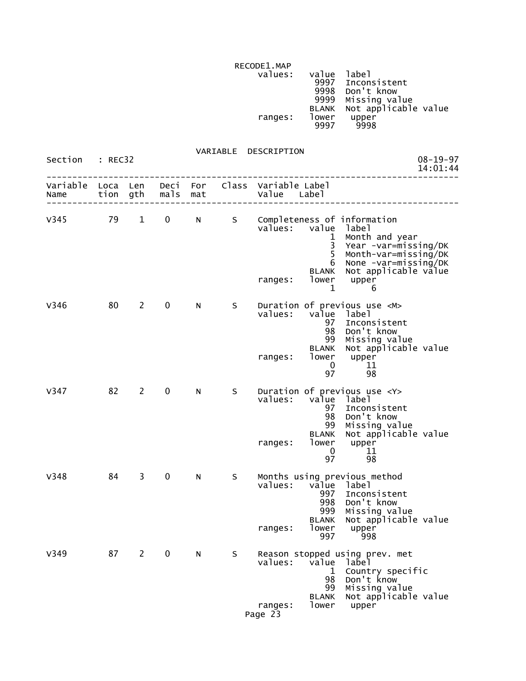RECODE1.MAP<br>values: values: value label (1999) values: value label (1999) value label (1999) value label (1999) value  $\sim$  9997 Inconsistent 9998 Don't know 9999 Missing value BLANK Not applicable value ranges: lower upper 9997 9998

### VARIABLE DESCRIPTION

| Section          | : REC32      |              |              |            |       | $08 - 19 - 97$<br>14:01:44                                                                                                                                                                                                                            |
|------------------|--------------|--------------|--------------|------------|-------|-------------------------------------------------------------------------------------------------------------------------------------------------------------------------------------------------------------------------------------------------------|
| Variable<br>Name | Loca<br>tion | Len<br>gth   | Deci<br>mals | For<br>mat | Class | Variable Label<br>Value<br>Labe1                                                                                                                                                                                                                      |
| V345             | 79           | $\mathbf{1}$ | 0            | N          | S     | Completeness of information<br>value<br>values:<br>label<br>Month and year<br>1<br>3<br>Year -var=missing/DK<br>5<br>Month-var=missing/DK<br>None -var=missing/DK<br>6<br>Not applicable value<br><b>BLANK</b><br>lower<br>upper<br>ranges:<br>1<br>6 |
| V346             | 80           | $\mathbf{2}$ | $\mathbf 0$  | N          | S     | Duration of previous use <m><br/>value<br/>values:<br/>label<br/>Inconsistent<br/>97<br/>98<br/>Don't know<br/>99<br/>Missing value<br/>Not applicable value<br/><b>BLANK</b><br/>lower<br/>upper<br/>ranges:<br/>0<br/>11<br/>97<br/>98</m>          |
| V347             | 82           | $\mathbf{2}$ | 0            | N          | S     | Duration of previous use <y><br/>values:<br/>value<br/>label<br/>97<br/>Inconsistent<br/>Don't know<br/>98<br/>Missing value<br/>99<br/>Not applicable value<br/><b>BLANK</b><br/>lower<br/>upper<br/>ranges:<br/>11<br/>0<br/>97<br/>98</y>          |
| V348             | 84           | 3            | $\pmb{0}$    | N          | S     | Months using previous method<br>values:<br>value<br>label<br>997<br>Inconsistent<br>998<br>Don't know<br>999<br>Missing value<br>Not applicable value<br><b>BLANK</b><br>lower<br>upper<br>ranges:<br>997<br>998                                      |
| V349             | 87           | 2            | 0            | N          | S     | Reason stopped using prev. met<br>values:<br>value<br>laɓel<br>Country specific<br>1<br>Don't know<br>98<br>99<br>Missing value<br>Not applicable value<br><b>BLANK</b><br>lower<br>upper<br>ranges:<br>Page 23                                       |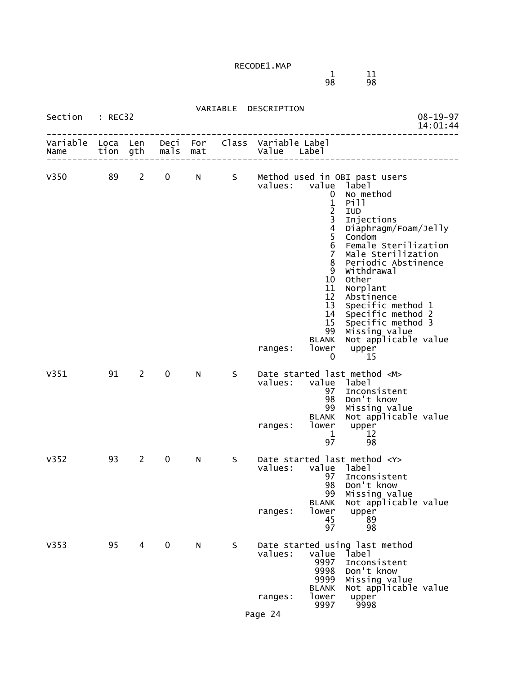1 11  $\overline{11}$  11  $\overline{11}$  11 98 98

|                  |              |                |              |            | VARIABLE | DESCRIPTION                      |                                                                                                                                                                                                   |                                                                                                                                                                                                                                                                                                                                                                           |                            |
|------------------|--------------|----------------|--------------|------------|----------|----------------------------------|---------------------------------------------------------------------------------------------------------------------------------------------------------------------------------------------------|---------------------------------------------------------------------------------------------------------------------------------------------------------------------------------------------------------------------------------------------------------------------------------------------------------------------------------------------------------------------------|----------------------------|
| Section          | : REC32      |                |              |            |          |                                  |                                                                                                                                                                                                   |                                                                                                                                                                                                                                                                                                                                                                           | $08 - 19 - 97$<br>14:01:44 |
| Variable<br>Name | Loca<br>tion | Len<br>gth     | Deci<br>mals | For<br>mat | Class    | Variable Label<br>Value<br>Label |                                                                                                                                                                                                   |                                                                                                                                                                                                                                                                                                                                                                           |                            |
| V350             | 89           | 2              | 0            | N          | S.       | values:<br>ranges:               | value<br>0<br>$\mathbf{1}$<br>$\overline{2}$<br>3<br>$\overline{\mathbf{4}}$<br>5<br>$\overline{6}$<br>$\overline{7}$<br>8<br>9<br>10<br>11<br>12<br>13<br>15<br>99<br><b>BLANK</b><br>lower<br>0 | Method used in OBI past users<br>label<br>No method<br>Pill<br><b>IUD</b><br>Injections<br>Diaphragm/Foam/Jelly<br>Condom<br>Female Sterilization<br>Male Sterilization<br>Periodic Abstinence<br>Withdrawal<br>Other<br>Norplant<br>Abstinence<br>Specific method 1<br>14 Specific method 2<br>Specific method 3<br>Missing value<br>Not applicable value<br>upper<br>15 |                            |
| V351             | 91           | 2              | $\mathbf 0$  | N          | S        | values:<br>ranges:               | 97<br>98<br>99<br><b>BLANK</b><br>lower<br>1<br>97                                                                                                                                                | Date started last method <m><br/>value label<br/>Inconsistent<br/>Don't know<br/>Missing value<br/>Not applicable value<br/>upper<br/>12<br/>98</m>                                                                                                                                                                                                                       |                            |
| V352             | 93           | $\overline{2}$ | $\mathbf 0$  | N          | S        | values:<br>ranges:               | value<br>97<br>98<br>99<br><b>BLANK</b><br>lower<br>45<br>97                                                                                                                                      | Date started last method <y><br/>label<br/>Inconsistent<br/>Don't know<br/>Missing value<br/>Not applicable value<br/>upper<br/>89<br/>98</y>                                                                                                                                                                                                                             |                            |
| V353             | 95           | 4              | $\mathbf 0$  | N          | S        | values:<br>ranges:               | value<br>9997<br>9998<br>9999<br><b>BLANK</b><br>lower<br>9997                                                                                                                                    | Date started using last method<br>label<br>Inconsistent<br>Don't know<br>Missing value<br>Not applicable value<br>upper<br>9998                                                                                                                                                                                                                                           |                            |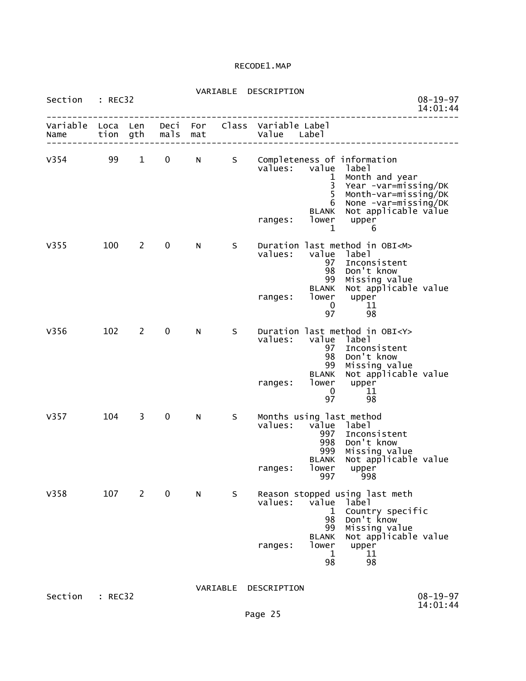| VARIABLE | DESCRIPTION |
|----------|-------------|

| Section          | : REC32      |              |              |            |          | $08 - 19 - 97$<br>14:01:44                                                                                                                                                                                                                            |
|------------------|--------------|--------------|--------------|------------|----------|-------------------------------------------------------------------------------------------------------------------------------------------------------------------------------------------------------------------------------------------------------|
| Variable<br>Name | Loca<br>tion | Len<br>gth   | Deci<br>mals | For<br>mat |          | Class Variable Label<br>Value<br>Label                                                                                                                                                                                                                |
| V354             | 99           | $\mathbf{1}$ | 0            | N          | S        | Completeness of information<br>value<br>values:<br>label<br>Month and year<br>1<br>3<br>Year -var=missing/DK<br>5<br>Month-var=missing/DK<br>None -var=missing/DK<br>6<br>Not applicable value<br><b>BLANK</b><br>lower<br>upper<br>ranges:<br>1<br>6 |
| V355             | 100          | $\mathbf{2}$ | $\pmb{0}$    | N          | S.       | Duration last method in OBI <m><br/>values:<br/>value<br/>label<br/>97<br/>Inconsistent<br/>Don't know<br/>98<br/>99<br/>Missing value<br/>Not applicable value<br/><b>BLANK</b><br/>lower<br/>upper<br/>ranges:<br/>0<br/>11<br/>97<br/>98</m>       |
| V356             | 102          | 2            | 0            | N          | S        | Duration last method in OBI <y><br/>values:<br/>value<br/>label<br/>97<br/>Inconsistent<br/>Don't know<br/>98<br/>99<br/>Missing value<br/>Not applicable value<br/><b>BLANK</b><br/>lower<br/>ranges:<br/>upper<br/>0<br/>11<br/>97<br/>98</y>       |
| V357             | 104          | 3            | $\pmb{0}$    | N          | S        | Months using last method<br>values:<br>value<br>label<br>997<br>Inconsistent<br>998<br>Don't know<br>999<br>Missing value<br>Not applicable value<br><b>BLANK</b><br>lower<br>upper<br>ranges:<br>997<br>998                                          |
| V358             | 107          | 2            | $\mathbf 0$  | N          | S.       | Reason stopped using last meth<br>values: value<br>1abe1<br>Country specific<br>1<br>Don't know<br>98<br>Missing value<br>99<br>Not applicable value<br><b>BLANK</b><br>lower<br>upper<br>ranges:<br>11<br>$\mathbf 1$<br>98<br>98                    |
| Section : REC32  |              |              |              |            | VARIABLE | DESCRIPTION<br>$08 - 19 - 97$                                                                                                                                                                                                                         |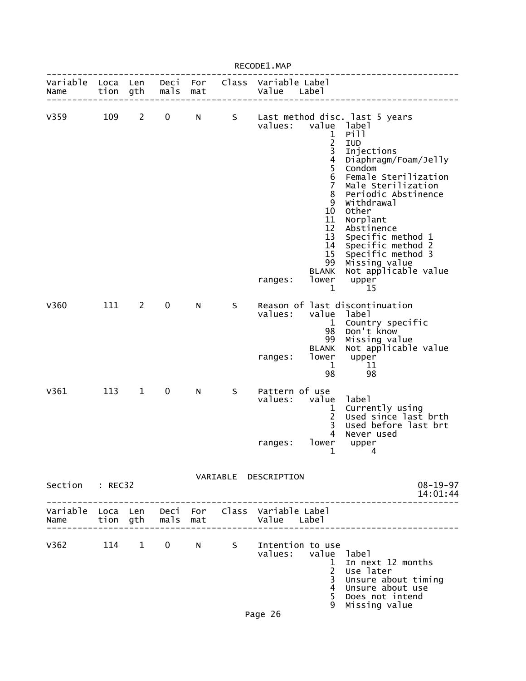|                  |              |              |              |            |       | RECODE1.MAP                                                         |                                                                                                                                                                                |                                                                                                                                                                                                                                                                                                                                                     |
|------------------|--------------|--------------|--------------|------------|-------|---------------------------------------------------------------------|--------------------------------------------------------------------------------------------------------------------------------------------------------------------------------|-----------------------------------------------------------------------------------------------------------------------------------------------------------------------------------------------------------------------------------------------------------------------------------------------------------------------------------------------------|
| Variable<br>Name | Loca<br>tion | Len<br>gth   | Deci<br>mals | For<br>mat | Class | Variable Label<br>Value                                             | Label                                                                                                                                                                          |                                                                                                                                                                                                                                                                                                                                                     |
| V359             | 109          | $2^{\circ}$  | 0            | N          | S     | values:<br>ranges:                                                  | value<br>1<br>$\frac{1}{3}$<br>$\overline{\mathbf{4}}$<br>5<br>6<br>$\overline{7}$<br>8<br>9<br>10<br>11<br>12<br>13<br>14<br>15<br>99<br><b>BLANK</b><br>lower<br>$\mathbf 1$ | Last method disc. last 5 years<br>label<br>Pill<br>IUD<br>Injections<br>Diaphragm/Foam/Jelly<br>Condom<br>Female Sterilization<br>Male Sterilization<br>Periodic Abstinence<br>Withdrawal<br>Other<br>Norplant<br>Abstinence<br>Specific method 1<br>Specific method 2<br>Specific method 3<br>Missing value<br>Not applicable value<br>upper<br>15 |
| V360             | 111          | 2            | 0            | N          | S     | values:<br>ranges:                                                  | value<br>$\mathbf{1}$<br>98<br>99<br>BLANK<br>lower<br>1<br>98                                                                                                                 | Reason of last discontinuation<br>label<br>Country specific<br>Don't know<br>Missing value<br>Not applicable value<br>upper<br>11<br>98                                                                                                                                                                                                             |
| V361             | 113          | $\mathbf{1}$ | $\mathbf 0$  | N          | S     | Pattern of use<br>values:<br>ranges:                                | value<br>1<br>$\overline{c}$<br>3<br>4<br>lower<br>1                                                                                                                           | label<br>Currently using<br>Used since last brth<br>Used before last brt<br>Never used<br>$\n  upper\n 4\n$                                                                                                                                                                                                                                         |
| Section : REC32  |              |              |              |            |       | VARIABLE DESCRIPTION                                                |                                                                                                                                                                                | $08 - 19 - 97$<br>14:01:44                                                                                                                                                                                                                                                                                                                          |
| Name             |              |              |              |            |       | Variable Loca Len Deci For Class Variable Label                     |                                                                                                                                                                                |                                                                                                                                                                                                                                                                                                                                                     |
|                  |              |              |              |            |       | V362 114 1 0 N S Intention to use<br>values: value label<br>Page 26 | $\mathbf{1}$<br>$2^{\circ}$<br>$\overline{3}$<br>$\overline{4}$<br>5<br>9                                                                                                      | In next 12 months<br>Use later<br>Unsure about timing<br>Unsure about use<br>Does not intend<br>Missing value                                                                                                                                                                                                                                       |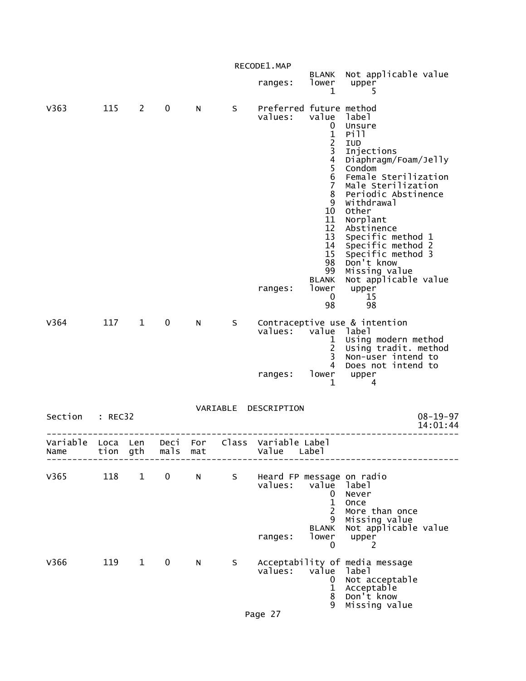|                  |              |              |              |            |          | RECODE1.MAP                                     |                                                                                                                                                                                              |                                                                                                                                                                                                                                                                                                                                                 |
|------------------|--------------|--------------|--------------|------------|----------|-------------------------------------------------|----------------------------------------------------------------------------------------------------------------------------------------------------------------------------------------------|-------------------------------------------------------------------------------------------------------------------------------------------------------------------------------------------------------------------------------------------------------------------------------------------------------------------------------------------------|
|                  |              |              |              |            |          | ranges:                                         | <b>BLANK</b><br>lower<br>1                                                                                                                                                                   | Not applicable value<br>upper<br>5                                                                                                                                                                                                                                                                                                              |
| V363             | 115          | $2^{\circ}$  | 0            | N          | S        | Preferred future method<br>values:<br>ranges:   | value<br>0<br>$\frac{1}{2}$<br>$\overline{4}$<br>5<br>$6\phantom{1}6$<br>$\overline{7}$<br>8<br>9<br>10<br>11<br>12<br>13<br>14<br>15<br>98<br>99<br><b>BLANK</b><br>lower<br>$\bf{0}$<br>98 | label<br>Unsure<br>Pill<br>IUD<br>Injections<br>Diaphragm/Foam/Jelly<br>Condom<br>Female Sterilization<br>Male Sterilization<br>Periodic Abstinence<br>Withdrawal<br>Other<br>Norplant<br>Abstinence<br>Specific method 1<br>Specific method 2<br>Specific method 3<br>Don't know<br>Missing value<br>Not applicable value<br>upper<br>15<br>98 |
| V364             | 117          | $\mathbf{1}$ | 0            | N          | S        | values:<br>ranges:                              | value<br>1<br>$\overline{2}$<br>3<br>4<br>lower<br>1                                                                                                                                         | Contraceptive use & intention<br>label<br>Using modern method<br>Using tradit. method<br>Non-user intend to<br>Does not intend to<br>upper<br>4                                                                                                                                                                                                 |
| Section          | : REC32      |              |              |            | VARIABLE | DESCRIPTION                                     |                                                                                                                                                                                              | $08 - 19 - 97$<br>14:01:44                                                                                                                                                                                                                                                                                                                      |
| Variable<br>Name | Loca<br>tion | Len<br>gth   | Deci<br>mals | For<br>mat | Class    | Variable Label<br>Value                         | Labe <sup>1</sup>                                                                                                                                                                            |                                                                                                                                                                                                                                                                                                                                                 |
| V365             | 118          | $\mathbf{1}$ | 0            | N          | S        | Heard FP message on radio<br>values:<br>ranges: | value<br>0<br>$\mathbf{1}$<br>$\overline{c}$<br>9<br><b>BLANK</b><br>lower<br>0                                                                                                              | label<br>Never<br>Once<br>More than once<br>Missing value<br>Not applicable value<br>upper<br>2                                                                                                                                                                                                                                                 |
| V366             | 119          | $\mathbf{1}$ | $\mathbf 0$  | N          | S        | values:<br>Page 27                              | value<br>0<br>$\mathbf{1}$<br>8<br>9                                                                                                                                                         | Acceptability of media message<br>label<br>Not acceptable<br>Acceptable<br>Don't know<br>Missing value                                                                                                                                                                                                                                          |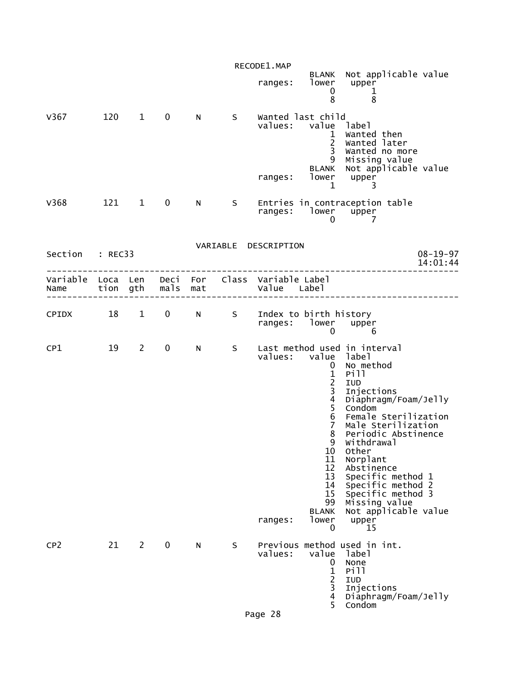|                                                         |     |                        |               |           |    | RECODE1.MAP          |                                                                                                                                                                                                 |                                                                                                                                                                                                                                                                                                                                                       |                            |
|---------------------------------------------------------|-----|------------------------|---------------|-----------|----|----------------------|-------------------------------------------------------------------------------------------------------------------------------------------------------------------------------------------------|-------------------------------------------------------------------------------------------------------------------------------------------------------------------------------------------------------------------------------------------------------------------------------------------------------------------------------------------------------|----------------------------|
|                                                         |     |                        |               |           |    |                      | ranges: lower<br>0<br>8                                                                                                                                                                         | BLANK Not applicable value<br>upper<br>$\mathbf{1}$<br>8                                                                                                                                                                                                                                                                                              |                            |
| V367                                                    | 120 | $1 \quad$              | $\mathbf 0$   | N         | S. | values:<br>ranges:   | Wanted last child<br>value label<br>$\mathbf{1}$<br>$\overline{2}$<br>3 <sup>7</sup><br>9<br><b>BLANK</b>                                                                                       | Wanted then<br>Wanted later<br>Wanted no more<br>Missing value<br>Not applicable value<br>lower upper                                                                                                                                                                                                                                                 |                            |
| V368                                                    |     | 121 1                  | 0             | N         | S  |                      | $\mathbf{1}$<br>ranges: lower upper<br>$\mathbf{0}$                                                                                                                                             | 3<br>Entries in contraception table<br>$\overline{7}$                                                                                                                                                                                                                                                                                                 |                            |
|                                                         |     |                        |               |           |    | VARIABLE DESCRIPTION |                                                                                                                                                                                                 |                                                                                                                                                                                                                                                                                                                                                       |                            |
| Section : REC33                                         |     |                        |               |           |    |                      |                                                                                                                                                                                                 |                                                                                                                                                                                                                                                                                                                                                       | $08 - 19 - 97$<br>14:01:44 |
| Variable Loca Len Deci For Class Variable Label<br>Name |     |                        | tion gth mals | mat       |    | Value Label          |                                                                                                                                                                                                 |                                                                                                                                                                                                                                                                                                                                                       |                            |
| CPIDX                                                   | 18  | $1 \quad \blacksquare$ | 0             | N         | S  | ranges:              | Index to birth history<br>lower upper<br>0                                                                                                                                                      | 6                                                                                                                                                                                                                                                                                                                                                     |                            |
| CP1                                                     | 19  | $\overline{2}$         | $\mathbf 0$   | N         | S  | ranges:              | values: value label<br>$\mathbf 0$<br>$\frac{1}{2}$<br>$\frac{3}{4}$<br>5<br>$\overline{6}$<br>$\overline{7}$<br>8<br>9<br>10<br>11<br>12<br>13<br>14<br>15<br>99<br><b>BLANK</b><br>lower<br>0 | Last method used in interval<br>No method<br>Pill<br>IUD<br>Injections<br>Diaphragm/Foam/Jelly<br>Condom<br>Female Sterilization<br>Male Sterilization<br>Periodic Abstinence<br>Withdrawal<br>Other<br>Norplant<br>Abstinence<br>Specific method 1<br>Specific method 2<br>Specific method 3<br>Missing value<br>Not applicable value<br>upper<br>15 |                            |
| CP <sub>2</sub>                                         | 21  | $2^{\circ}$            | 0             | ${\sf N}$ | S  | values:<br>Page 28   | value<br>0<br>$\mathbf 1$<br>$\frac{2}{3}$<br>4<br>5                                                                                                                                            | Previous method used in int.<br>label<br>None<br>Pill<br>IUD<br>Injections<br>Diaphragm/Foam/Jelly<br>Condom                                                                                                                                                                                                                                          |                            |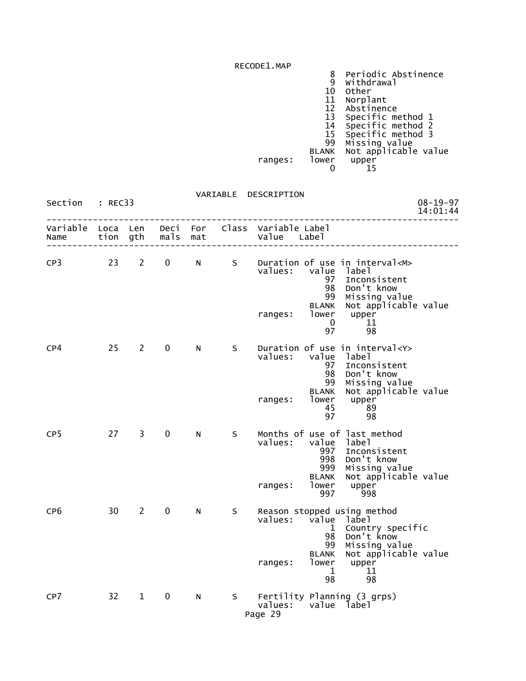|  | 8 Periodic Abstinence |
|--|-----------------------|
|  |                       |

- 9 Withdrawal
- 10 Other
- 11 Norplant
- 12 Abstinence
- 13 Specific method 1
- 14 Specific method 2 15 Specific method 3
- 99 Missing value
- BLANK Not applicable value
- ranges: lower upper

| 15<br>$\sim$ $\sim$ |  |
|---------------------|--|
|                     |  |

| Section : REC33 |                 |               |                   |    |     | VARIABLE DESCRIPTION                                                                                                                                                                                                                                          | $08 - 19 - 97$<br>14:01:44 |
|-----------------|-----------------|---------------|-------------------|----|-----|---------------------------------------------------------------------------------------------------------------------------------------------------------------------------------------------------------------------------------------------------------------|----------------------------|
| Name            |                 |               | tion gth mals mat |    |     | Variable Loca Len Deci For Class Variable Label<br>Value Label                                                                                                                                                                                                |                            |
| CP3             |                 | $23 \t2$      | $0 \qquad \qquad$ |    |     | N S Duration of use in interval <m><br/>values: value label<br/>Inconsistent<br/>97<br/>Don't know<br/>98<br/>Missing value<br/>99<br/>Not applicable value<br/><b>BLANK</b><br/>lower upper<br/>ranges:<br/>11<br/><math>\mathbf{0}</math><br/>97<br/>98</m> |                            |
| CP4             |                 | $25 \qquad 2$ | $\mathbf{0}$      | N  | S – | Duration of use in interval <y><br/>values:<br/>value label<br/>97<br/>Inconsistent<br/>Don't know<br/>98<br/>Missing value<br/>99<br/>Not applicable value<br/><b>BLANK</b><br/>lower<br/>c apٽ<br/>upper<br/>ranges:<br/>45<br/>່ 89<br/>97<br/>98</y>      |                            |
| CP <sub>5</sub> | 27              | $3^{\circ}$   | $\mathbf{0}$      | N  | S.  | Months of use of last method<br>values:<br>value label<br>997 Inconsistent<br>998<br>Don't know<br>999 Missing value<br>BLANK Not applicable value<br>lower<br>upper<br>ranges:<br>997 998                                                                    |                            |
| CP <sub>6</sub> | 30 <sup>7</sup> | $2^{\circ}$   | $\mathbf{0}$      | N. | S.  | Reason stopped using method<br>values: value label<br>1 Country specific<br>Don't know<br>98<br>Missing value<br>99<br>Not applicable value<br><b>BLANK</b><br>lower upper<br>ranges:<br>$\mathbf 1$<br>11<br>98<br>98                                        |                            |
| CP7             | 32 <sup>2</sup> | $\mathbf{1}$  | 0                 | N  |     | S Fertility Planning (3 grps)<br>values: value label<br>Page 29                                                                                                                                                                                               |                            |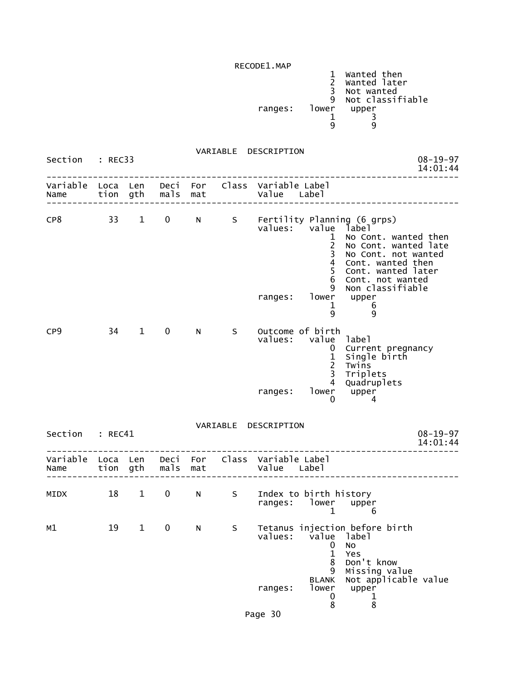| INL CODLL. MAP |       |                                                               |
|----------------|-------|---------------------------------------------------------------|
|                | q     | Wanted then<br>Wanted later<br>Not wanted<br>Not classifiable |
| ranges:        | lower | upper                                                         |
|                |       |                                                               |
|                |       | a                                                             |
|                |       |                                                               |

VARIABLE DESCRIPTION

| Section                            | : REC33 |                        |               |     |    | $08 - 19 - 97$<br>14:01:44                                                                                                                                                                                                                                                                                                    |  |
|------------------------------------|---------|------------------------|---------------|-----|----|-------------------------------------------------------------------------------------------------------------------------------------------------------------------------------------------------------------------------------------------------------------------------------------------------------------------------------|--|
| Variable Loca Len<br>Name          |         |                        | tion gth mals | mat |    | Deci For Class Variable Label<br>Value Label                                                                                                                                                                                                                                                                                  |  |
| CP8                                | 33      | $\mathbf{1}$           | $\mathbf 0$   | N   |    | S Fertility Planning (6 grps)<br>values: value<br>label<br>1<br>No Cont. wanted then<br>$\overline{c}$<br>No Cont. wanted late<br>3<br>No Cont. not wanted<br>4<br>Cont. wanted then<br>5<br>Cont. wanted later<br>6<br>Cont. not wanted<br>9<br>Non classifiable<br>lower<br>ranges:<br>upper<br>$\mathbf{1}$<br>6<br>9<br>9 |  |
| CP <sub>9</sub>                    | 34      | $\mathbf{1}$           | 0             | N.  | S  | Outcome of birth<br>values: value<br>label<br>Current pregnancy<br>0<br>$\mathbf 1$<br>Single birth<br>$\overline{2}$<br>Twins<br>$\overline{3}$<br>Triplets<br>4<br>Quadruplets<br>upper<br>lower<br>ranges:<br>0<br>$\overline{4}$                                                                                          |  |
|                                    |         |                        |               |     |    | VARIABLE DESCRIPTION                                                                                                                                                                                                                                                                                                          |  |
| Section : REC41                    |         |                        |               |     |    | $08 - 19 - 97$<br>14:01:44                                                                                                                                                                                                                                                                                                    |  |
| Variable Loca Len Deci For<br>Name |         | tion gth               | mals          | mat |    | Class Variable Label<br>Value Label                                                                                                                                                                                                                                                                                           |  |
| MIDX                               | 18      | $1 \quad \blacksquare$ | $\mathbf 0$   | N   | S  | Index to birth history<br>ranges: lower<br>upper<br>$\mathbf{1}$<br>6                                                                                                                                                                                                                                                         |  |
| м1                                 | 19      | $\mathbf{1}$           | 0             | N   | S. | Tetanus injection before birth<br>values: value label<br>0<br>No<br>1<br>Yes<br>8<br>Don't know<br>Missing value<br>9<br>Not applicable value<br><b>BLANK</b><br>lower<br>upper<br>ranges:<br>0<br>1<br>8<br>8                                                                                                                |  |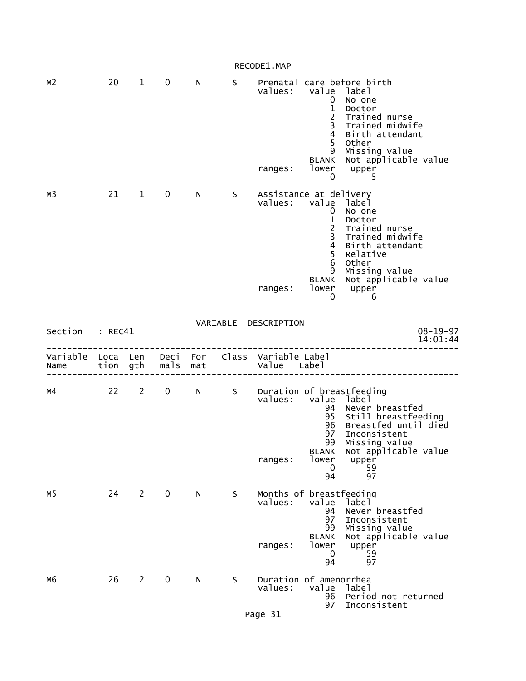| м2               | 20                   | 1              | 0            | N          | S        | values:<br>ranges:                            | value<br>0<br>$\mathbf{1}$<br>$\overline{c}$<br>$\overline{\mathbf{3}}$<br>4<br>5<br>9<br><b>BLANK</b><br>lower<br>$\bf{0}$ | Prenatal care before birth<br>label<br>No one<br>Doctor<br>Trained nurse<br>Trained midwife<br>Birth attendant<br>Other<br>Missing value<br>Not applicable value<br>upper<br>5     |
|------------------|----------------------|----------------|--------------|------------|----------|-----------------------------------------------|-----------------------------------------------------------------------------------------------------------------------------|------------------------------------------------------------------------------------------------------------------------------------------------------------------------------------|
| мЗ               | 21                   | $\mathbf{1}$   | 0            | N          | S        | Assistance at delivery<br>values:<br>ranges:  | value<br>0<br>$\mathbf{1}$<br>$\frac{2}{3}$<br>$\overline{\mathbf{4}}$<br>5<br>6<br>9<br><b>BLANK</b><br>lower<br>0         | label<br>No one<br>Doctor<br>Trained nurse<br>Trained midwife<br>Birth attendant<br>Relative<br>Other<br>Missing value<br>Not applicable value<br>upper<br>6                       |
| Section          | : REC41              |                |              |            | VARIABLE | DESCRIPTION                                   |                                                                                                                             | $08 - 19 - 97$<br>14:01:44                                                                                                                                                         |
| Variable<br>Name | Loca Len<br>tion gth |                | Deci<br>mals | For<br>mat | Class    | Variable Label<br>Value                       | Labe <sub>1</sub>                                                                                                           |                                                                                                                                                                                    |
| м4               | 22                   | $\mathbf{2}$   | 0            | N.         | S        | values:<br>ranges:                            | value<br>94<br>95<br>96<br>97<br>99<br><b>BLANK</b><br>lower<br>0<br>94                                                     | Duration of breastfeeding<br>label<br>Never breastfed<br>Still breastfeeding<br>Breastfed until died<br>Inconsistent<br>Missing value<br>Not applicable value<br>upper<br>59<br>97 |
| м5               | 24                   | $\overline{2}$ | $\mathbf 0$  | N          | S        | Months of breastfeeding<br>values:<br>ranges: | value<br>94<br>97<br>99<br><b>BLANK</b><br>lower<br>0<br>94                                                                 | label<br>Never breastfed<br>Inconsistent<br>Missing value<br>Not applicable value<br>upper<br>59<br>97                                                                             |
| м6               | 26                   | $\overline{2}$ | $\mathbf 0$  | N          | S        | Duration of amenorrhea<br>values:             | value<br>96<br>97                                                                                                           | label<br>Period not returned<br>Inconsistent                                                                                                                                       |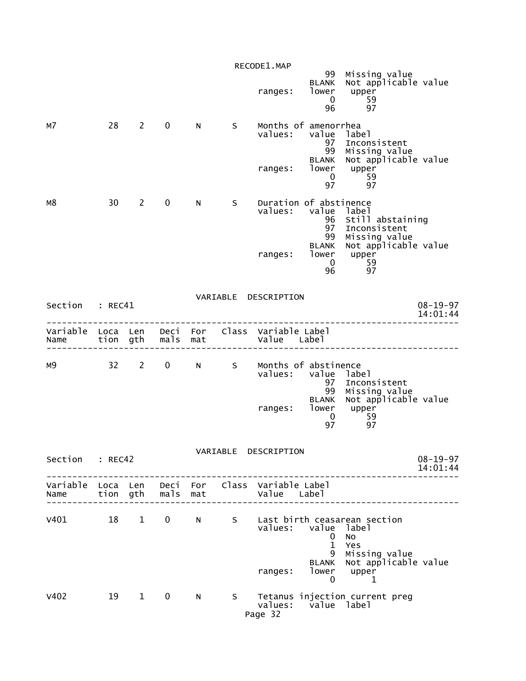|                                    |          |                        |              |     |     | RECODE1.MAP                                                                               |                                                               |                                                                                                                                              |                            |
|------------------------------------|----------|------------------------|--------------|-----|-----|-------------------------------------------------------------------------------------------|---------------------------------------------------------------|----------------------------------------------------------------------------------------------------------------------------------------------|----------------------------|
|                                    |          |                        |              |     |     | ranges:                                                                                   | 96                                                            | 99 Missing value<br>BLANK Not applicable value<br>lower upper<br>0 59<br>97                                                                  |                            |
| м7                                 |          | 28 2                   | $\mathbf 0$  | N   | S   | Months of amenorrhea<br>values:                                                           | value label<br>97<br><b>BLANK</b><br>ranges: lower upper      | Inconsistent<br>99 Missing value<br>Not applicable value<br>$\begin{bmatrix} 0 & 59 \end{bmatrix}$<br>97 97                                  |                            |
| м8                                 |          | 30 2                   | $\mathbf{0}$ | N   | S – | Duration of abstinence<br>ranges:                                                         | 97                                                            | values: value label<br>96 Still abstaining<br>Inconsistent<br>99 Missing value<br>BLANK Not applicable value<br>Tower upper<br>0 59<br>96 97 |                            |
| Section : REC41                    |          |                        |              |     |     | VARIABLE DESCRIPTION                                                                      |                                                               |                                                                                                                                              | $08 - 19 - 97$<br>14:01:44 |
|                                    |          |                        |              |     |     | Variable Loca Len Deci For Class Variable Label<br>Name tion gth mals mat and value Label |                                                               |                                                                                                                                              |                            |
|                                    |          |                        |              |     |     | M9 32 2 0 N S Months of abstinence<br>values: value label<br>ranges:                      | 97<br>$\overline{0}$<br>97                                    | Inconsistent<br>99 Missing value<br>BLANK Not applicable value<br>lower upper<br>$\frac{59}{2}$<br>97                                        |                            |
| Section                            | : REC42  |                        |              |     |     | VARIABLE DESCRIPTION                                                                      |                                                               |                                                                                                                                              | $08 - 19 - 97$<br>14:01:44 |
| Variable Loca Len Deci For<br>Name | tion gth |                        | mals         | mat |     | Class Variable Label<br>Value Label                                                       |                                                               |                                                                                                                                              |                            |
| v401                               | 18       | $1 \quad \blacksquare$ | $\mathbf{0}$ | N - | S   | values:<br>ranges:                                                                        | value<br>0<br>$\mathbf{1}$<br>9<br><b>BLANK</b><br>lower<br>0 | Last birth ceasarean section<br>label<br>No<br>Yes<br>Missing value<br>Not applicable value<br>upper<br>1                                    |                            |
| V402                               | 19       | $1 \quad \blacksquare$ | $\mathbf 0$  | N   | S.  | values:<br>Page 32                                                                        | value label                                                   | Tetanus injection current preg                                                                                                               |                            |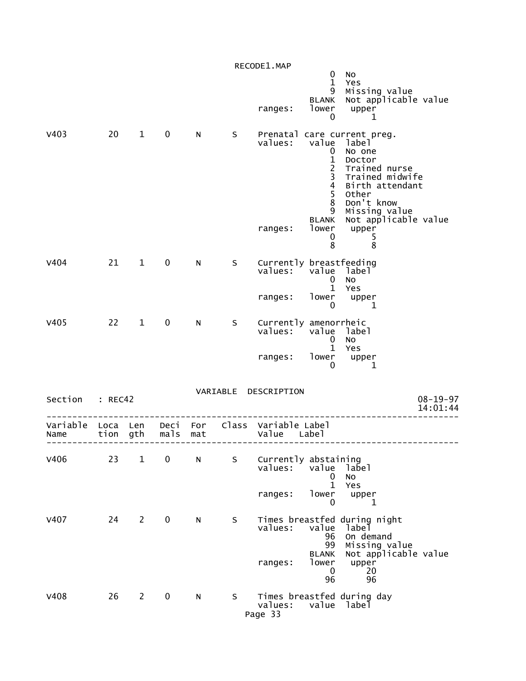|                                    |      |                |             |     |     | RECODE1.MAP                                    |                                                                 |                                                                                                                                                                        |                            |
|------------------------------------|------|----------------|-------------|-----|-----|------------------------------------------------|-----------------------------------------------------------------|------------------------------------------------------------------------------------------------------------------------------------------------------------------------|----------------------------|
|                                    |      |                |             |     |     | ranges:                                        | $\mathbf 0$<br>$\mathbf{1}$<br>9<br>BLANK<br>lower<br>0         | No<br>Yes<br>Missing value<br>Not applicable value<br>upper<br>1                                                                                                       |                            |
| V403                               | 20   | $\mathbf{1}$   | $\mathbf 0$ | N   | S   | values: value label                            | 0<br>$\frac{1}{2}$<br>$\frac{3}{4}$<br>5<br>8<br>9              | Prenatal care current preg.<br>No one<br>Doctor<br>Trained nurse<br>Trained midwife<br>Birth attendant<br>Other<br>Don't know<br>Missing value<br>Not applicable value |                            |
|                                    |      |                |             |     |     | ranges:                                        | <b>BLANK</b><br>lower<br>$\mathbf 0$<br>8                       | upper<br>5<br>8                                                                                                                                                        |                            |
| V404                               |      | $21 \quad 1$   | $\mathbf 0$ | N.  | S — | Currently breastfeeding<br>values: value label | $\mathbf 0$<br>$\mathbf{1}$                                     | No<br>Yes                                                                                                                                                              |                            |
|                                    |      |                |             |     |     | ranges:                                        | 0                                                               | $\begin{bmatrix} \text{lower} \\ \text{0} \end{bmatrix}$ upper<br>1                                                                                                    |                            |
| V405                               |      | $22 \t 1$      | $\mathbf 0$ | N   | S   | Currently amenorrheic<br>values:               | $\mathbf{0}$                                                    | value label<br><b>NO</b><br>1 Yes                                                                                                                                      |                            |
|                                    |      |                |             |     |     | ranges: lower upper                            | 0                                                               | 1                                                                                                                                                                      |                            |
| Section : REC42                    |      |                |             |     |     | VARIABLE DESCRIPTION                           |                                                                 |                                                                                                                                                                        | $08 - 19 - 97$<br>14:01:44 |
| Variable Loca Len Deci For<br>Name | tion | gth            | mals        | mat |     | Class Variable Label<br>Value                  | Label                                                           |                                                                                                                                                                        |                            |
| V406                               | 23   | $\mathbf{1}$   | $\mathbf 0$ | N.  | S   | Currently abstaining<br>values:                | value<br>$\mathbf 0$                                            | laɓel<br>NO                                                                                                                                                            |                            |
|                                    |      |                |             |     |     | ranges:                                        | $\mathbf{1}$<br>lower<br>0                                      | Yes<br>upper<br>1                                                                                                                                                      |                            |
| <b>V407</b>                        | 24   | $\overline{2}$ | $\mathbf 0$ | N   | S   | values:<br>ranges:                             | value<br>96<br>99<br><b>BLANK</b><br>lower<br>$\mathbf 0$<br>96 | Times breastfed during night<br>label<br>On demand<br>Missing value<br>Not applicable value<br>upper<br>20<br>96                                                       |                            |
| <b>V408</b>                        | 26   | $2^{\sim}$     | $\mathbf 0$ | N   | S   | values:<br>Page 33                             | value                                                           | Times breastfed during day<br>label                                                                                                                                    |                            |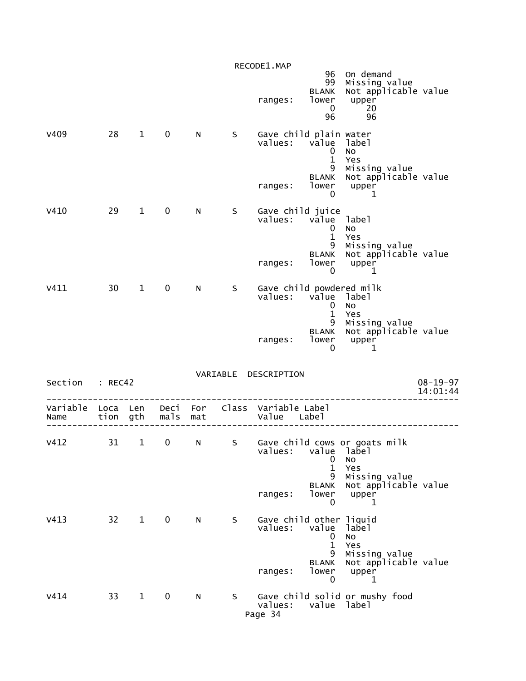|                  |                  |              |              |            |    | RECODE1.MAP                                    |                                                                                   |                                                                                                            |                            |
|------------------|------------------|--------------|--------------|------------|----|------------------------------------------------|-----------------------------------------------------------------------------------|------------------------------------------------------------------------------------------------------------|----------------------------|
|                  |                  |              |              |            |    | ranges:                                        | 96<br>99<br><b>BLANK</b><br>lower<br>$\mathbf 0$<br>96                            | On demand<br>Missing value<br>Not applicable value<br>upper<br>20<br>96                                    |                            |
| V409             | 28               | $\mathbf{1}$ | $\mathbf 0$  | N          | S  | Gave child plain water<br>values:<br>ranges:   | value<br>0<br>$\mathbf 1$<br>9<br>BLANK<br>lower<br>0                             | label<br>No<br>Yes<br>Missing value<br>Not applicable value<br>upper<br>1                                  |                            |
| V410             | 29               | $\mathbf{1}$ | 0            | N.         | S  | Gave child juice<br>values:<br>ranges:         | value<br>$\mathbf 0$<br>$\mathbf 1$<br>9<br><b>BLANK</b><br>lower<br>0            | label<br>No<br>Yes<br>Missing value<br>Not applicable value<br>upper<br>1                                  |                            |
| V411             | 30               | $\mathbf{1}$ | $\mathbf 0$  | N.         | S  | Gave child powdered milk<br>values:<br>ranges: | value<br>$\mathbf 0$<br>$\mathbf{1}$<br>9<br>BLANK<br>lower<br>$\mathbf 0$        | label<br>No<br>Yes<br>Missing value<br>Not applicable value<br>upper<br>1                                  |                            |
| Section          | : REC42          |              |              |            |    | VARIABLE DESCRIPTION                           |                                                                                   |                                                                                                            | $08 - 19 - 97$<br>14:01:44 |
| Variable<br>Name | Loca Len<br>tion | gth          | Deci<br>mals | For<br>mat |    | Class Variable Label<br>Value                  | Labe <sub>1</sub>                                                                 |                                                                                                            |                            |
| V412             | 31               | $\mathbf{1}$ | 0            | N          | S  | values:<br>ranges:                             | value<br>0<br>$\mathbf{1}$<br>9<br><b>BLANK</b><br>lower<br>$\mathbf{0}$          | Gave child cows or goats milk<br>label<br>No<br>Yes<br>Missing value<br>Not applicable value<br>upper<br>1 |                            |
| V413             | 32               | $\mathbf{1}$ | $\mathbf 0$  | N          | S  | Gave child other liquid<br>values:<br>ranges:  | value<br>$\mathbf 0$<br>$\mathbf{1}$<br>9<br><b>BLANK</b><br>lower<br>$\mathbf 0$ | label<br>No<br>Yes<br>Missing value<br>Not applicable value<br>upper<br>1                                  |                            |
| V414             | 33               | $\mathbf{1}$ | $\mathbf 0$  | ${\sf N}$  | S. | values:<br>Page 34                             | value label                                                                       | Gave child solid or mushy food                                                                             |                            |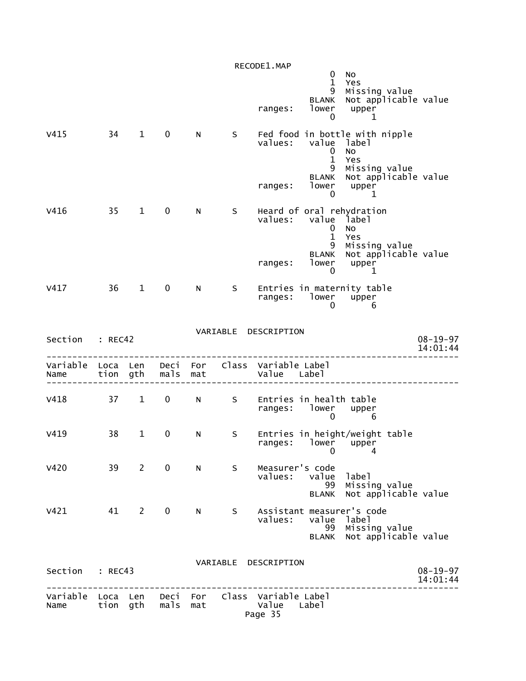|                           |              |                |              |            |          | RECODE1.MAP                              |                                                                                   |                                                                                                               |                            |
|---------------------------|--------------|----------------|--------------|------------|----------|------------------------------------------|-----------------------------------------------------------------------------------|---------------------------------------------------------------------------------------------------------------|----------------------------|
|                           |              |                |              |            |          | ranges:                                  | $\mathbf 0$<br>$\mathbf{1}$<br>9<br><b>BLANK</b><br>lower<br>0                    | No<br>Yes<br>Missing value<br>Not applicable value<br>upper<br>1                                              |                            |
| V415                      | 34           | $\mathbf{1}$   | 0            | N          | S        | values:<br>ranges:                       | value<br>$\mathbf 0$<br>$\mathbf{1}$<br>9<br><b>BLANK</b><br>lower<br>$\mathbf 0$ | Fed food in bottle with nipple<br>label<br>No<br>Yes<br>Missing value<br>Not applicable value<br>upper<br>1   |                            |
| V416                      | 35           | $\mathbf{1}$   | 0            | N          | S        | values:<br>ranges:                       | value<br>$\mathbf 0$<br>$\mathbf 1$<br>9<br><b>BLANK</b><br>lower<br>0            | Heard of oral rehydration<br>label<br><b>NO</b><br>Yes<br>Missing value<br>Not applicable value<br>upper<br>1 |                            |
| V417                      | 36           | $\mathbf{1}$   | 0            | N          | S        | ranges:                                  | lower<br>0                                                                        | Entries in maternity table<br>upper<br>6                                                                      |                            |
| Section                   | : REC42      |                |              |            |          | VARIABLE DESCRIPTION                     |                                                                                   |                                                                                                               | $08 - 19 - 97$<br>14:01:44 |
| Variable<br>Name          | Loca<br>tion | Len<br>gth     | Deci<br>mals | For<br>mat |          | Class Variable Label<br>Value Label      |                                                                                   |                                                                                                               |                            |
| V418                      | 37           | $\mathbf{1}$   | $\mathbf 0$  | N          | S.       | Entries in health table<br>ranges:       | lower<br>0                                                                        | upper<br>6                                                                                                    |                            |
| V419                      | 38           | $\mathbf{1}$   | 0            | N          | S        | ranges: lower upper<br>0 4               | 0                                                                                 | Entries in height/weight table<br>4                                                                           |                            |
| V420                      | 39           | $\overline{2}$ | 0            | N          | S        | Measurer's code<br>values:               | value<br>99<br><b>BLANK</b>                                                       | label<br>Missing value<br>Not applicable value                                                                |                            |
| V421                      | 41           | $\overline{2}$ | 0            | N          | S.       | Assistant measurer's code<br>values:     | value<br>99<br><b>BLANK</b>                                                       | label<br>Missing value<br>Not applicable value                                                                |                            |
| Section                   | : REC43      |                |              |            | VARIABLE | DESCRIPTION                              |                                                                                   |                                                                                                               | $08 - 19 - 97$<br>14:01:44 |
| Variable Loca Len<br>Name | tion gth     |                | Deci<br>mals | For<br>mat |          | Class Variable Label<br>Value<br>Page 35 | Label                                                                             |                                                                                                               |                            |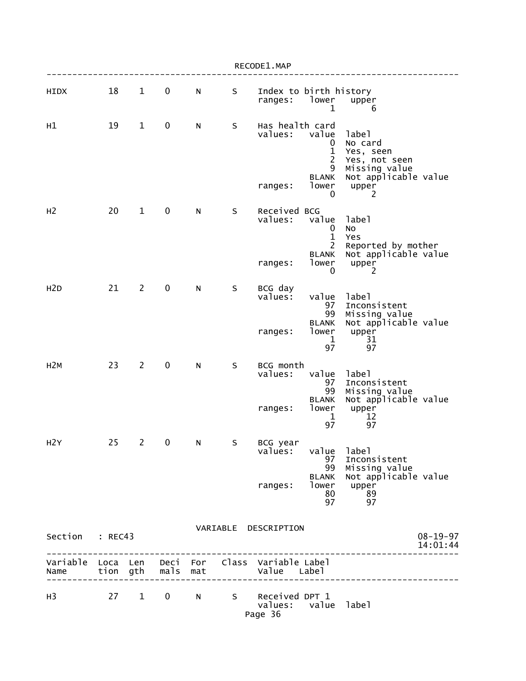|                  |    |                        |                         |     |         | RECODE1.MAP                                                    |                                                                        |                                                                                                       |                            |
|------------------|----|------------------------|-------------------------|-----|---------|----------------------------------------------------------------|------------------------------------------------------------------------|-------------------------------------------------------------------------------------------------------|----------------------------|
| HIDX             | 18 | $\mathbf{1}$           | $\mathbf 0$             | N   | S       | Index to birth history<br>ranges:                              | lower<br>1                                                             | upper<br>6                                                                                            |                            |
| H1               | 19 | $\mathbf{1}$           | $\mathbf 0$             | N   | S       | Has health card<br>values:<br>ranges:                          | value<br>0<br>1<br>$\overline{2}$<br>9<br><b>BLANK</b><br>lower<br>0   | label<br>No card<br>Yes, seen<br>Yes, not seen<br>Missing value<br>Not applicable value<br>upper<br>2 |                            |
| H <sub>2</sub>   | 20 | $\mathbf{1}$           | 0                       | N   | S       | Received BCG<br>values:                                        | value<br>$\mathbf 0$<br>$\mathbf{1}$<br>$\overline{c}$<br><b>BLANK</b> | label<br>No<br>Yes<br>Reported by mother<br>Not applicable value                                      |                            |
|                  |    |                        |                         |     |         | ranges:                                                        | lower<br>0                                                             | upper<br>2                                                                                            |                            |
| H <sub>2</sub> D | 21 | $\overline{2}$         | 0                       | N   | $\sf S$ | BCG day<br>values:                                             | value<br>97<br>99                                                      | label<br>Inconsistent<br>Missing value                                                                |                            |
|                  |    |                        |                         |     |         | ranges:                                                        | <b>BLANK</b><br>lower<br>1<br>97                                       | Not applicable value<br>upper<br>31<br>97                                                             |                            |
| H2M              | 23 | $\overline{2}$         | 0                       | N   | S       | BCG month<br>values:                                           | value<br>97<br>99<br><b>BLANK</b>                                      | label<br>Inconsistent<br>Missing value<br>Not applicable value                                        |                            |
|                  |    |                        |                         |     |         | ranges:                                                        | lower<br>1<br>97                                                       | upper<br>12<br>97                                                                                     |                            |
| H2Y              | 25 | $\mathbf{2}$           | $\overline{\mathbf{0}}$ | N   | S.      | BCG year<br>values:                                            | value<br>97<br>99                                                      | label<br>Inconsistent<br>Missing value                                                                |                            |
|                  |    |                        |                         |     |         | ranges:                                                        | BLANK<br>lower<br>80<br>97                                             | Not applicable value<br>upper<br>89<br>97                                                             |                            |
| Section : REC43  |    |                        |                         |     |         | VARIABLE DESCRIPTION                                           |                                                                        |                                                                                                       | $08 - 19 - 97$<br>14:01:44 |
| Name             |    |                        | tion gth mals           | mat |         | Variable Loca Len Deci For Class Variable Label<br>Value Label |                                                                        |                                                                                                       |                            |
| H <sub>3</sub>   | 27 | $1 \quad \blacksquare$ | $0 \qquad \qquad$       | N   |         | S Received DPT 1<br>values: value label<br>Page 36             |                                                                        |                                                                                                       |                            |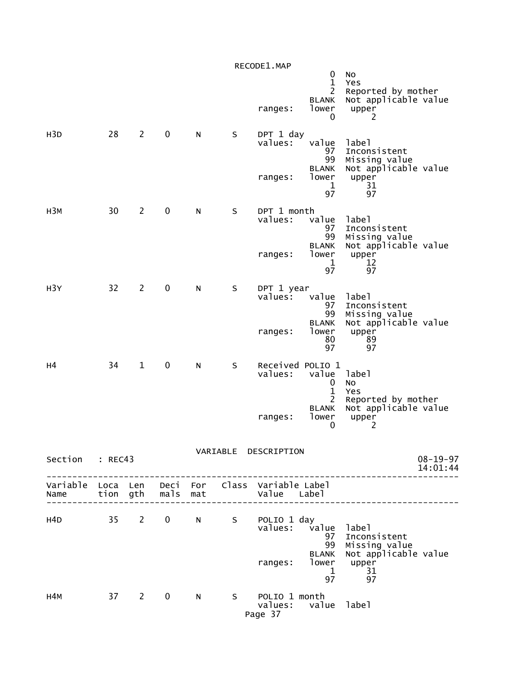|                  |        |                |             |              |   | RECODE1.MAP<br>ranges:                      | 0<br>$\mathbf 1$<br>$\overline{2}$<br><b>BLANK</b><br>lower<br>0 | No<br>Yes<br>Reported by mother<br>Not applicable value<br>upper<br>2 |                            |
|------------------|--------|----------------|-------------|--------------|---|---------------------------------------------|------------------------------------------------------------------|-----------------------------------------------------------------------|----------------------------|
| H <sub>3</sub> D | 28     | $\overline{2}$ | $\mathbf 0$ | N            | S | DPT 1 day<br>values:                        | value<br>97<br>99<br><b>BLANK</b>                                | label<br>Inconsistent<br>Missing value<br>Not applicable value        |                            |
|                  |        |                |             |              |   | ranges:                                     | lower<br>$\mathbf 1$<br>97                                       | upper<br>31<br>97                                                     |                            |
| H3M              | 30     | $\overline{2}$ | $\mathbf 0$ | N            | S | DPT 1 month<br>values:                      | value<br>97<br>99                                                | label<br>Inconsistent<br>Missing value                                |                            |
|                  |        |                |             |              |   | ranges:                                     | <b>BLANK</b><br>lower<br>$\mathbf 1$<br>97                       | Not applicable value<br>upper<br>12<br>97                             |                            |
| H <sub>3</sub> Y | 32     | $\overline{2}$ | $\mathbf 0$ | N            | S | DPT 1 year<br>$value5$ :                    | value<br>97<br>99                                                | label<br>Inconsistent<br>Missing value                                |                            |
|                  |        |                |             |              |   | ranges:                                     | <b>BLANK</b><br>lower<br>80<br>97                                | Not applicable value<br>upper<br>89<br>97                             |                            |
| н4               | 34     | $\mathbf{1}$   | $\mathbf 0$ | N            | S | values:                                     | Received POLIO 1<br>value<br>0<br>$\mathbf{1}$                   | label<br>No<br>Yes                                                    |                            |
|                  |        |                |             |              |   | ranges:                                     | 2<br><b>BLANK</b><br>lower<br>0                                  | Reported by mother<br>Not applicable value<br>upper<br>2              |                            |
| Section : REC43  |        |                |             |              |   | VARIABLE DESCRIPTION                        |                                                                  | -------------------                                                   | $08 - 19 - 97$<br>14:01:44 |
|                  |        |                |             |              |   |                                             |                                                                  | ________________________                                              |                            |
| H4D              |        |                |             |              |   | 35 2 0 N S POLIO1day<br>values: value label | <b>BLANK</b>                                                     | 97 Inconsistent<br>99 Missing value<br>Not applicable value           |                            |
|                  |        |                |             |              |   |                                             | ranges: Tower upper<br>1 31                                      | 97 97                                                                 |                            |
| н4м              | 37 2 0 |                |             | $\mathbb{N}$ |   | S POLIO 1 month<br>Page 37                  | values: value label                                              |                                                                       |                            |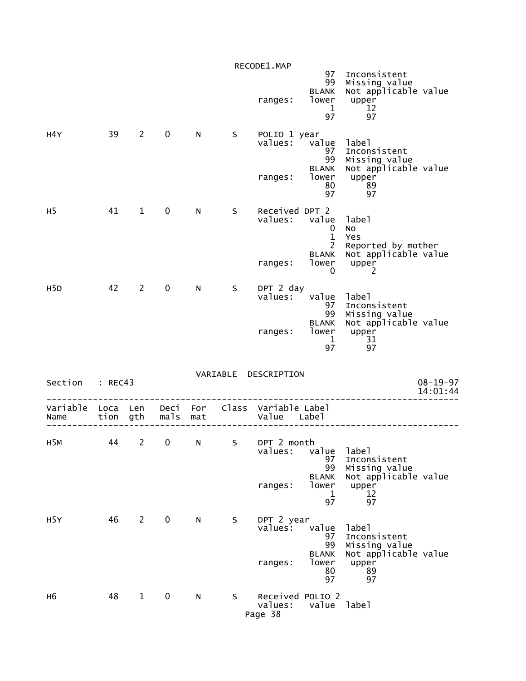|                  |          |                |                  |     |   | RECODE1.MAP                            |                                                                            |                                                                                     |                            |
|------------------|----------|----------------|------------------|-----|---|----------------------------------------|----------------------------------------------------------------------------|-------------------------------------------------------------------------------------|----------------------------|
|                  |          |                |                  |     |   | ranges:                                | 97<br>99<br><b>BLANK</b><br>lower<br>$\mathbf 1$<br>97                     | Inconsistent<br>Missing value<br>Not applicable value<br>upper<br>12<br>97          |                            |
| H4Y              | 39       | $\overline{2}$ | 0                | N   | S | POLIO 1 year<br>values:<br>ranges:     | value<br>97<br>99<br><b>BLANK</b><br>lower<br>80<br>97                     | label<br>Inconsistent<br>Missing value<br>Not applicable value<br>upper<br>89<br>97 |                            |
| H <sub>5</sub>   | 41       | $\mathbf{1}$   | $\mathbf 0$      | N.  | S | Received DPT 2<br>values:<br>ranges:   | value<br>0<br>$\mathbf{1}$<br>$\overline{2}$<br><b>BLANK</b><br>lower<br>0 | label<br>No<br>Yes<br>Reported by mother<br>Not applicable value<br>upper<br>2      |                            |
| H <sub>5</sub> D | 42       | $\overline{2}$ | $\mathbf 0$      | N   | S | DPT 2 day<br>values:<br>ranges:        | value<br>97<br>99<br><b>BLANK</b><br>lower<br>$\mathbf{1}$<br>97           | label<br>Inconsistent<br>Missing value<br>Not applicable value<br>upper<br>31<br>97 |                            |
| Section          | : REC43  |                |                  |     |   | VARIABLE DESCRIPTION                   |                                                                            |                                                                                     | $08 - 19 - 97$<br>14:01:44 |
| Variable<br>Name | Loca Len | tion gth       | Deci For<br>mals | mat |   | Class Variable Label<br>Value Label    |                                                                            |                                                                                     |                            |
| H <sub>5</sub> M | 44       | $\overline{2}$ | 0                | N   | S | DPT 2 month<br>values:<br>ranges:      | value<br>97<br>99<br><b>BLANK</b><br>lower<br>$\mathbf 1$<br>97            | label<br>Inconsistent<br>Missing value<br>Not applicable value<br>upper<br>12<br>97 |                            |
| H <sub>5</sub> Y | 46       | $2^{\circ}$    | $\mathbf 0$      | N   | S | DPT 2 year<br>$value5$ :<br>ranges:    | value<br>97<br>99<br><b>BLANK</b><br>lower<br>80<br>97                     | label<br>Inconsistent<br>Missing value<br>Not applicable value<br>upper<br>89<br>97 |                            |
| н6               | 48       | $\mathbf{1}$   | $\mathbf 0$      | N   | S | Received POLIO 2<br>values:<br>Page 38 | value label                                                                |                                                                                     |                            |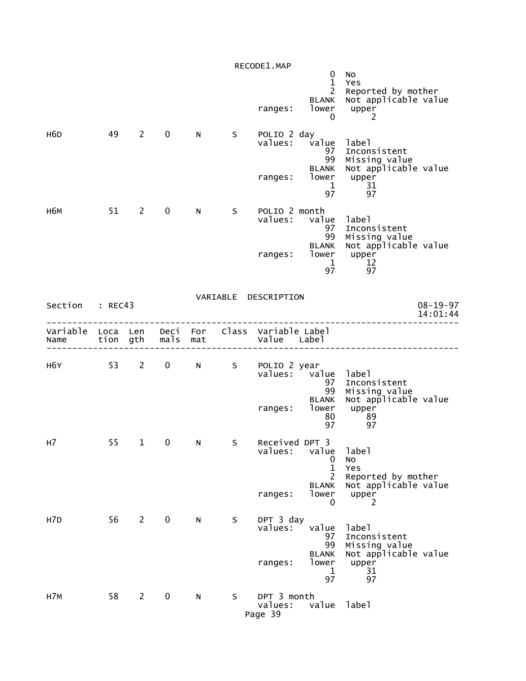|                                                         |    |                |                   |                |     | RECODE1.MAP<br>ranges:            | 0<br>$\mathbf{1}$<br>$\overline{2}$<br><b>BLANK</b><br>lower<br>0 | No<br>Yes<br>Reported by mother<br>Not applicable value<br>upper<br>2 |                |
|---------------------------------------------------------|----|----------------|-------------------|----------------|-----|-----------------------------------|-------------------------------------------------------------------|-----------------------------------------------------------------------|----------------|
| H6D                                                     | 49 | $2^{\circ}$    | $\mathbf 0$       | N              | S - | POLIO 2 day                       | values: value label<br>97<br>99<br><b>BLANK</b><br>ranges: lower  | Inconsistent<br>Missing value<br>Not applicable value<br>upper        |                |
|                                                         |    |                |                   |                |     |                                   | 1<br>97                                                           | $\frac{31}{67}$                                                       |                |
| н6м                                                     |    | 51 2           | $\mathbf 0$       | N <sub>1</sub> | S.  | POLIO 2 month<br>values:          | value label<br>97<br>99                                           | Inconsistent<br>Missing value<br>Not applicable value                 |                |
|                                                         |    |                |                   |                |     | ranges:                           | <b>BLANK</b><br>lower<br>$\mathbf{1}$<br>97                       | upper<br>12<br>97                                                     |                |
| Section : REC43                                         |    |                |                   |                |     | VARIABLE DESCRIPTION              |                                                                   |                                                                       | $08 - 19 - 97$ |
|                                                         |    |                |                   |                |     |                                   |                                                                   |                                                                       | 14:01:44       |
| Variable Loca Len Deci For Class Variable Label<br>Name |    |                | tion gth mals mat |                |     | Value Label                       |                                                                   |                                                                       |                |
| H6Y                                                     |    |                |                   |                |     | 53 2 0 N S POLIO 2 year           | values: value label<br>97<br>99                                   | Inconsistent<br>Missing value                                         |                |
|                                                         |    |                |                   |                |     | ranges:                           | <b>BLANK</b><br>lower<br>80<br>97                                 | Not applicable value<br>upper<br>89<br>97                             |                |
| н7                                                      | 55 | $\mathbf{1}$   | 0                 | N              | S.  | Received DPT 3<br>values:         | value<br>0<br>$\mathbf{1}$                                        | 1abe1<br>No<br>Yes                                                    |                |
|                                                         |    |                |                   |                |     | ranges:                           | 2<br><b>BLANK</b><br>lower<br>0                                   | Reported by mother<br>Not applicable value<br>upper<br>2              |                |
| H <sub>7</sub> D                                        | 56 | $\overline{2}$ | $\mathbf 0$       | N              | S   | DPT 3 day<br>values:              | value<br>97<br>99                                                 | label<br>Inconsistent<br>Missing value                                |                |
|                                                         |    |                |                   |                |     | ranges:                           | <b>BLANK</b><br>lower<br>$\mathbf 1$<br>97                        | Not applicable value<br>upper<br>31<br>97                             |                |
| H7M                                                     | 58 | $\overline{2}$ | 0                 | N              | S   | DPT 3 month<br>values:<br>Page 39 | value                                                             | label                                                                 |                |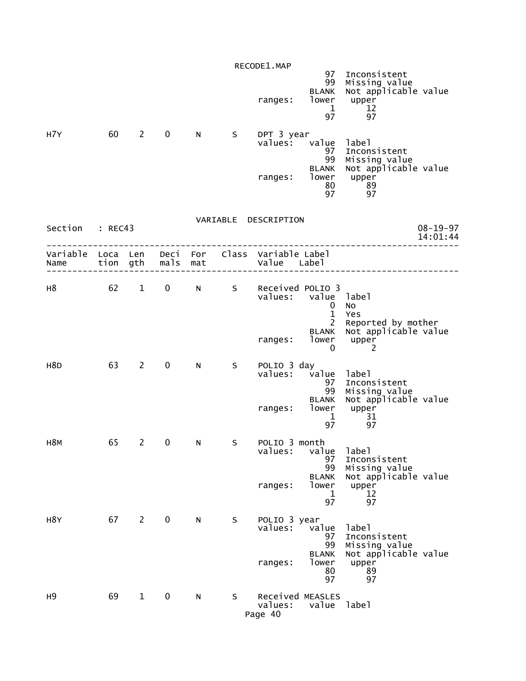| H7Y              | 60                   | $\overline{2}$ | $\mathbf 0$  | N          | S | RECODE1.MAP<br>ranges:<br>DPT 3 year<br>values: | 97<br>99<br><b>BLANK</b><br>lower<br>$\mathbf 1$<br>97<br>value<br>97<br>99<br><b>BLANK</b> | Inconsistent<br>Missing value<br>Not applicable value<br>upper<br>12<br>97<br>label<br>Inconsistent<br>Missing value<br>Not applicable value |                |
|------------------|----------------------|----------------|--------------|------------|---|-------------------------------------------------|---------------------------------------------------------------------------------------------|----------------------------------------------------------------------------------------------------------------------------------------------|----------------|
| Section          | : REC43              |                |              |            |   | ranges:<br>VARIABLE DESCRIPTION                 | lower<br>80<br>97                                                                           | upper<br>89<br>97                                                                                                                            | $08 - 19 - 97$ |
|                  |                      |                |              |            |   |                                                 |                                                                                             |                                                                                                                                              | 14:01:44       |
| Variable<br>Name | Loca Len<br>tion gth |                | Deci<br>mals | For<br>mat |   | Class Variable Label<br>Value Label             |                                                                                             |                                                                                                                                              |                |
| н8               | 62                   | $\mathbf{1}$   | $\mathbf 0$  | N          | S | Received POLIO 3<br>values:                     | value<br>0<br>$\mathbf{1}$<br>$\overline{2}$                                                | label<br>No<br>Yes<br>Reported by mother                                                                                                     |                |
|                  |                      |                |              |            |   | ranges:                                         | <b>BLANK</b><br>lower<br>0                                                                  | Not applicable value<br>upper<br>2                                                                                                           |                |
| H <sub>8</sub> D | 63                   | $2^{\sim}$     | $\mathbf 0$  | N          | S | POLIO 3 day<br>values:                          | value<br>97<br>99                                                                           | label<br>Inconsistent<br>Missing value<br>Not applicable value                                                                               |                |
|                  |                      |                |              |            |   | ranges:                                         | <b>BLANK</b><br>lower<br>1<br>97                                                            | upper<br>31<br>97                                                                                                                            |                |
| H8M              | 65                   | $\overline{2}$ | 0            | N          | S | POLIO 3 month<br>values:                        | value<br>97<br>99                                                                           | label<br>Inconsistent<br>Missing value                                                                                                       |                |
|                  |                      |                |              |            |   | ranges:                                         | <b>BLANK</b><br>lower<br>1<br>97                                                            | Not applicable value<br>upper<br>12<br>97                                                                                                    |                |
| H8Y              | 67                   | $\overline{2}$ | $\mathbf 0$  | N          | S | POLIO 3 year<br>values:<br>ranges:              | value<br>97<br>99<br><b>BLANK</b><br>lower<br>80<br>97                                      | label<br>Inconsistent<br>Missing value<br>Not applicable value<br>upper<br>89<br>97                                                          |                |
| н9               | 69                   | $\mathbf{1}$   | $\mathbf 0$  | N          | S | values:<br>Page 40                              | Received MEASLES<br>value                                                                   | label                                                                                                                                        |                |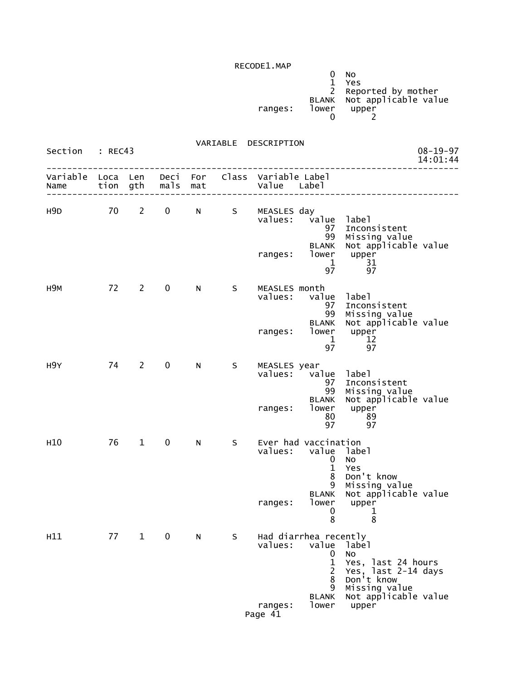|         |       | N <sub>0</sub>             |
|---------|-------|----------------------------|
|         |       | <b>Yes</b>                 |
|         |       | 2 Reported by mother       |
|         |       | BLANK Not applicable value |
| ranges: | lower | upper                      |
|         |       |                            |

| Section : REC43           |      |             |                   |    |             | VARIABLE DESCRIPTION           |                                                                                                                |                                                                                                                           | $08 - 19 - 97$<br>14:01:44 |
|---------------------------|------|-------------|-------------------|----|-------------|--------------------------------|----------------------------------------------------------------------------------------------------------------|---------------------------------------------------------------------------------------------------------------------------|----------------------------|
| Variable Loca Len<br>Name |      |             | tion gth mals mat |    |             | Deci For Class Variable Label  |                                                                                                                |                                                                                                                           |                            |
| H9D                       |      |             | 70 2 0            |    |             | N S MEASLES day<br>ranges:     | values: value label<br>97<br>99<br><b>BLANK</b><br>lower<br>$\mathbf{1}$<br>97                                 | Inconsistent<br>Missing value<br>Not applicable value<br>upper<br>-31<br>97                                               |                            |
| H9M                       |      | 72 2        | $\mathbf 0$       | N. | $S_{\perp}$ | MEASLES month<br>values: value | 97<br>99<br><b>BLANK</b><br>ranges: lower upper<br>1<br>97                                                     | label<br>Inconsistent<br>Missing value<br>Not applicable value<br>12<br>97                                                |                            |
| H9Y                       |      | 74 2        | $\mathbf 0$       | N  | S           | MEASLES year<br>ranges:        | values: value label<br>97<br>99<br>lower<br>80<br>97                                                           | Inconsistent<br>Missing value<br>BLANK Not applicable value<br>upper<br>89<br>89<br>97                                    |                            |
| H <sub>10</sub>           | 76 — | $1 \quad$   | $\overline{0}$    | N  | S           | ranges:                        | Ever had vaccination<br>values: value label<br>$\mathbf 0$<br>$\mathbf{1}$<br>8<br>9<br>lower<br>$\bf{0}$<br>8 | <b>NO</b><br>Yes<br>Don't know<br>Missing value<br>BLANK Not applicable value<br>upper<br>1<br>8                          |                            |
| H11                       | 77   | $\mathbf 1$ | 0                 | N  | S.          | values:<br>ranges:<br>Page 41  | Had diarrhea recently<br>value<br>0<br>1<br>$\overline{2}$<br>8<br>9<br><b>BLANK</b><br>lower                  | label<br>No.<br>Yes, last 24 hours<br>Yes, last 2-14 days<br>Don't know<br>Missing value<br>Not applicable value<br>upper |                            |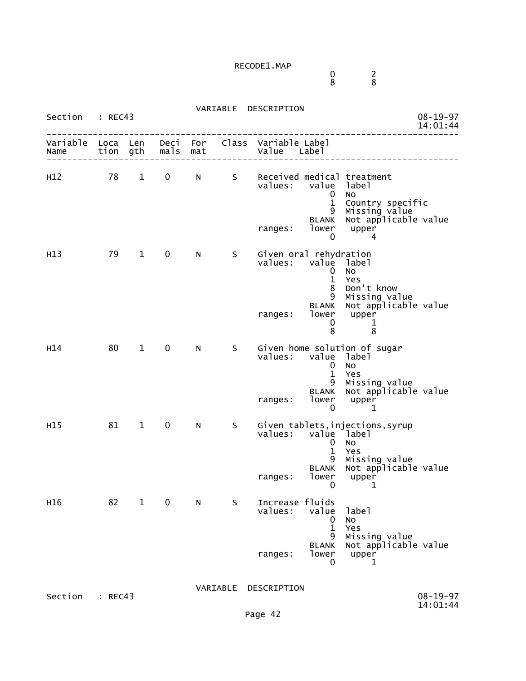$\sim$  0  $\sim$  2 8 8

| Section          | : REC43      |              |              |            | VARIABLE | DESCRIPTION                                                                                                                                                                                  | $08 - 19 - 97$<br>14:01:44 |
|------------------|--------------|--------------|--------------|------------|----------|----------------------------------------------------------------------------------------------------------------------------------------------------------------------------------------------|----------------------------|
| Variable<br>Name | Loca<br>tion | Len<br>gth   | Deci<br>mals | For<br>mat | Class    | Variable Label<br>Value Label                                                                                                                                                                |                            |
| H12              | 78           | $\mathbf{1}$ | 0            | N          | S.       | Received medical treatment<br>values: value<br>label<br><b>NO</b><br>0<br>$\mathbf{1}$<br>Country specific<br>Missing value<br>9<br><b>BLANK</b><br>lower<br>upper<br>ranges:<br>0<br>4      | Not applicable value       |
| H13              | 79           | $\mathbf 1$  | $\mathbf 0$  | N          | S.       | Given oral rehydration<br>values:<br>value label<br>No<br>0<br>$\mathbf{1}$<br>Yes<br>8<br>Don't know<br>9<br>Missing value<br><b>BLANK</b><br>lower<br>ranges:<br>upper<br>0<br>1<br>8<br>8 | Not applicable value       |
| H14              | 80           | $\mathbf{1}$ | 0            | N          | S.       | Given home solution of sugar<br>value label<br>values:<br><b>NO</b><br>$\mathbf 0$<br>$\mathbf{1}$<br>Yes<br>9<br>Missing value<br>BLANK<br>lower<br>ranges:<br>upper<br>0<br>1              | Not applicable value       |
| H15              | 81           | $\mathbf{1}$ | $\mathbf 0$  | N          | S.       | Given tablets, injections, syrup<br>values:<br>value label<br><b>NO</b><br>0<br>$\mathbf{1}$<br>Yes<br>9<br>Missing value<br><b>BLANK</b><br>lower<br>upper<br>ranges:<br>0<br>$\mathbf 1$   | Not applicable value       |
| H <sub>16</sub>  | 82           | $\mathbf 1$  | $\mathbf 0$  | N          | S        | Increase fluids<br>values:<br>value<br>label<br>No<br>0<br>$\mathbf 1$<br>Yes<br>9<br>Missing value<br><b>BLANK</b><br>lower<br>upper<br>ranges:<br>0<br>1                                   | Not applicable value       |
| Section          | : REC43      |              |              |            | VARIABLE | DESCRIPTION                                                                                                                                                                                  | $08 - 19 - 97$<br>14:01:44 |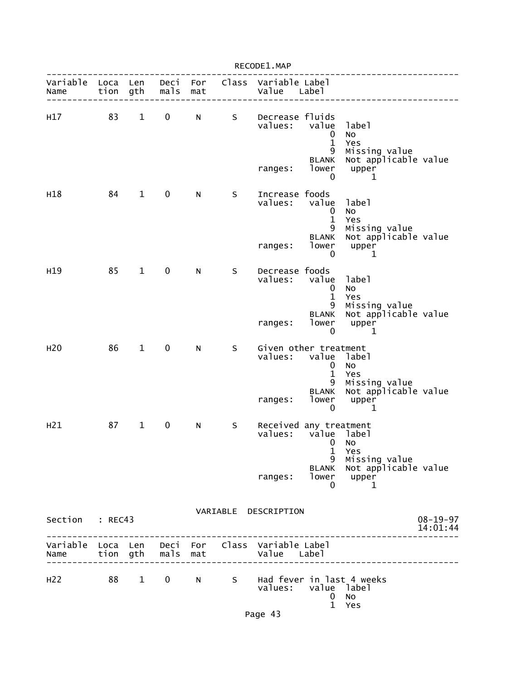|                           |                  |              |              |            |    | RECODE1.MAP                                   |                                                                                                                                                                                                                                                     |                                                                      |                            |
|---------------------------|------------------|--------------|--------------|------------|----|-----------------------------------------------|-----------------------------------------------------------------------------------------------------------------------------------------------------------------------------------------------------------------------------------------------------|----------------------------------------------------------------------|----------------------------|
| Variable<br>Name          | Loca Len<br>tion | gth          | Deci<br>mals | For<br>mat |    | Class Variable Label<br>Value                 | Labe <sub>1</sub>                                                                                                                                                                                                                                   |                                                                      |                            |
| H17                       | 83               | $\mathbf{1}$ | 0            | N          | S. | Decrease fluids<br>values:<br>ranges:         | value<br>$\mathbf 0$<br>$\mathbf{1}$<br>9<br>BLANK<br>lower                                                                                                                                                                                         | label<br>No<br>Yes<br>Missing value<br>Not applicable value<br>upper |                            |
| H18                       | 84               | $\mathbf{1}$ | 0            | N          | S  | Increase foods<br>values:                     | 0<br>value<br>$\bf{0}$<br>$\mathbf{1}$<br>9                                                                                                                                                                                                         | 1<br>label<br>NO<br>Yes<br>Missing value                             |                            |
|                           |                  |              |              |            |    | ranges:                                       | <b>BLANK</b><br>lower<br>0                                                                                                                                                                                                                          | Not applicable value<br>upper<br>1                                   |                            |
| H <sub>19</sub>           | 85               | $\mathbf{1}$ | $\mathbf 0$  | N          | S  | Decrease foods<br>values:                     | value<br>$\mathbf 0$<br>$\mathbf 1$<br>9                                                                                                                                                                                                            | label<br>No<br>Yes<br>Missing value                                  |                            |
|                           |                  |              |              |            |    | ranges:                                       | <b>BLANK</b><br>lower<br>0                                                                                                                                                                                                                          | Not applicable value<br>upper<br>1                                   |                            |
| H <sub>20</sub>           | 86               | $\mathbf{1}$ | $\mathbf 0$  | N          | S  | Given other treatment<br>values:<br>ranges:   | value label<br>$\mathbf 0$<br>$\mathbf{1}$<br>9<br><b>BLANK</b><br>lower                                                                                                                                                                            | No<br>Yes<br>Missing value<br>Not applicable value<br>upper          |                            |
| H <sub>21</sub>           | 87               | $\mathbf{1}$ | $\mathbf 0$  | N          | S  | Received any treatment<br>values: value label | 0<br>and the contract of the contract of the contract of the contract of the contract of the contract of the contract of the contract of the contract of the contract of the contract of the contract of the contract of the contra<br>$\mathbf{1}$ | 1<br>Yes                                                             |                            |
|                           |                  |              |              |            |    | ranges:                                       | 9<br>BLANK<br>lower<br>0                                                                                                                                                                                                                            | Missing value<br>Not applicable value<br>upper<br>1                  |                            |
| Section                   | : REC43          |              |              |            |    | VARIABLE DESCRIPTION                          |                                                                                                                                                                                                                                                     |                                                                      | $08 - 19 - 97$<br>14:01:44 |
| Variable Loca Len<br>Name | tion gth         |              | Deci<br>mals | For<br>mat |    | Class Variable Label<br>Value                 | Label                                                                                                                                                                                                                                               |                                                                      |                            |
| H <sub>22</sub>           | 88               | $1 \quad$    | $\mathbf{0}$ | N.         | S  | Had fever in last 4 weeks<br>values:          | value label<br>0<br>$\mathbf{1}$                                                                                                                                                                                                                    | No<br>Yes                                                            |                            |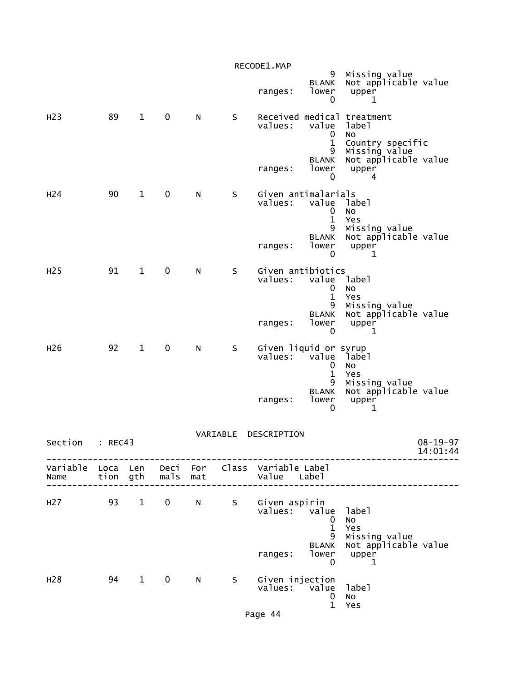|                  |         |              |                   |     |          | RECODE1.MAP                                                    |                                       |                                                                     |
|------------------|---------|--------------|-------------------|-----|----------|----------------------------------------------------------------|---------------------------------------|---------------------------------------------------------------------|
|                  |         |              |                   |     |          | ranges:                                                        | 9<br><b>BLANK</b><br>lower<br>0       | Missing value<br>Not applicable value<br>upper<br>1                 |
| H <sub>23</sub>  | 89      | $\mathbf{1}$ | $\mathbf 0$       | N   | S        | values:                                                        | value<br>0<br>$\mathbf 1$             | Received medical treatment<br>label<br>NO<br>Country specific       |
|                  |         |              |                   |     |          | ranges:                                                        | 9<br><b>BLANK</b><br>lower<br>0       | Missing value<br>Not applicable value<br>upper<br>4                 |
| H <sub>24</sub>  | 90      | $\mathbf{1}$ | $\mathbf 0$       | N   | S        | Given antimalarials<br>values:                                 | value<br>0<br>$\mathbf{1}$            | label<br><b>NO</b><br>Yes                                           |
|                  |         |              |                   |     |          | ranges:                                                        | 9<br><b>BLANK</b><br>lower<br>0       | Missing value<br>Not applicable value<br>upper<br>1                 |
| H <sub>25</sub>  | 91      | $\mathbf{1}$ | 0                 | N   | S        | Given antibiotics<br>values:                                   | value<br>$\bf{0}$<br>$\mathbf 1$<br>9 | label<br>No<br>Yes<br>Missing value                                 |
|                  |         |              |                   |     |          | ranges:                                                        | <b>BLANK</b><br>lower<br>0            | Not applicable value<br>upper<br>1                                  |
| H <sub>26</sub>  | 92      | $\mathbf{1}$ | 0                 | N   | S        | Given liquid or syrup<br>values:                               | value<br>0<br>$\mathbf{1}$            | label<br>No<br>Yes                                                  |
|                  |         |              |                   |     |          | ranges:                                                        | 9<br><b>BLANK</b><br>lower<br>0       | Missing value<br>Not applicable value<br>upper<br>1                 |
| Section          | : REC43 |              |                   |     | VARIABLE | DESCRIPTION                                                    |                                       | $08 - 19 - 97$<br>14:01:44                                          |
| Name             |         |              | tion gth mals mat |     |          | Variable Loca Len Deci For Class Variable Label<br>Value Label |                                       |                                                                     |
| H27 93 1         |         |              |                   |     |          | 0 N S Given aspirin<br>values: value label                     | 0<br>$\mathbf{1}$<br>9                | No<br>Yes                                                           |
|                  |         |              |                   |     |          | ranges:                                                        | <b>BLANK</b><br>$\mathbf 0$           | Missing value<br>Not applicable value<br>lower upper<br>$\mathbf 1$ |
| H <sub>2</sub> 8 |         | 94 1         | $\mathbf 0$       | N . | S        | Given injection<br>values: value                               | $\mathbf 0$<br>$\mathbf{1}$           | label<br>No<br>Yes                                                  |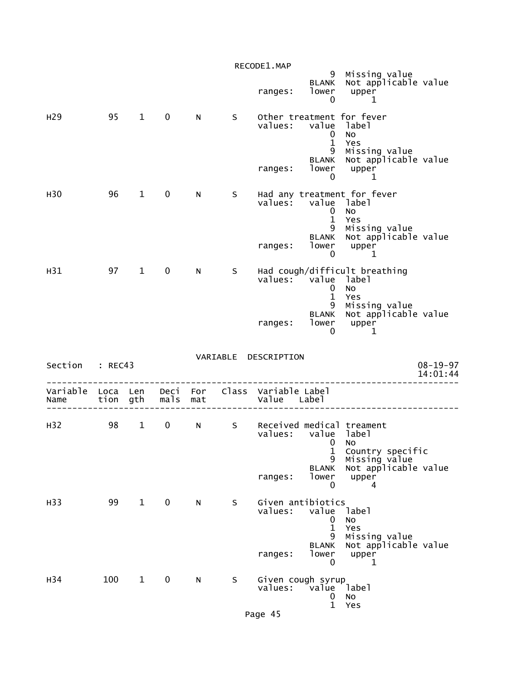|                  |          |                        |             |          |    | RECODE1.MAP                                  |                                 |                                                                   |                |
|------------------|----------|------------------------|-------------|----------|----|----------------------------------------------|---------------------------------|-------------------------------------------------------------------|----------------|
|                  |          |                        |             |          |    | ranges:                                      | <b>BLANK</b><br>lower<br>0      | 9  Missing value<br>NK  Not applicable value<br>upper<br>1        |                |
| H <sub>29</sub>  | 95       | $1 \quad$              | $\mathbf 0$ | N        | S. | values: value label                          | 0<br>$\mathbf{1}$               | Other treatment for fever<br>No<br>Yes                            |                |
|                  |          |                        |             |          |    | ranges:                                      | lower<br>0                      | 9 Missing value<br>BLANK Not applicable value<br>upper<br>1       |                |
| H <sub>30</sub>  | 96       | $\mathbf{1}$           | 0           | N        | S. | values: value label                          | 0<br>$\mathbf{1}$               | Had any treatment for fever<br>No<br>Yes                          |                |
|                  |          |                        |             |          |    | ranges:                                      | 9<br>lower<br>$\mathbf 0$       | Missing value<br>BLANK Not applicable value<br>upper<br>1         |                |
| H31              |          | 97 1                   | $\mathbf 0$ | N        | S. | values: value label                          | $\mathbf 0$<br>$\mathbf{1}$     | Had cough/difficult breathing<br>No<br>Yes                        |                |
|                  |          |                        |             |          |    | ranges:                                      | 0                               | 9 Missing value<br>BLANK Not applicable value<br>lower upper<br>1 |                |
| Section : REC43  |          |                        |             |          |    | VARIABLE DESCRIPTION                         |                                 |                                                                   | $08 - 19 - 97$ |
|                  |          |                        |             |          |    |                                              |                                 |                                                                   | 14:01:44       |
| Variable<br>Name | Loca Len | tion gth               |             | mals mat |    | Deci For Class Variable Label<br>Value Label |                                 |                                                                   |                |
| H32              | 98       | $1 \quad$              | $\mathbf 0$ | $N \sim$ | S  | values: value label                          | 1                               | Received medical treament<br>0 No<br>Country specific             |                |
|                  |          |                        |             |          |    | ranges:                                      | 9<br><b>BLANK</b><br>lower<br>0 | Missing value<br>Not applicable value<br>upper<br>4               |                |
| H33              | 99       | $1 \quad \blacksquare$ | $\mathbf 0$ | N        | S  | Given antibiotics<br>values:                 | value<br>0<br>$\mathbf{1}$      | label<br>No<br>Yes                                                |                |
|                  |          |                        |             |          |    | ranges:                                      | 9<br><b>BLANK</b><br>lower<br>0 | Missing value<br>Not applicable value<br>upper<br>1               |                |
| H34              | 100      | $\mathbf{1}$           | 0           | N        | S  | Given cough syrup<br>values:                 | value<br>0                      | label<br>No                                                       |                |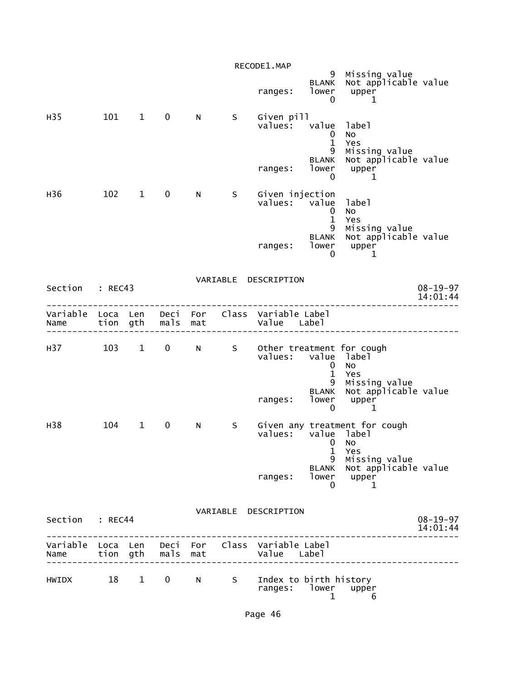|                           |          |                        |              |                                                                                                                                                                                                                                |    | RECODE1.MAP                                                    |                                 |                                                                       |
|---------------------------|----------|------------------------|--------------|--------------------------------------------------------------------------------------------------------------------------------------------------------------------------------------------------------------------------------|----|----------------------------------------------------------------|---------------------------------|-----------------------------------------------------------------------|
|                           |          |                        |              |                                                                                                                                                                                                                                |    | ranges:                                                        | <b>BLANK</b><br>lower<br>0      | 9 Missing value<br>Not applicable value<br>upper<br>1                 |
| H35                       | 101      | $1 \quad \blacksquare$ | $\mathbf 0$  | N                                                                                                                                                                                                                              | S. | Given pill<br>values:                                          | 0<br>$\mathbf{1}$<br>9          | value label<br><b>NO</b><br>Yes<br>Missing value                      |
|                           |          |                        |              |                                                                                                                                                                                                                                |    | ranges:                                                        | BLANK<br>lower<br>$\mathbf{0}$  | Not applicable value<br>upper<br>1                                    |
| H36                       | 102      | $\mathbf{1}$           | $\mathbf 0$  | N                                                                                                                                                                                                                              | S  | Given injection<br>values: value                               | 0<br>$\mathbf{1}$               | label<br><b>NO</b><br>Yes                                             |
|                           |          |                        |              |                                                                                                                                                                                                                                |    | ranges:                                                        | 9<br><b>BLANK</b><br>lower<br>0 | Missing value<br>Not applicable value<br>upper<br>1                   |
| Section                   | : REC43  |                        |              |                                                                                                                                                                                                                                |    | VARIABLE DESCRIPTION                                           |                                 | $08 - 19 - 97$<br>14:01:44                                            |
| Variable Loca Len<br>Name | tion gth |                        | Deci<br>mals | For<br>mat                                                                                                                                                                                                                     |    | Class Variable Label<br>Value Label                            |                                 |                                                                       |
| H37                       | 103      | $1 \quad \blacksquare$ | $\mathbf 0$  | N                                                                                                                                                                                                                              | S  | Other treatment for cough<br>values:                           | $\mathbf{0}$<br>$\mathbf{1}$    | value label<br><b>NO</b><br>Yes                                       |
|                           |          |                        |              |                                                                                                                                                                                                                                |    | ranges:                                                        | 9<br><b>BLANK</b><br>lower<br>0 | Missing value<br>Not applicable value<br>upper<br>1                   |
| H38                       | 104      | $\mathbf{1}$           | 0            | N                                                                                                                                                                                                                              | S  | values:                                                        | 0<br>$\mathbf{1}$               | Given any treatment for cough<br>value label<br>N <sub>0</sub><br>Yes |
|                           |          |                        |              |                                                                                                                                                                                                                                |    | ranges:                                                        | 9<br>BLANK<br>0                 | Missing value<br>Not applicable value<br>lower upper<br>1             |
| Section : REC44           |          |                        |              |                                                                                                                                                                                                                                |    | VARIABLE DESCRIPTION                                           |                                 | $08 - 19 - 97$<br>14:01:44                                            |
| Name tion gth mals mat    |          |                        |              |                                                                                                                                                                                                                                |    | Variable Loca Len Deci For Class Variable Label<br>Value Label |                                 |                                                                       |
| HWIDX 18 1                |          |                        | $\mathbf{0}$ | N and the set of the set of the set of the set of the set of the set of the set of the set of the set of the set of the set of the set of the set of the set of the set of the set of the set of the set of the set of the set | S  | Index to birth history<br>ranges:                              | lower<br>1                      | upper<br>6                                                            |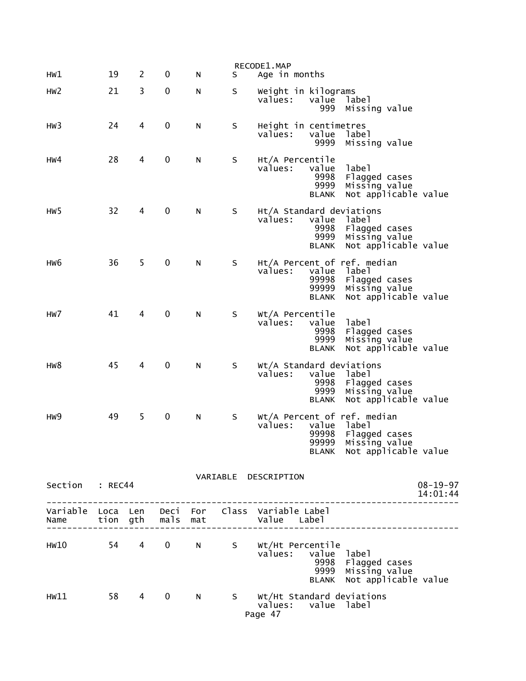| HW1             | 19 | 2         | 0           | N | S | RECODE1.MAP<br>Age in months                                                                                                                         |
|-----------------|----|-----------|-------------|---|---|------------------------------------------------------------------------------------------------------------------------------------------------------|
|                 |    |           |             |   |   |                                                                                                                                                      |
| HW <sub>2</sub> | 21 | 3         | 0           | N | S | Weight in kilograms<br>values:<br>value<br>label<br>999<br>Missing value                                                                             |
| HW3             | 24 | 4         | 0           | N | S | Height in centimetres<br>values:<br>value<br>label<br>9999<br>Missing value                                                                          |
| HW4             | 28 | 4         | 0           | N | S | Ht/A Percentile<br>value<br>label<br>values:<br>9998<br>Flagged cases<br>9999<br>Missing value<br>Not applicable value<br><b>BLANK</b>               |
| HW <sub>5</sub> | 32 | 4         | 0           | N | S | Ht/A Standard deviations<br>values:<br>value<br>label<br>9998<br>Flagged cases<br>9999<br>Missing value<br>Not applicable value<br><b>BLANK</b>      |
| HW6             | 36 | 5         | 0           | N | S | Ht/A Percent of ref. median<br>values:<br>value<br>label<br>99998<br>Flagged cases<br>99999<br>Missing value<br>Not applicable value<br><b>BLANK</b> |
| HW <sub>7</sub> | 41 | 4         | $\mathbf 0$ | N | S | Wt/A Percentile<br>label<br>values:<br>value<br>9998<br>Flagged cases<br>9999<br>Missing value<br>Not applicable value<br><b>BLANK</b>               |
| HW8             | 45 | 4         | $\mathbf 0$ | N | S | Wt/A Standard deviations<br>value<br>values:<br>label<br>9998<br>Flagged cases<br>9999<br>Missing value<br>Not applicable value<br><b>BLANK</b>      |
| HW9             | 49 | 5         | 0           | N | S | Wt/A Percent of ref. median<br>values:<br>value<br>label<br>99998<br>Flagged cases<br>99999<br>Missing value<br>BLANK Not applicable value           |
| Section : REC44 |    |           |             |   |   | VARIABLE DESCRIPTION<br>$08 - 19 - 97$<br>14:01:44                                                                                                   |
|                 |    |           |             |   |   | -------------<br>Variable Loca Len Deci For Class Variable Label<br>Name tion gth mals mat Value Label<br>__________________________                 |
|                 |    |           |             |   |   | HW10 54 4 0 N S Wt/Ht Percentile<br>values: value label<br>9998 Flagged cases<br>9999 Missing value<br>BLANK Not applicable value                    |
| HW11            | 58 | $4 \quad$ | $\mathbf 0$ | N |   | S Wt/Ht Standard deviations<br>values: value label<br>Page 47                                                                                        |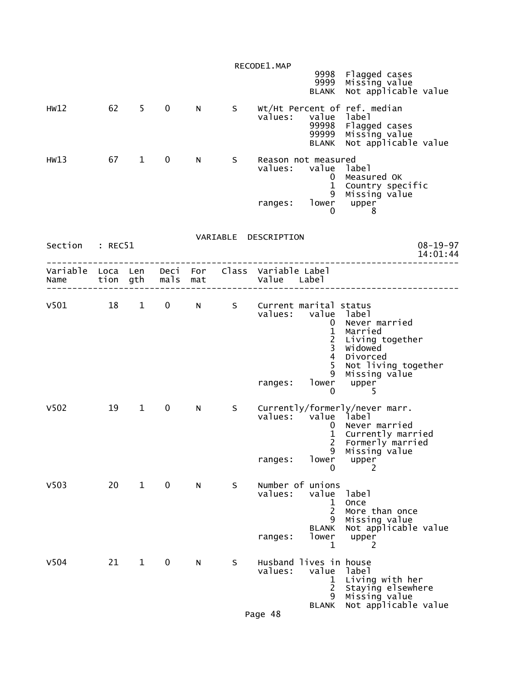|                                        |      |                        |              |     |     | RECODE1.MAP                                  | 9999                                                                      | 9998 Flagged cases<br>Missing value                                                                                                     |
|----------------------------------------|------|------------------------|--------------|-----|-----|----------------------------------------------|---------------------------------------------------------------------------|-----------------------------------------------------------------------------------------------------------------------------------------|
| HW12                                   | 62 5 |                        | $\mathbf 0$  | N   | S   | values:                                      | <b>BLANK</b><br>value<br>99998<br>99999<br><b>BLANK</b>                   | Not applicable value<br>Wt/Ht Percent of ref. median<br>label<br>Flagged cases<br>Missing value<br>Not applicable value                 |
| HW13                                   | 67 1 |                        | $\mathbf{0}$ | N.  | S – | Reason not measured<br>values:<br>ranges:    | value label<br>$\mathbf{0}$<br>$\mathbf{1}$<br>9<br>lower upper<br>0      | Measured OK<br>Country specific<br>Missing value<br>8                                                                                   |
| Section : REC51                        |      |                        |              |     |     | VARIABLE DESCRIPTION                         |                                                                           | $08 - 19 - 97$<br>14:01:44                                                                                                              |
|                                        |      |                        |              |     |     |                                              |                                                                           |                                                                                                                                         |
| V501 18 1 0 N S Current marital status |      |                        |              |     |     | values: value label<br>ranges:               | $\mathbf{1}$<br>$\frac{2}{3}$<br>$\overline{4}$<br>5<br>9<br>$\mathbf{0}$ | 0 Never married<br>Married<br>Living together<br><b>Widowed</b><br>Divorced<br>Not living together<br>Missing value<br>lower upper<br>5 |
| V <sub>502</sub>                       | 19   | $1 \quad \blacksquare$ | $\mathbf{0}$ | N - | S – | values: value label<br>ranges:               | $\mathbf{0}$<br>$\mathbf{1}$<br>$\overline{2}$<br>9<br>lower<br>0         | Currently/formerly/never marr.<br>Never married<br>Currently married<br>Formerly married<br>Missing value<br>upper<br>2                 |
| V <sub>503</sub>                       | 20   | $\mathbf{1}$           | $\mathbf 0$  | N   | S   | Number of unions<br>values:<br>ranges:       | value<br>$\mathbf 1$<br>$\overline{2}$<br>9<br><b>BLANK</b><br>lower<br>1 | label<br>Once<br>More than once<br>Missing value<br>Not applicable value<br>upper<br>2                                                  |
| V504                                   | 21   | $\mathbf{1}$           | $\mathbf 0$  | N   | S   | Husband lives in house<br>values:<br>Page 48 | value<br>1<br>$\overline{c}$<br>9<br>BLANK                                | label<br>Living with her<br>Staying elsewhere<br>Missing value<br>Not applicable value                                                  |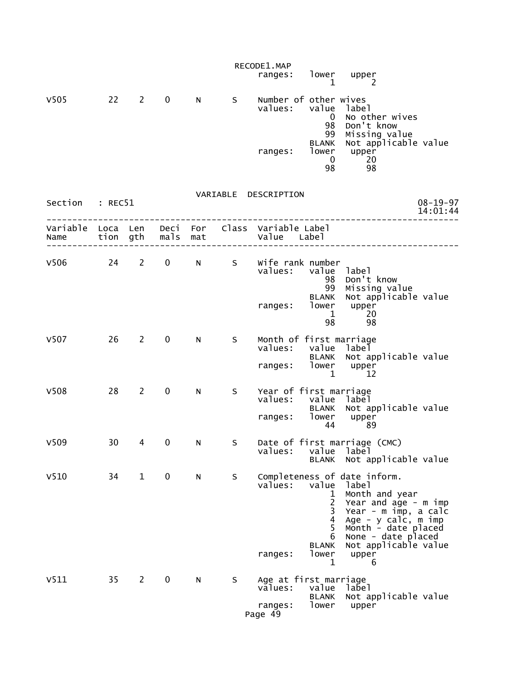|                                                         |    |              |               |             |     | RECODE1.MAP<br>ranges:                                 | 1                                                                     | lower upper<br>2                                                                                                                                                                                                  |                            |
|---------------------------------------------------------|----|--------------|---------------|-------------|-----|--------------------------------------------------------|-----------------------------------------------------------------------|-------------------------------------------------------------------------------------------------------------------------------------------------------------------------------------------------------------------|----------------------------|
| V <sub>505</sub>                                        | 22 | $2^{\sim}$   | $\mathbf 0$   | N           | S   | Number of other wives<br>values:<br>ranges:            | value<br>$\bf{0}$<br>98<br>99<br>BLANK<br>lower<br>$\mathbf{0}$<br>98 | label<br>No other wives<br>Don't know<br>Missing value<br>Not applicable value<br>upper<br>20<br>98                                                                                                               |                            |
| Section : REC51                                         |    |              |               |             |     | VARIABLE DESCRIPTION                                   |                                                                       |                                                                                                                                                                                                                   | $08 - 19 - 97$<br>14:01:44 |
| Variable Loca Len Deci For Class Variable Label<br>Name |    |              | tion gth mals | mat         |     | Value Label                                            |                                                                       |                                                                                                                                                                                                                   |                            |
| V506 24 2                                               |    |              | $\mathbf{0}$  | $N$ and $N$ | S   | Wife rank number<br>values:<br>ranges:                 | 98<br>99<br>BLANK<br>lower<br>1<br>98                                 | value label<br>Don't know<br>Missing value<br>Not applicable value<br>upper<br>20<br>98                                                                                                                           |                            |
| V507                                                    | 26 | $2^{\sim}$   | $\mathbf{0}$  | N.          | S   | Month of first marriage<br>values:<br>ranges: lower    | 1                                                                     | value label<br>BLANK Not applicable value<br>upper<br>12                                                                                                                                                          |                            |
| V <sub>508</sub>                                        | 28 | $2^{\circ}$  | $\mathbf 0$   | N           | S – | Year of first marriage<br>values:<br>ranges:           | lower<br>44                                                           | value label<br>BLANK Not applicable value<br>upper<br>-89                                                                                                                                                         |                            |
| V <sub>509</sub>                                        | 30 | 4            | 0 N           |             | S.  | values:                                                | value<br><b>BLANK</b>                                                 | Date of first marriage (CMC)<br>label<br>Not applicable value                                                                                                                                                     |                            |
| V <sub>510</sub>                                        | 34 | $\mathbf{1}$ | $\mathbf 0$   | N           | S   | values:<br>ranges:                                     | value<br>1<br>2<br>3<br>4<br>5<br>6<br><b>BLANK</b><br>lower<br>1     | Completeness of date inform.<br>label<br>Month and year<br>Year and age - m imp<br>Year - m imp, a calc<br>Age - y calc, m imp<br>Month - date placed<br>None - date placed<br>Not applicable value<br>upper<br>6 |                            |
| V511                                                    | 35 | 2            | $\mathbf 0$   | N.          | S.  | Age at first marriage<br>values:<br>ranges:<br>Page 49 | value<br><b>BLANK</b><br>lower                                        | label<br>Not applicable value<br>upper                                                                                                                                                                            |                            |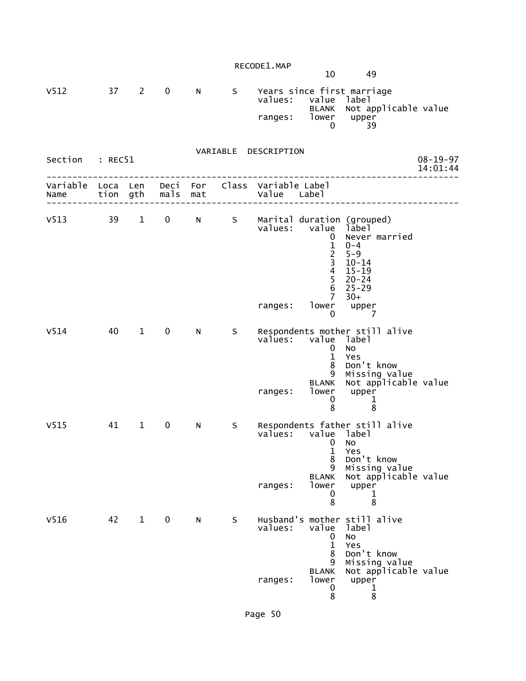| RECODE1.MAP |  |
|-------------|--|
|-------------|--|

10 49

| V512 | 37. | 2 0 | N | S. | Years since first marriage<br>values: value label<br>BLANK Not applicable value<br>lower<br>ranges:<br>upper |
|------|-----|-----|---|----|--------------------------------------------------------------------------------------------------------------|
|      |     |     |   |    |                                                                                                              |
|      |     |     |   |    |                                                                                                              |

| Section : REC51           |    |                        |                               |   |   | VARIABLE DESCRIPTION                                                                                                                                                                                                                                                     | $08 - 19 - 97$<br>14:01:44            |
|---------------------------|----|------------------------|-------------------------------|---|---|--------------------------------------------------------------------------------------------------------------------------------------------------------------------------------------------------------------------------------------------------------------------------|---------------------------------------|
| Variable Loca Len<br>Name |    |                        | Deci For<br>tion gth mals mat |   |   | Class Variable Label<br>Value Label                                                                                                                                                                                                                                      |                                       |
| $V513$ 39                 |    | $1 \quad \blacksquare$ | $0 \qquad \qquad$             |   |   | N S Marital duration (grouped)<br>value label<br>values:<br>Never married<br>0<br>$\mathbf{1}$<br>$0 - 4$<br>$\begin{array}{c} 2 \\ 3 \\ 4 \end{array}$<br>$5 - 9$<br>$10 - 14$<br>$15 - 19$<br>$\overline{5}$<br>$20 - 24$<br>6<br>$25 - 29$<br>$\overline{7}$<br>$30+$ |                                       |
|                           |    |                        |                               |   |   | lower<br>upper<br>ranges:<br>$\mathbf{0}$<br>$\overline{7}$                                                                                                                                                                                                              |                                       |
| V <sub>514</sub>          | 40 | $\mathbf 1$            | $\mathbf 0$                   | N | S | Respondents mother still alive<br>values:<br>value label<br>0<br>No<br>$\mathbf{1}$<br>Yes<br>Don't know<br>8<br>Missing value<br>9<br><b>BLANK</b><br>lower<br>upper<br>ranges:<br>0<br>1<br>8<br>8                                                                     | Not applicable value                  |
| V <sub>515</sub>          | 41 | $\mathbf{1}$           | $\mathbf 0$                   | N | S | Respondents father still alive<br>values: value<br>label<br><b>NO</b><br>0<br>$\mathbf{1}$<br>Yes<br>8<br>Don't know<br>9<br><b>BLANK</b><br>lower<br>upper<br>ranges:<br>0<br>1<br>8<br>8                                                                               | Missing value<br>Not applicable value |
| V516                      | 42 | $\mathbf 1$            | $\mathbf 0$                   | N | S | Husband's mother still alive<br>values:<br>value<br>label<br><b>NO</b><br>0<br>$\mathbf{1}$<br>Yes<br>8<br>Don't know<br>9<br><b>BLANK</b><br>lower<br>ranges:<br>upper                                                                                                  | Missing value<br>Not applicable value |

 $\sim$  0 1 entration of the state of the state of the state of the state of the state of the state of the state of the st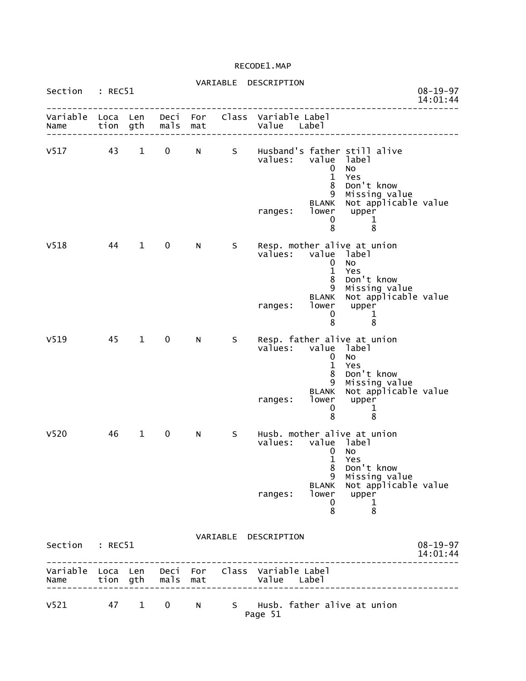# VARIABLE DESCRIPTION

| Section          | : REC51      |              |                   |            |              |                                        |                                                       |                                                                                   | $08 - 19 - 97$<br>14:01:44 |
|------------------|--------------|--------------|-------------------|------------|--------------|----------------------------------------|-------------------------------------------------------|-----------------------------------------------------------------------------------|----------------------------|
| Variable<br>Name | Loca Len     | tion gth     | Deci<br>mals mat  | For        |              | Class Variable Label<br>Value Label    |                                                       |                                                                                   |                            |
| V517 43 1        |              |              | $0 \qquad \qquad$ | N          | $\mathsf{S}$ | values:                                | value<br>$\mathbf{0}$<br>$\mathbf{1}$<br>8<br>9       | Husband's father still alive<br>label<br>No<br>Yes<br>Don't know<br>Missing value |                            |
|                  |              |              |                   |            |              | ranges:                                | <b>BLANK</b><br>0<br>8                                | Not applicable value<br>lower upper<br>1<br>8                                     |                            |
| V518             | 44           | $\mathbf{1}$ | $\mathbf 0$       | N          | S.           | Resp. mother alive at union<br>values: | $\mathbf 0$<br>$\mathbf{1}$<br>8<br>9<br><b>BLANK</b> | value label<br>No<br>Yes<br>Don't know<br>Missing value<br>Not applicable value   |                            |
|                  |              |              |                   |            |              | ranges:                                | lower<br>0<br>8                                       | upper<br>1<br>8                                                                   |                            |
| V <sub>519</sub> | 45 1         |              | 0                 | N.         | S            | Resp. father alive at union<br>values: | 0<br>$\mathbf{1}$<br>8<br>9                           | value label<br><b>NO</b><br>Yes<br>Don't know<br>Missing value                    |                            |
|                  |              |              |                   |            |              | ranges:                                | <b>BLANK</b><br>lower<br>0<br>8                       | Not applicable value<br>upper<br>1<br>8                                           |                            |
| V <sub>520</sub> | 46           | $\mathbf{1}$ | $\mathbf 0$       | N          | S.           | Husb. mother alive at union<br>values: | 0<br>$\mathbf{1}$                                     | value label<br>No<br>Yes<br>8 Don't know                                          |                            |
|                  |              |              |                   |            |              | ranges:                                | 9<br><b>BLANK</b><br>lower<br>0<br>8                  | Missing value<br>Not applicable value<br>upper<br>1<br>8                          |                            |
| Section          | : REC51      |              |                   |            | VARIABLE     | DESCRIPTION                            |                                                       |                                                                                   | $08 - 19 - 97$<br>14:01:44 |
| Variable<br>Name | Loca<br>tion | Len<br>gth   | Deci<br>mals      | For<br>mat | Class        | Variable Label<br>Value<br>Label       |                                                       |                                                                                   |                            |
| V <sub>521</sub> | 47           | $\mathbf{1}$ | 0                 | N          | S            | Husb. father alive at union<br>Page 51 |                                                       |                                                                                   |                            |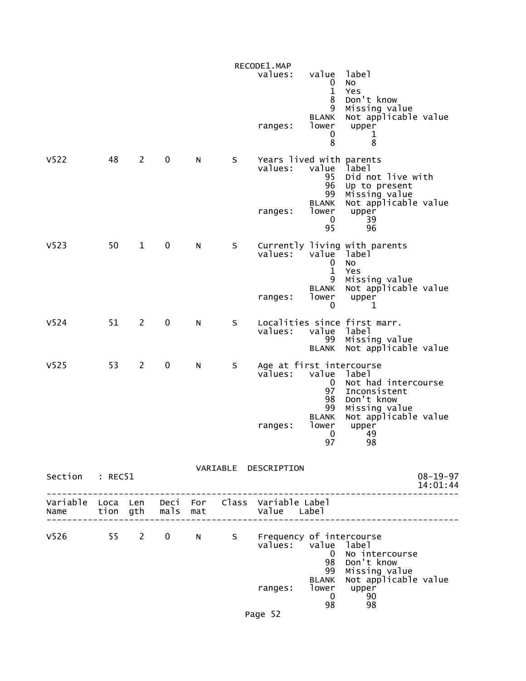|                  |    |                |             |   |   | RECODE1.MAP                                               |                                                |                                                                       |                            |
|------------------|----|----------------|-------------|---|---|-----------------------------------------------------------|------------------------------------------------|-----------------------------------------------------------------------|----------------------------|
|                  |    |                |             |   |   | values:                                                   | value<br>$\mathbf 0$<br>$\mathbf{1}$<br>8<br>9 | label<br>No<br>Yes<br>Don't know<br>Missing value                     |                            |
|                  |    |                |             |   |   | ranges:                                                   | <b>BLANK</b><br>lower<br>0<br>8                | Not applicable value<br>upper<br>1<br>8                               |                            |
| V <sub>522</sub> | 48 | $\mathbf{2}$   | 0           | N | S | Years lived with parents<br>values:                       | value<br>95<br>96<br>99                        | label<br>Did not live with<br>Up to present<br>Missing value          |                            |
|                  |    |                |             |   |   | ranges:                                                   | <b>BLANK</b><br>lower<br>0<br>95               | Not applicable value<br>upper<br>39<br>96                             |                            |
| V <sub>523</sub> | 50 | $\mathbf{1}$   | $\pmb{0}$   | N | S | values:                                                   | value label<br>0<br>$\mathbf{1}$<br>9          | Currently living with parents<br><b>NO</b><br>Yes<br>Missing value    |                            |
|                  |    |                |             |   |   | ranges:                                                   | <b>BLANK</b><br>lower<br>0                     | Not applicable value<br>upper<br>1                                    |                            |
| V <sub>524</sub> | 51 | $\overline{2}$ | $\mathbf 0$ | N | S | values:                                                   | value label<br>99<br><b>BLANK</b>              | Localities since first marr.<br>Missing value<br>Not applicable value |                            |
| V <sub>525</sub> | 53 | $\overline{2}$ | 0           | N | S | Age at first intercourse<br>values:                       | value<br>$\mathbf 0$<br>97<br>98               | label<br>Not had intercourse<br>Inconsistent<br>Don't know            |                            |
|                  |    |                |             |   |   | ranges:                                                   | 99<br><b>BLANK</b><br>lower<br>0<br>97         | Missing value<br>Not applicable value<br>upper<br>49<br>98            |                            |
| Section : REC51  |    |                |             |   |   | VARIABLE DESCRIPTION                                      |                                                | -------------                                                         | $08 - 19 - 97$<br>14:01:44 |
|                  |    |                |             |   |   |                                                           |                                                |                                                                       |                            |
|                  |    |                |             |   |   | V526 55 2 0 N S Frequency of intercourse<br>values: value | 98<br>99                                       | label<br>0 No intercourse<br>Don't know<br>Missing value              |                            |
|                  |    |                |             |   |   | ranges:                                                   | <b>BLANK</b><br>lower<br>$\mathbf{0}$<br>98    | Not applicable value<br>upper<br>90<br>98                             |                            |
|                  |    |                |             |   |   | Page 52                                                   |                                                |                                                                       |                            |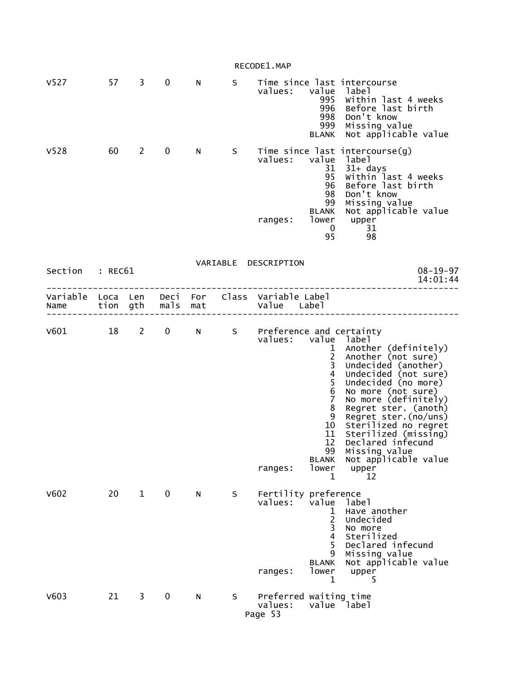|                        |    |              |              |     |    | RECODE1.MAP                                                    |                                                                                                                                                                                                 |                                                                                                                                                                                                                                                                                                                                                             |
|------------------------|----|--------------|--------------|-----|----|----------------------------------------------------------------|-------------------------------------------------------------------------------------------------------------------------------------------------------------------------------------------------|-------------------------------------------------------------------------------------------------------------------------------------------------------------------------------------------------------------------------------------------------------------------------------------------------------------------------------------------------------------|
| V <sub>527</sub>       |    | 57 3         | $\mathbf 0$  | N   | S  | values:                                                        | value<br>995<br>996<br>998<br>999<br><b>BLANK</b>                                                                                                                                               | Time since last intercourse<br>label<br>Within last 4 weeks<br>Before last birth<br>Don't know<br>Missing value<br>Not applicable value                                                                                                                                                                                                                     |
| V <sub>528</sub>       | 60 | $\mathbf{2}$ | $\mathbf 0$  | N a | S  | values: value<br>ranges:                                       | 31<br>95<br>96<br>98<br>99<br><b>BLANK</b><br>lower<br>$\overline{0}$<br>95                                                                                                                     | Time since last intercourse(g)<br>label<br>31+ days<br>Within last 4 weeks<br>Before last birth<br>Don't know<br>Missing value<br>Not applicable value<br>upper<br>31<br>98                                                                                                                                                                                 |
| Section : REC61        |    |              |              |     |    | VARIABLE DESCRIPTION                                           |                                                                                                                                                                                                 | $08 - 19 - 97$<br>14:01:44                                                                                                                                                                                                                                                                                                                                  |
| Name tion gth mals mat |    |              |              |     |    | Variable Loca Len Deci For Class Variable Label<br>Value Label |                                                                                                                                                                                                 |                                                                                                                                                                                                                                                                                                                                                             |
| $V601$ 18 2            |    |              | $\mathbf{0}$ |     |    | N S Preference and certainty<br>values:<br>ranges:             | $\mathbf{1}$<br>$\begin{array}{c} 2 \\ 3 \\ 4 \end{array}$<br>$\begin{array}{c} 5 \\ 6 \end{array}$<br>$\overline{7}$<br>8<br>9<br>10<br>11<br>12<br>99<br><b>BLANK</b><br>lower<br>$\mathbf 1$ | value label<br>Another (definitely)<br>Another (not sure)<br>Undecided (another)<br>Undecided (not sure)<br>Undecided (no more)<br>No more (not sure)<br>No more (definitely)<br>Regret ster. (anoth)<br>Regret ster. (no/uns)<br>Sterilized no regret<br>Sterilized (missing)<br>Declared infecund<br>Missing value<br>Not applicable value<br>upper<br>12 |
| V602                   | 20 | $\mathbf{1}$ | $\mathbf 0$  | N   | S  | Fertility preference<br>values:<br>ranges:                     | value<br>1<br>2<br>$\overline{\mathbf{3}}$<br>$\overline{4}$<br>5<br>9<br><b>BLANK</b><br>lower<br>$\mathbf 1$                                                                                  | label<br>Have another<br>Undecided<br>No more<br>Sterilized<br>Declared infecund<br>Missing value<br>Not applicable value<br>upper<br>5                                                                                                                                                                                                                     |
| V603                   | 21 | 3            | 0            | N   | S. | Preferred waiting time<br>values:<br>Page 53                   |                                                                                                                                                                                                 | value label                                                                                                                                                                                                                                                                                                                                                 |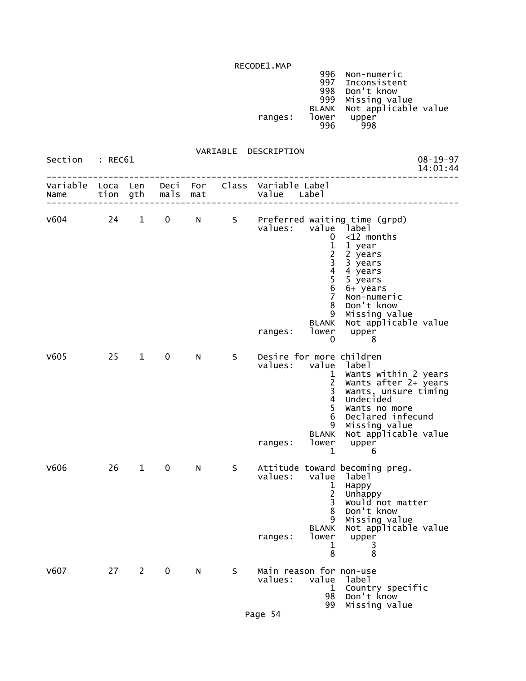|         | 996   | Non-numeric          |
|---------|-------|----------------------|
|         | 997   | Inconsistent         |
|         | 998   | Don't know           |
|         | 999   | Missing value        |
|         | BLANK | Not applicable value |
| ranges: | lower | upper                |
|         | 996   | 998                  |
|         |       |                      |

VARIABLE DESCRIPTION

| Section          | : REC61      |              |              |            | , ANIADLL | <b>DESCITLE LIGHT</b>                          |                                                                                                                                     | $08 - 19 - 97$<br>14:01:44                                                                                                                                                                                            |
|------------------|--------------|--------------|--------------|------------|-----------|------------------------------------------------|-------------------------------------------------------------------------------------------------------------------------------------|-----------------------------------------------------------------------------------------------------------------------------------------------------------------------------------------------------------------------|
| Variable<br>Name | Loca<br>tion | Len<br>gth   | Deci<br>mals | For<br>mat |           | Class Variable Label<br>Value                  | Label                                                                                                                               |                                                                                                                                                                                                                       |
| V604             | 24           | $\mathbf{1}$ | $\mathbf 0$  | N          |           | values:<br>ranges:                             | $\mathbf{0}$<br>1<br>2<br>3<br>4<br>$\begin{array}{c} 5 \\ 6 \end{array}$<br>$\overline{7}$<br>8<br>9<br><b>BLANK</b><br>lower<br>0 | S Preferred waiting time (grpd)<br>value label<br>$<$ 12 months<br>1 year<br>2 years<br>3 years<br>4 years<br>5 years<br>6+ years<br>Non-numeric<br>Don't know<br>Missing value<br>Not applicable value<br>upper<br>8 |
| V605             | 25           | $\mathbf{1}$ | 0            | N          | S         | Desire for more children<br>values:<br>ranges: | value<br>$\mathbf{1}$<br>$\overline{2}$<br>3<br>$\overline{\mathbf{4}}$<br>5<br>6<br>9<br>BLANK<br>lower<br>1                       | label<br>Wants within 2 years<br>Wants after 2+ years<br>Wants, unsure timing<br>Undecided<br>Wants no more<br>Declared infecund<br>Missing value<br>Not applicable value<br>upper<br>6                               |
| V606             | 26           | $\mathbf{1}$ | $\mathbf 0$  | N          | S         | values:<br>ranges:                             | value label<br>1<br>$\overline{2}$<br>3<br>8<br>9<br><b>BLANK</b><br>lower<br>1<br>8                                                | Attitude toward becoming preg.<br>Happy<br>Unhappy<br>Would not matter<br>Don't know<br>Missing value<br>Not applicable value<br>upper<br>3<br>8                                                                      |
| V607             | 27 2         |              | $\mathbf 0$  | N          | S         | Main reason for non-use<br>values:             | value<br>$\mathbf{1}$<br>98<br>99                                                                                                   | label<br>Country specific<br>Don't know<br>Missing value                                                                                                                                                              |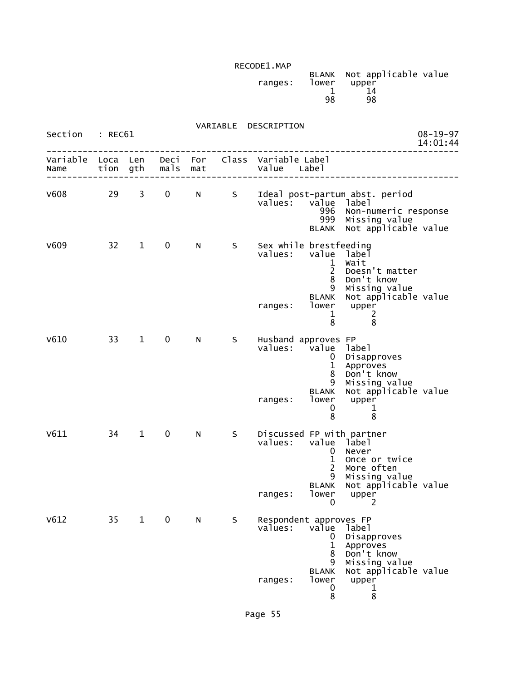| ranges: | lower | BLANK Not applicable value<br>upper |  |
|---------|-------|-------------------------------------|--|
|         |       |                                     |  |
|         | 98    | 98                                  |  |

|  | VARIABLE | DESCRIPTION |
|--|----------|-------------|
|--|----------|-------------|

| Section                   | : REC61 |              |             |     |    | VAKIABLE DESCKIPTIUN                                                                                                                                                                                                  | $08 - 19 - 97$<br>14:01:44                   |
|---------------------------|---------|--------------|-------------|-----|----|-----------------------------------------------------------------------------------------------------------------------------------------------------------------------------------------------------------------------|----------------------------------------------|
| Variable Loca Len<br>Name |         | tion gth     | mals        | mat |    | Deci For Class Variable Label<br>Value<br>Label                                                                                                                                                                       |                                              |
| V608                      | 29      | 3            | $\mathbf 0$ | N   | S  | Ideal post-partum abst. period<br>values:<br>value label<br>996<br>999<br>Missing value<br><b>BLANK</b>                                                                                                               | Non-numeric response<br>Not applicable value |
| V609                      | 32      | $\mathbf{1}$ | 0           | N   | S. | Sex while brestfeeding<br>values:<br>value<br>label<br>Wait<br>$\mathbf{1}$<br>$\overline{2}$<br>Doesn't matter<br>8<br>Don't know<br>Missing value<br>9<br><b>BLANK</b><br>lower                                     | Not applicable value                         |
|                           |         |              |             |     |    | upper<br>ranges:<br>2<br>1<br>8<br>8                                                                                                                                                                                  |                                              |
| V610                      | 33      | $\mathbf{1}$ | 0           | N   | S. | Husband approves FP<br>values:<br>value<br>label<br>Disapproves<br>$\mathbf{0}$<br>Approves<br>1<br>8<br>Don't know<br>9<br>Missing value<br><b>BLANK</b><br>lower<br>upper<br>ranges:<br>0<br>$\mathbf{1}$<br>8<br>8 | Not applicable value                         |
| V611                      | 34      | $\mathbf{1}$ | 0           | N   | S  | Discussed FP with partner<br>values:<br>value<br>label<br>Never<br>0<br>$\mathbf{1}$<br>Once or twice<br>$\overline{2}$<br>More often<br>Missing value<br>9<br><b>BLANK</b><br>lower<br>upper<br>ranges:<br>0<br>2    | Not applicable value                         |
| V612                      | 35      | $\mathbf 1$  | 0           | N   | S  | Respondent approves FP<br>values:<br>value<br>label<br>Disapproves<br>0<br>1<br>Approves<br>Don't know<br>8<br>Missing value<br>9<br><b>BLANK</b>                                                                     | Not applicable value                         |
|                           |         |              |             |     |    | lower<br>upper<br>ranges:<br>0<br>1<br>8<br>8                                                                                                                                                                         |                                              |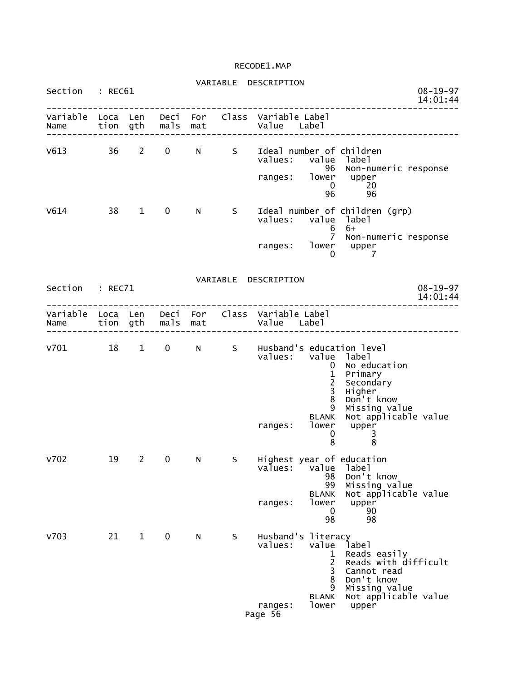| Section         | : REC61 |              |                   |     |    | VARIABLE DESCRIPTION                                             |                                                                            | $08 - 19 - 97$<br>14:01:44                                                                                                   |
|-----------------|---------|--------------|-------------------|-----|----|------------------------------------------------------------------|----------------------------------------------------------------------------|------------------------------------------------------------------------------------------------------------------------------|
| Name            |         |              | tion gth mals mat |     |    | Variable Loca Len Deci For Class Variable Label<br>Value Label   |                                                                            |                                                                                                                              |
| V613 36 2       |         |              | $\mathbf 0$       | N   | S  | Ideal number of children<br>values: value label<br>ranges: lower | 96<br>$\mathbf{0}$<br>96                                                   | Non-numeric response<br>upper<br>20<br>96                                                                                    |
| V614            |         | 38 1         | 0                 | N - | S  | values: value<br>ranges: lower upper                             | 6<br>$\Omega$                                                              | Ideal number of children (grp)<br>label<br>$6+$<br>7 Non-numeric response<br>$\overline{7}$                                  |
| Section : REC71 |         |              |                   |     |    | VARIABLE DESCRIPTION                                             |                                                                            | $08 - 19 - 97$<br>14:01:44<br>. _ _ _ _ _ _ _ _ _ _ _ _ _ _ _ _ _ _                                                          |
| Name            |         |              | tion gth mals mat |     |    | Variable Loca Len Deci For Class Variable Label<br>Value Label   |                                                                            |                                                                                                                              |
| v701 18 1       |         |              | $\mathbf{0}$      |     |    | N S Husband's education level<br>values: value label<br>ranges:  | $\mathbf{0}$<br>$\frac{1}{2}$<br>8<br>9<br><b>BLANK</b><br>lower<br>0<br>8 | No education<br>Primary<br>Secondary<br>Higher<br>Don't know<br>Missing value<br>Not applicable value<br>upper<br>3<br>8     |
| V702            | 19      | $\mathbf{2}$ | $\mathbf 0$       | N   | S. | values:<br>ranges:                                               | value<br>98<br>99<br><b>BLANK</b><br>lower<br>$\mathbf 0$<br>98            | Highest year of education<br>label<br>Don't know<br>Missing value<br>Not applicable value<br>upper<br>90<br>98               |
| V703            | 21      | $\mathbf{1}$ | $\mathbf 0$       | N   | S  | Husband's literacy<br>values:<br>ranges:<br>Page 56              | value<br>1<br>$\overline{c}$<br>3<br>8<br>9<br><b>BLANK</b><br>lower       | label<br>Reads easily<br>Reads with difficult<br>Cannot read<br>Don't know<br>Missing value<br>Not applicable value<br>upper |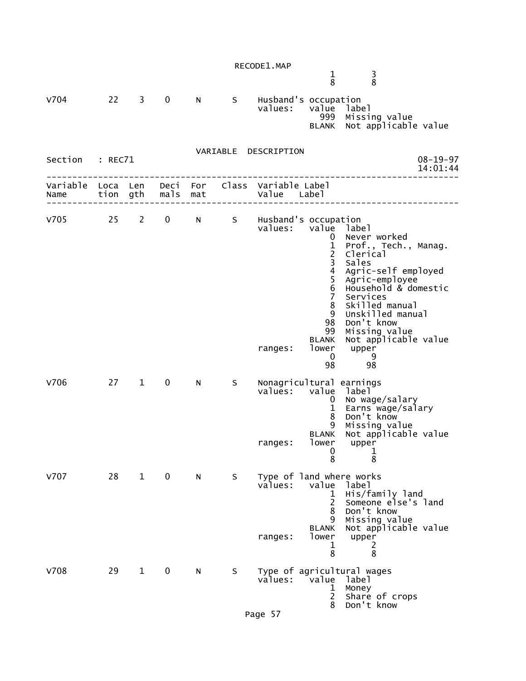$1$  3 8 8

| <b>V704</b>               | 22 | 3            | 0                       | N | S  | Husband's occupation<br>values:                | value<br>999                                                                                                                                                               | label<br>Missing value<br>BLANK Not applicable value                                                                                                                                                                                                    |
|---------------------------|----|--------------|-------------------------|---|----|------------------------------------------------|----------------------------------------------------------------------------------------------------------------------------------------------------------------------------|---------------------------------------------------------------------------------------------------------------------------------------------------------------------------------------------------------------------------------------------------------|
| Section : REC71           |    |              |                         |   |    | VARIABLE DESCRIPTION                           |                                                                                                                                                                            | $08 - 19 - 97$<br>14:01:44                                                                                                                                                                                                                              |
| Variable Loca Len<br>Name |    | tion gth     | mals mat                |   |    | Deci For Class Variable Label<br>Value Label   |                                                                                                                                                                            |                                                                                                                                                                                                                                                         |
| V705 25 2                 |    |              | $\overline{0}$          |   |    | N S Husband's occupation<br>values:<br>ranges: | value label<br>0<br>$\frac{1}{2}$<br>$\mathsf{3}$<br>$\overline{4}$<br>$\frac{5}{6}$<br>$\overline{7}$<br>8<br>9<br>98<br>99<br><b>BLANK</b><br>lower<br>$\mathbf 0$<br>98 | Never worked<br>Prof., Tech., Manag.<br>Clerical<br>Sales<br>Agric-self employed<br>Agric-employee<br>Household & domestic<br>Services<br>Skilled manual<br>Unskilled manual<br>Don't know<br>Missing value<br>Not applicable value<br>upper<br>9<br>98 |
| <b>V706</b>               | 27 | $\mathbf 1$  | $\mathbf 0$             | N | S. | Nonagricultural earnings<br>values:<br>ranges: | value<br>$\mathbf{0}$<br>1<br>8<br>9<br><b>BLANK</b><br>lower<br>0<br>8                                                                                                    | label<br>No wage/salary<br>Earns wage/salary<br>Don't know<br>Missing value<br>Not applicable value<br>upper<br>$\mathbf 1$<br>8                                                                                                                        |
| v707                      | 28 | $\mathbf{1}$ | $\overline{\mathbf{0}}$ | N | S. | Type of land where works<br>values:<br>ranges: | value<br>ı<br>$\overline{c}$<br>8<br>9<br><b>BLANK</b><br>lower<br>1<br>8                                                                                                  | label<br>His/family land<br>Someone else's land<br>Don't know<br>Missing value<br>Not applicable value<br>upper<br>2<br>8                                                                                                                               |
| <b>V708</b>               | 29 | $\mathbf{1}$ | 0                       | N | S. | values:                                        | value label<br>1<br>$\overline{2}$<br>8                                                                                                                                    | Type of agricultural wages<br>Money<br>Share of crops<br>Don't know                                                                                                                                                                                     |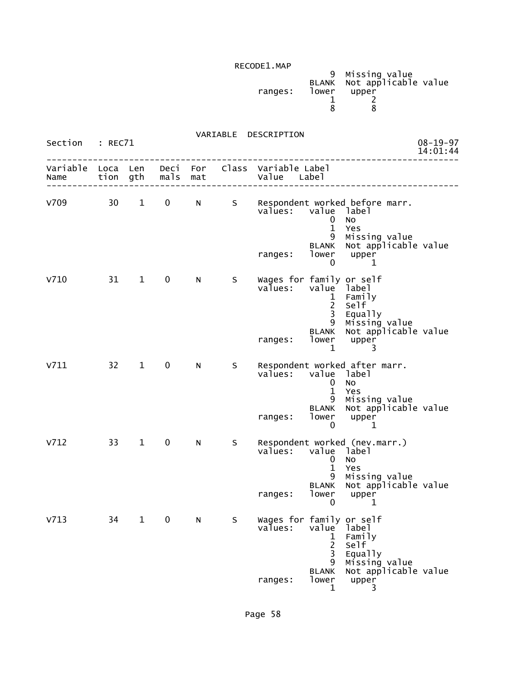| ranges: | lower | 9 Missing value<br>BLANK Not applicable value<br>upper |  |
|---------|-------|--------------------------------------------------------|--|
|         |       |                                                        |  |

#### VARIABLE DESCRIPTION Section : REC71 08-19-97<br>14:01:44 08-19-97 14:01:44 -------------------------------------------------------------------------------- Variable Loca Len Deci For Class Variable Label Name tion gth mals mat Value Label -------------------------------------------------------------------------------- V709 30 1 0 N S Respondent worked before marr.<br>Values: value label value label<br>0 No 0 No 1 Yes 9 Missing value BLANK Not applicable value ranges: lower upper<br>0 1  $\sim$  0 1 V710 31 1 0 N S Wages for family or self<br>values: value label value label<br>1 Family 1 Family 2 Self and the contract of the contract of the contract of the contract of the contract of the contract of the the contract of the contract of the contract of the contract of the contract of the contract of the contract of the contract of the contract of the contract of the contract of the contract of the contract of the contract o 9 Missing value BLANK Not applicable value ranges: lower upper  $1$  3 V711 32 1 0 N S Respondent worked after marr. value label<br>0 No 0 No 1 Yes 9 Missing value BLANK Not applicable value ranges: lower upper  $\sim$  0 1 V712 33 1 0 N S Respondent worked (nev.marr.) values: value label 0 No 1 Yes 9 Missing value BLANK Not applicable value ranges: lower upper<br>0 1  $\sim$  0 1 V713 34 1 0 N S Wages for family or self<br>values: value label value label<br>1 Family 1 Family 2 Self the contract of the contract of the contract of the contract of the contract of the contract of the contract of the contract of the contract of the contract of the contract of the contract of the contract of the contract o 9 Missing value BLANK Not applicable value ranges: lower upper

1 3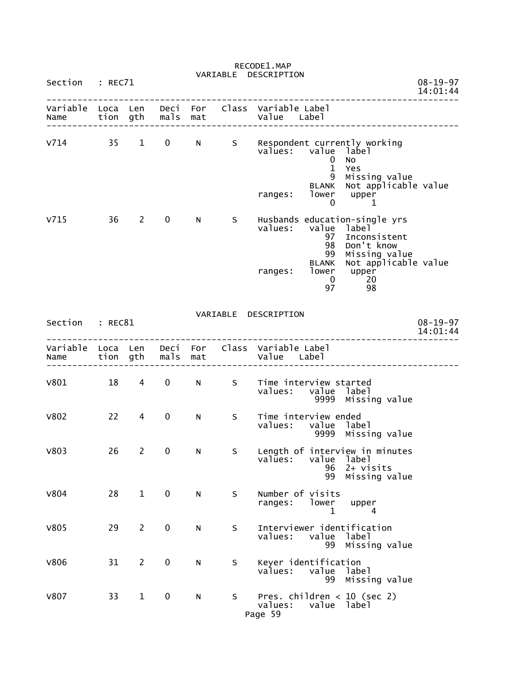| Section          | : REC71              |                                |               |             |    | VARIABLE DESCRIPTION                                                                                                                                  | $08 - 19 - 97$             |
|------------------|----------------------|--------------------------------|---------------|-------------|----|-------------------------------------------------------------------------------------------------------------------------------------------------------|----------------------------|
|                  |                      |                                |               |             |    |                                                                                                                                                       | 14:01:44                   |
| Variable<br>Name | Loca Len<br>tion gth |                                | mals mat      | Deci For    |    | Class Variable Label<br>Value Label                                                                                                                   |                            |
| $V714$ 35        |                      | $1 \quad \blacksquare$         | $\mathbf 0$   | $N$ and $N$ |    | S Respondent currently working<br>values: value label<br>No<br>0<br>$\mathbf{1}$<br>Yes<br>9<br>Missing value<br>Not applicable value<br><b>BLANK</b> |                            |
|                  |                      |                                |               |             |    | lower upper<br>ranges:<br>0<br>1                                                                                                                      |                            |
| V715             | 36                   | $2 \left( \frac{1}{2} \right)$ | $\mathbf 0$   | N.          | S  | Husbands education-single yrs<br>values:<br>value label<br>97<br>Inconsistent<br>Don't know<br>98<br>99<br>Missing value                              |                            |
|                  |                      |                                |               |             |    | Not applicable value<br><b>BLANK</b><br>lower upper<br>ranges:<br>$\sim 20$<br>$\overline{0}$<br>98<br>97                                             |                            |
| Section : REC81  |                      |                                |               |             |    | VARIABLE DESCRIPTION                                                                                                                                  | $08 - 19 - 97$<br>14:01:44 |
| Name             |                      |                                | tion gth mals | mat         |    | Variable Loca Len Deci For Class Variable Label<br>Value Label                                                                                        |                            |
| V801             | 18                   | $\overline{4}$                 | 0             | N           | S  | Time interview started<br>values:<br>value label<br>9999 Missing value                                                                                |                            |
| <b>V802</b>      | 22                   | 4                              | $\mathbf 0$   | N.          | S  | Time interview ended<br>values: value label<br>9999 Missing value                                                                                     |                            |
| <b>V803</b>      | 26                   | $\mathbf{2}$                   | 0             | N           | S. | Length of interview in minutes<br>values:<br>value<br>label<br>96<br>$2+$ visits<br>99<br>Missing value                                               |                            |
| V804             | 28                   | $\mathbf{1}$                   | $\mathbf 0$   | N           | S  | Number of visits<br>lower<br>ranges:<br>upper<br>4<br>1                                                                                               |                            |
| <b>V805</b>      | 29                   | $\mathbf{2}$                   | 0             | N           | S  | Interviewer identification<br>values:<br>value<br>label<br>99 Missing value                                                                           |                            |
| <b>V806</b>      | 31                   | $\overline{2}$                 | $\pmb{0}$     | N           | S  | Keyer identification<br>values:<br>value<br>label<br>99<br>Missing value                                                                              |                            |
| <b>V807</b>      | 33                   | $\mathbf{1}$                   | $\mathbf 0$   | N           | S  | Pres. children $<$ 10 (sec 2)<br>value label<br>values:<br>Page 59                                                                                    |                            |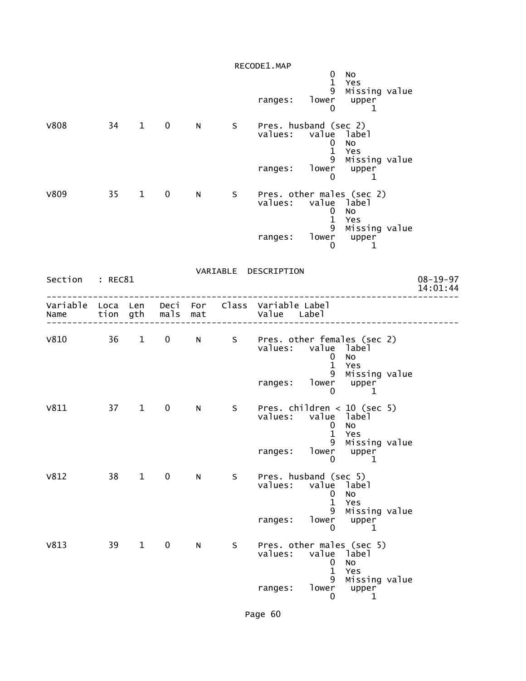|                                                         |    |                        |               |     |   | RECODE1.MAP                   | $\mathbf 0$<br>$\mathbf{1}$                                              | No<br>Yes                                           |                            |
|---------------------------------------------------------|----|------------------------|---------------|-----|---|-------------------------------|--------------------------------------------------------------------------|-----------------------------------------------------|----------------------------|
|                                                         |    |                        |               |     |   | ranges:                       | 9<br>lower<br>$\mathbf{0}$                                               | Missing value<br>upper<br>$\mathbf{1}$              |                            |
| <b>V808</b>                                             | 34 | $1 \quad \blacksquare$ | $\mathbf 0$   | N   | S | values: value                 | Pres. husband (sec 2)<br>$\mathbf{0}$<br>$\mathbf{1}$<br>9               | label<br>No<br>Yes<br>Missing value                 |                            |
|                                                         |    |                        |               |     |   | ranges:                       | 0                                                                        | lower upper<br>1                                    |                            |
| <b>V809</b>                                             | 35 | $\mathbf{1}$           | $\mathbf 0$   | N   | S |                               | Pres. other males (sec 2)<br>values: value label<br>0<br>$\mathbf{1}$    | No<br>Yes                                           |                            |
|                                                         |    |                        |               |     |   | ranges:                       | 9<br>0                                                                   | Missing value<br>lower upper<br>1                   |                            |
| Section : REC81                                         |    |                        |               |     |   | VARIABLE DESCRIPTION          |                                                                          |                                                     | $08 - 19 - 97$<br>14:01:44 |
| Variable Loca Len Deci For Class Variable Label<br>Name |    |                        | tion gth mals | mat |   | Value Label                   |                                                                          |                                                     |                            |
| V810 36                                                 |    | $\mathbf{1}$           | $\mathbf 0$   | N   |   | S Pres. other females (sec 2) | values: value label<br>0                                                 | No                                                  |                            |
|                                                         |    |                        |               |     |   | ranges:                       | $\mathbf{1}$<br>9<br>$\mathbf{0}$                                        | Yes<br>Missing value<br>lower upper<br>$\mathbf{1}$ |                            |
| V811                                                    |    | 37 1                   | $\bf{0}$      | N   | S |                               | Pres. children $<$ 10 (sec 5)<br>values: value label<br>0<br>$\mathbf 1$ | No<br>Yes                                           |                            |
|                                                         |    |                        |               |     |   | ranges:                       | 9<br>lower<br>$\mathbf{0}$                                               | Missing value<br>upper<br>$\mathbf{1}$              |                            |
| V812                                                    | 38 | $\mathbf{1}$           | $\mathbf 0$   | N   | S | values:                       | Pres. husband (sec 5)<br>value<br>0<br>$\mathbf{1}$                      | label<br>No<br>Yes                                  |                            |
|                                                         |    |                        |               |     |   | ranges:                       | 9<br>lower<br>0                                                          | Missing value<br>upper<br>1                         |                            |
| V813                                                    | 39 | $\mathbf{1}$           | $\mathbf 0$   | N   | S | values:                       | Pres. other males (sec 5)<br>value label<br>0<br>$\mathbf{1}$            | No<br>Yes                                           |                            |
|                                                         |    |                        |               |     |   | ranges:                       | 9<br>lower<br>0                                                          | Missing value<br>upper<br>1                         |                            |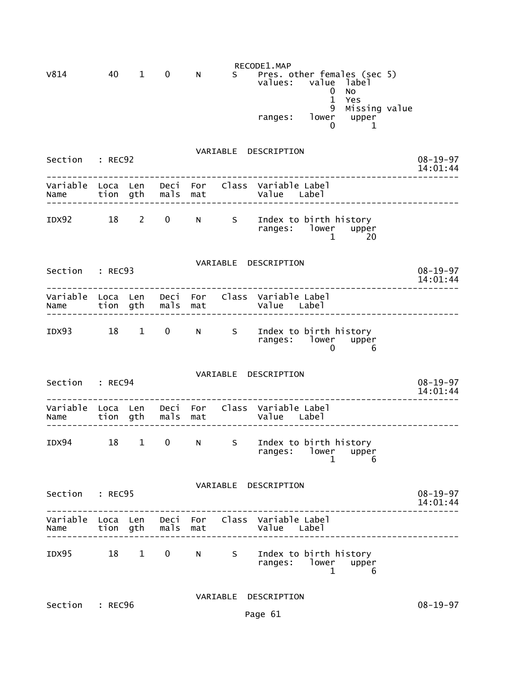|                 |                                         |              |                      |     |    | RECODE1.MAP                                                    |                                |                                     |                            |                            |
|-----------------|-----------------------------------------|--------------|----------------------|-----|----|----------------------------------------------------------------|--------------------------------|-------------------------------------|----------------------------|----------------------------|
| V814            | 40                                      | $\mathbf{1}$ | $\mathbf 0$          | N.  |    | S Pres. other females (sec 5)<br>values:                       | value<br>0<br>$\mathbf 1$<br>9 | label<br>No<br>Yes<br>Missing value |                            |                            |
|                 |                                         |              |                      |     |    | ranges: lower upper<br>0 1                                     |                                |                                     |                            |                            |
| Section : REC92 |                                         |              |                      |     |    | VARIABLE DESCRIPTION                                           |                                |                                     |                            | $08 - 19 - 97$<br>14:01:44 |
| Name            |                                         |              | tion gth mals mat    |     |    | Variable Loca Len Deci For Class Variable Label<br>Value Label |                                |                                     |                            | _______________            |
|                 |                                         |              |                      |     |    | IDX92 18 2 0 N S Index to birth history<br>ranges: lower upper | $\mathbf{1}$                   | -20                                 |                            |                            |
| Section : REC93 | VARIABLE DESCRIPTION                    |              |                      |     |    |                                                                |                                |                                     | $08 - 19 - 97$<br>14:01:44 |                            |
| Name            |                                         |              | tion gth mals        | mat |    | Variable Loca Len Deci For Class Variable Label<br>Value Label |                                |                                     |                            |                            |
| IDX93 18 1      |                                         |              |                      |     |    | 0 N S Index to birth history<br>ranges: lower upper            | 0                              | - 6                                 |                            |                            |
| Section : REC94 |                                         |              | VARIABLE DESCRIPTION |     |    |                                                                |                                |                                     |                            | $08 - 19 - 97$<br>14:01:44 |
| Name            |                                         |              | tion gth mals mat    |     |    | Variable Loca Len Deci For Class Variable Label<br>Value Label |                                |                                     |                            |                            |
| IDX94           | 18                                      | $\mathbf 1$  | 0                    | N   | S. | Index to birth history<br>ranges:                              | lower<br>$\mathbf{1}$          | upper<br>6                          |                            |                            |
|                 | VARIABLE DESCRIPTION<br>Section : REC95 |              |                      |     |    |                                                                |                                |                                     |                            | $08 - 19 - 97$<br>14:01:44 |
| Name            |                                         |              | tion gth mals mat    |     |    | Variable Loca Len Deci For Class Variable Label<br>Value Label |                                |                                     |                            |                            |
| IDX95 18 1      |                                         |              |                      |     |    | 0 N S Index to birth history<br>ranges: lower upper            | $\mathbf{1}$                   | 6                                   |                            |                            |
| Section : REC96 |                                         |              |                      |     |    | VARIABLE DESCRIPTION                                           |                                |                                     |                            | $08 - 19 - 97$             |